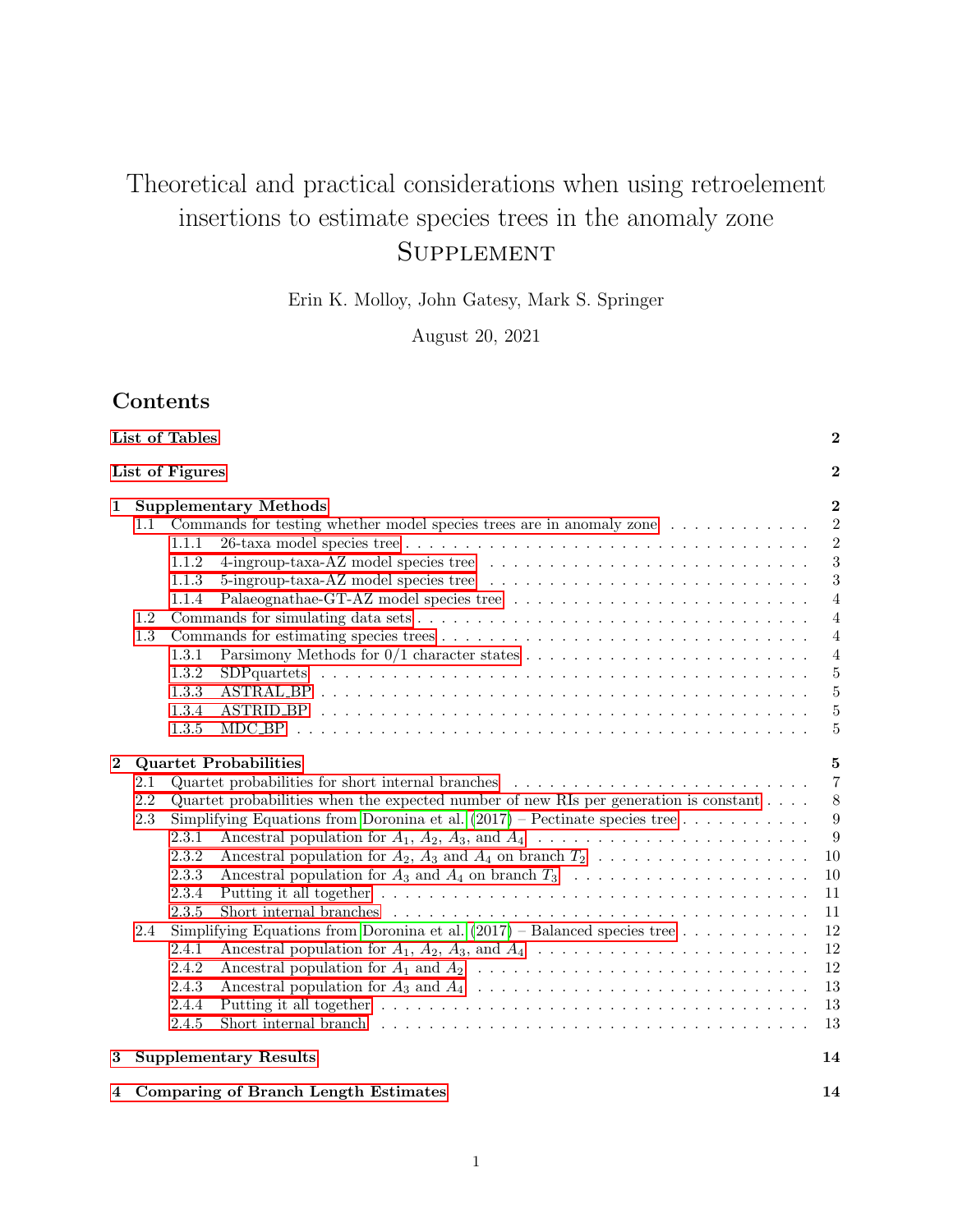# Theoretical and practical considerations when using retroelement insertions to estimate species trees in the anomaly zone **SUPPLEMENT**

Erin K. Molloy, John Gatesy, Mark S. Springer

August 20, 2021

# Contents

|             |                                                                                     | List of Tables                                                                                                                 | $\boldsymbol{2}$                 |  |  |  |  |
|-------------|-------------------------------------------------------------------------------------|--------------------------------------------------------------------------------------------------------------------------------|----------------------------------|--|--|--|--|
|             |                                                                                     | List of Figures                                                                                                                | $\overline{2}$                   |  |  |  |  |
| $\mathbf 1$ |                                                                                     | <b>Supplementary Methods</b>                                                                                                   | $\overline{2}$                   |  |  |  |  |
|             | 1.1                                                                                 | Commands for testing whether model species trees are in anomaly zone                                                           | $\overline{2}$                   |  |  |  |  |
|             |                                                                                     | 1.1.1                                                                                                                          | $\overline{2}$                   |  |  |  |  |
|             |                                                                                     | 1.1.2                                                                                                                          | 3                                |  |  |  |  |
|             |                                                                                     | 1.1.3<br>5-ingroup-taxa-AZ model species tree $\ldots \ldots \ldots \ldots \ldots \ldots \ldots \ldots \ldots \ldots$<br>1.1.4 | 3                                |  |  |  |  |
|             | 1.2                                                                                 |                                                                                                                                | $\overline{4}$<br>$\overline{4}$ |  |  |  |  |
|             | 1.3                                                                                 |                                                                                                                                | $\overline{4}$                   |  |  |  |  |
|             |                                                                                     | 1.3.1                                                                                                                          | $\overline{4}$                   |  |  |  |  |
|             |                                                                                     | 1.3.2                                                                                                                          | $\overline{5}$                   |  |  |  |  |
|             |                                                                                     | 1.3.3                                                                                                                          | $\overline{5}$                   |  |  |  |  |
|             |                                                                                     | 1.3.4                                                                                                                          | 5                                |  |  |  |  |
|             |                                                                                     | 1.3.5                                                                                                                          | $\overline{5}$                   |  |  |  |  |
| $\bf{2}$    |                                                                                     | <b>Quartet Probabilities</b>                                                                                                   | $\overline{5}$                   |  |  |  |  |
|             | 2.1                                                                                 | Quartet probabilities for short internal branches                                                                              | $\overline{7}$                   |  |  |  |  |
|             | 2.2                                                                                 | Quartet probabilities when the expected number of new RIs per generation is constant $\ldots$ .                                | 8                                |  |  |  |  |
|             | Simplifying Equations from Doronina et al. $(2017)$ – Pectinate species tree<br>2.3 |                                                                                                                                |                                  |  |  |  |  |
|             |                                                                                     | 2.3.1                                                                                                                          | 9<br>9                           |  |  |  |  |
|             |                                                                                     | 2.3.2<br>Ancestral population for $A_2$ , $A_3$ and $A_4$ on branch $T_2$                                                      | 10                               |  |  |  |  |
|             |                                                                                     | 2.3.3<br>Ancestral population for $A_3$ and $A_4$ on branch $T_3$                                                              | 10                               |  |  |  |  |
|             |                                                                                     | 2.3.4                                                                                                                          | 11                               |  |  |  |  |
|             |                                                                                     | 2.3.5                                                                                                                          | 11                               |  |  |  |  |
|             | 2.4                                                                                 | Simplifying Equations from Doronina et al. $(2017)$ – Balanced species tree                                                    | 12                               |  |  |  |  |
|             |                                                                                     | 2.4.1                                                                                                                          | 12                               |  |  |  |  |
|             |                                                                                     | 2.4.2                                                                                                                          | 12                               |  |  |  |  |
|             |                                                                                     | 2.4.3                                                                                                                          | 13                               |  |  |  |  |
|             |                                                                                     | 2.4.4                                                                                                                          | 13                               |  |  |  |  |
|             |                                                                                     | 2.4.5                                                                                                                          | 13                               |  |  |  |  |
| 3           |                                                                                     | <b>Supplementary Results</b>                                                                                                   | 14                               |  |  |  |  |
| 4           |                                                                                     | <b>Comparing of Branch Length Estimates</b>                                                                                    | 14                               |  |  |  |  |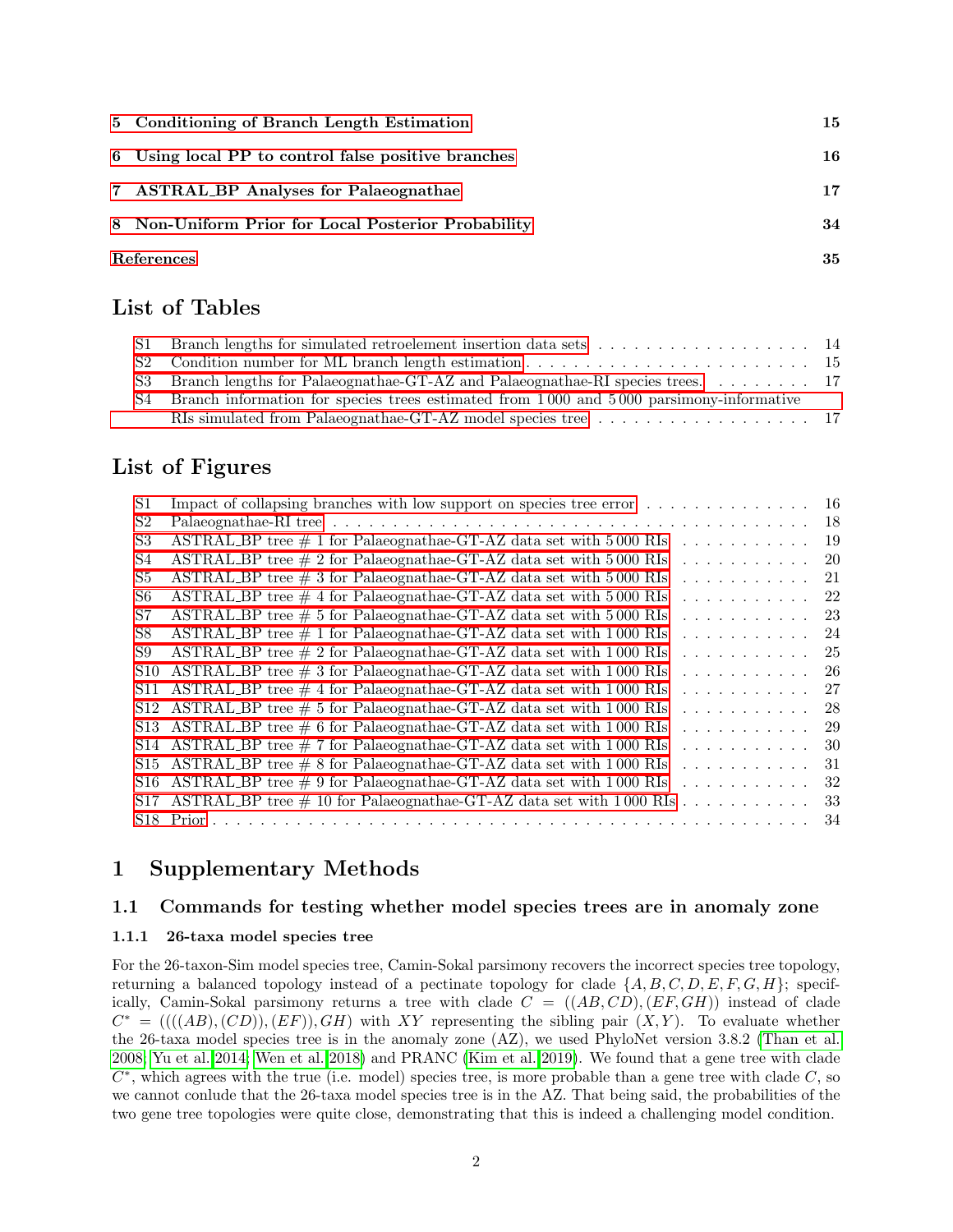| 5 Conditioning of Branch Length Estimation          | 15 |
|-----------------------------------------------------|----|
| 6 Using local PP to control false positive branches | 16 |
| 7 ASTRAL BP Analyses for Palaeognathae              | 17 |
| 8 Non-Uniform Prior for Local Posterior Probability | 34 |
| References                                          | 35 |

# <span id="page-1-0"></span>List of Tables

| S1 Branch lengths for simulated retroelement insertion data sets $\dots \dots \dots \dots \dots \dots$ |  |
|--------------------------------------------------------------------------------------------------------|--|
|                                                                                                        |  |
|                                                                                                        |  |
| S4 Branch information for species trees estimated from 1000 and 5000 parsimony-informative             |  |
|                                                                                                        |  |

# <span id="page-1-1"></span>List of Figures

| S1              | Impact of collapsing branches with low support on species tree error                                                                                                                        | -16 |
|-----------------|---------------------------------------------------------------------------------------------------------------------------------------------------------------------------------------------|-----|
| S <sub>2</sub>  |                                                                                                                                                                                             | 18  |
| S <sub>3</sub>  | ASTRAL_BP tree $\#$ 1 for Palaeognathae-GT-AZ data set with 5000 RIs<br>.                                                                                                                   | 19  |
| S4              | ASTRAL_BP tree $\#$ 2 for Palaeognathae-GT-AZ data set with 5000 RIs<br>.                                                                                                                   | 20  |
| S5              | $\triangle$ STRAL_BP tree $\#$ 3 for Palaeognathae-GT-AZ data set with 5000 RIs<br>.                                                                                                        | 21  |
| S6              | ASTRAL_BP tree $\#$ 4 for Palaeognathae-GT-AZ data set with 5000 RIs<br>.                                                                                                                   | 22  |
| S7              | ASTRAL_BP tree $\#$ 5 for Palaeognathae-GT-AZ data set with 5000 RIs<br>.                                                                                                                   | 23  |
| S8              | ASTRAL_BP tree $\#$ 1 for Palaeognathae-GT-AZ data set with 1000 RIs<br>.                                                                                                                   | 24  |
| S9              | ASTRAL_BP tree $\#$ 2 for Palaeognathae-GT-AZ data set with 1000 RIs<br>.                                                                                                                   | 25  |
| S <sub>10</sub> | ASTRAL_BP tree $\#$ 3 for Palaeognathae-GT-AZ data set with 1000 RIs<br>.                                                                                                                   | -26 |
|                 | S11 ASTRAL_BP tree $\#$ 4 for Palaeognathae-GT-AZ data set with 1000 RIs<br>.                                                                                                               | 27  |
|                 | S12 ASTRAL_BP tree $\#$ 5 for Palaeognathae-GT-AZ data set with 1000 RIs<br>.                                                                                                               | 28  |
|                 | S13 ASTRAL_BP tree $\#$ 6 for Palaeognathae-GT-AZ data set with 1000 RIs<br>.                                                                                                               | 29  |
|                 | S14 ASTRAL BP tree $\#$ 7 for Palaeognathae-GT-AZ data set with 1000 RIs<br>.                                                                                                               | 30  |
|                 | S15 ASTRAL_BP tree $\#$ 8 for Palaeognathae-GT-AZ data set with 1000 RIs<br>.                                                                                                               | 31  |
|                 | S16 ASTRAL_BP tree $\#$ 9 for Palaeognathae-GT-AZ data set with 1000 RIs<br>.                                                                                                               | 32  |
|                 | S17 ASTRAL_BP tree $\#$ 10 for Palaeognathae-GT-AZ data set with 1000 RIs<br>de la característica de la característica de la característica de la característica de la característica de la | 33  |
|                 | $S18$ Prior $\ldots$ $\ldots$                                                                                                                                                               | 34  |
|                 |                                                                                                                                                                                             |     |

# <span id="page-1-2"></span>1 Supplementary Methods

### <span id="page-1-3"></span>1.1 Commands for testing whether model species trees are in anomaly zone

### <span id="page-1-4"></span>1.1.1 26-taxa model species tree

For the 26-taxon-Sim model species tree, Camin-Sokal parsimony recovers the incorrect species tree topology, returning a balanced topology instead of a pectinate topology for clade  $\{A, B, C, D, E, F, G, H\}$ ; specifically, Camin-Sokal parsimony returns a tree with clade  $C = ((AB, CD), (EF, GH))$  instead of clade  $C^* = ((( (AB), (CD)), (EF)), GH)$  with XY representing the sibling pair  $(X, Y)$ . To evaluate whether the 26-taxa model species tree is in the anomaly zone (AZ), we used PhyloNet version 3.8.2 [\(Than et al.](#page-34-2) [2008;](#page-34-2) [Yu et al. 2014;](#page-34-3) [Wen et al. 2018\)](#page-34-4) and PRANC [\(Kim et al. 2019\)](#page-34-5). We found that a gene tree with clade  $C^*$ , which agrees with the true (i.e. model) species tree, is more probable than a gene tree with clade  $C$ , so we cannot conlude that the 26-taxa model species tree is in the AZ. That being said, the probabilities of the two gene tree topologies were quite close, demonstrating that this is indeed a challenging model condition.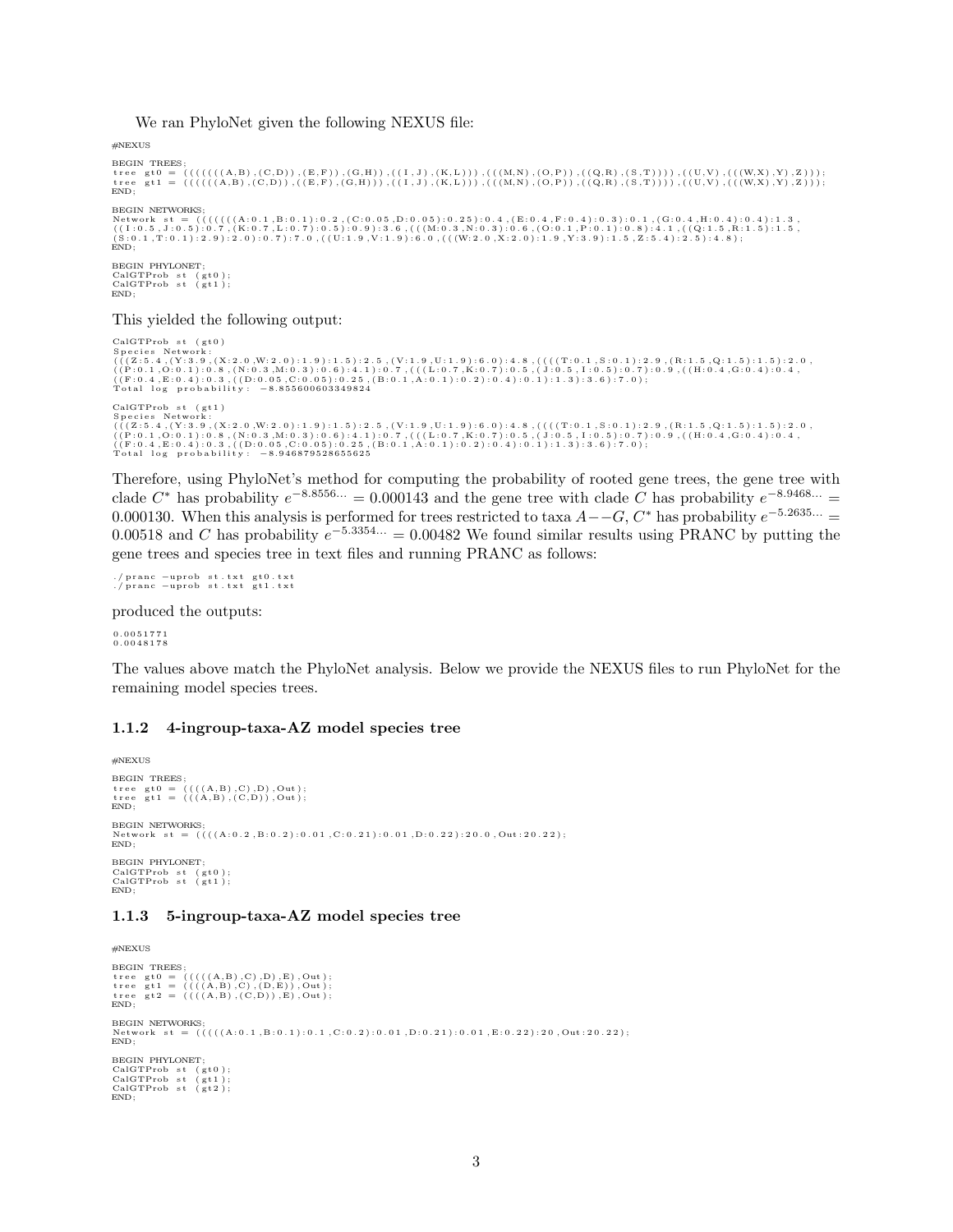We ran PhyloNet given the following NEXUS file:

#NEXUS

```
BEGIN TREES ;
 tree gt0 = (((((((A,B),(C,D)),(E,F)),(G,H)),((I,J),(K,L))),(((M,N),(O,P)),((Q,R),(S,T)))),((U,V),(((W,X),Y),Z)));<br>tree gt1 = ((((((A,B),(C,D)),((E,F),(G,H))),((I,J),(K,L))),(((M,N),(O,P)),((Q,R),(S,T))))),((U,V),(((W,X),Y)
END;
BEGIN NETWORKS
, Network st = (((((((A:0.1,B:0.1):0.2,(C:0.05,D:0.05):0.25):0.4,(E:0.4,F:0.4):0.3):0.1,(G:0.4,H:0.4):0.4):1.3<br>((I:0.5,J:0.5):0.7,(K:0.7,L:0.7):0.5):0.9):3.6,((M:0.3,N:0.3):0.6,(O:0.1,P:0.1,):0.8):4.1,(Q:1.5,R:1.5):1.5,<br>(S
END;
BEGIN PHYLONET:
CalGTProb st (gt0);<br>CalGTProb st (gt1);
END;
```
This yielded the following output:

```
CalGTProb st (gt0)Species Network;<br>(((Z:5.4,(Y:3.9,(X:2.0,W:2.0):1.9):1.5):2.5,(V:1.9,U:1.9):6.0):4.8,((((T:0.1,S:0.1):2.9,(R:1.5,Q:1.5):1.5):2.0,<br>((P:0.1,O:0.1):0.8,(N:0.3,M:0.3):0.6):4.1):0.7,(((L:0.7,K:0.7):0.5,(J:0.5,I:0.5):0.7):0.9,((H
CalGTProb st (gt1)<br>Species Network:
 Species Network;<br>(((Z:5.4,(Y:3.9,(X:2.0,W:2.0):1.9):1.5):2.5,(V:1.9,U:1.9):6.0):4.8,((((T:0.1,S:0.1):2.9,(R:1.5,Q:1.5):1.5):2.0,<br>((P:0.1,O:0.1):0.8,(N:0.3,M:0.3):0.6):4.1):0.7,(((L:0.7,K:0.7):0.5,(J:0.5,I:0.5):0.7):0.9,((H
```
Therefore, using PhyloNet's method for computing the probability of rooted gene trees, the gene tree with clade  $C^*$  has probability  $e^{-8.8556...} = 0.000143$  and the gene tree with clade C has probability  $e^{-8.9468...} =$ 0.000130. When this analysis is performed for trees restricted to taxa  $A -G, C^*$  has probability  $e^{-5.2635...}$  = 0.00518 and C has probability  $e^{-5.3354...} = 0.00482$  We found similar results using PRANC by putting the gene trees and species tree in text files and running PRANC as follows:

./pranc -uprob st.txt gt0.txt<br>./pranc -uprob st.txt gt1.txt

produced the outputs:

0 . 0 0 5 1 7 7 1 0 . 0 0 4 8 1 7 8

The values above match the PhyloNet analysis. Below we provide the NEXUS files to run PhyloNet for the remaining model species trees.

#### <span id="page-2-0"></span>1.1.2 4-ingroup-taxa-AZ model species tree

```
#NEXUS
BEGIN TREES;<br>tree gt0 = ((((A,B),C),D),Out);<br>tree gt1 = (((A,B),(C,D)),Out);
END;
BEGIN NETWORKS;<br>Network st = ((((A:0.2,B:0.2):0.01,C:0.21):0.01,D:0.22):20.0,Out:20.22);<br>END;
BEGIN PHYLONET;
CalGTProb st (gt0);<br>CalGTProb st (gt1);
END;
```
#### <span id="page-2-1"></span>1.1.3 5-ingroup-taxa-AZ model species tree

```
#NEXUS
BEGIN TREES ;
  \begin{array}{ll} \texttt{tree} & \texttt{gt0} = \ \left( \left( \left( \left( \left( \left( \texttt{A}, \texttt{B}\right), \texttt{C}\right), \texttt{D} \right), \texttt{E} \right), \texttt{Out} \right); \ \texttt{tree} & \texttt{gt1} = \ \left( \left( \left( \left( \texttt{A}, \texttt{B}\right), \texttt{C}, \texttt{D} \right) \right), \texttt{E} \right), \texttt{Out} \right); \ \texttt{true} & \texttt{gt2} = \ \left( \left( \left( \left( \texttt{A}, \texttt{B}\right), \texttt{C}, \textEND:
BEGIN NETWORKS;<br>Network st = (((((A:0.1,B:0.1):0.1,C:0.2):0.01,D:0.21):0.01,E:0.22):20,Out:20.22);<br>END;
BEGIN PHYLONET;
 CalGTProb st (gt0);<br>CalGTProb st (gt1);<br>CalGTProb st (gt2);
END;
```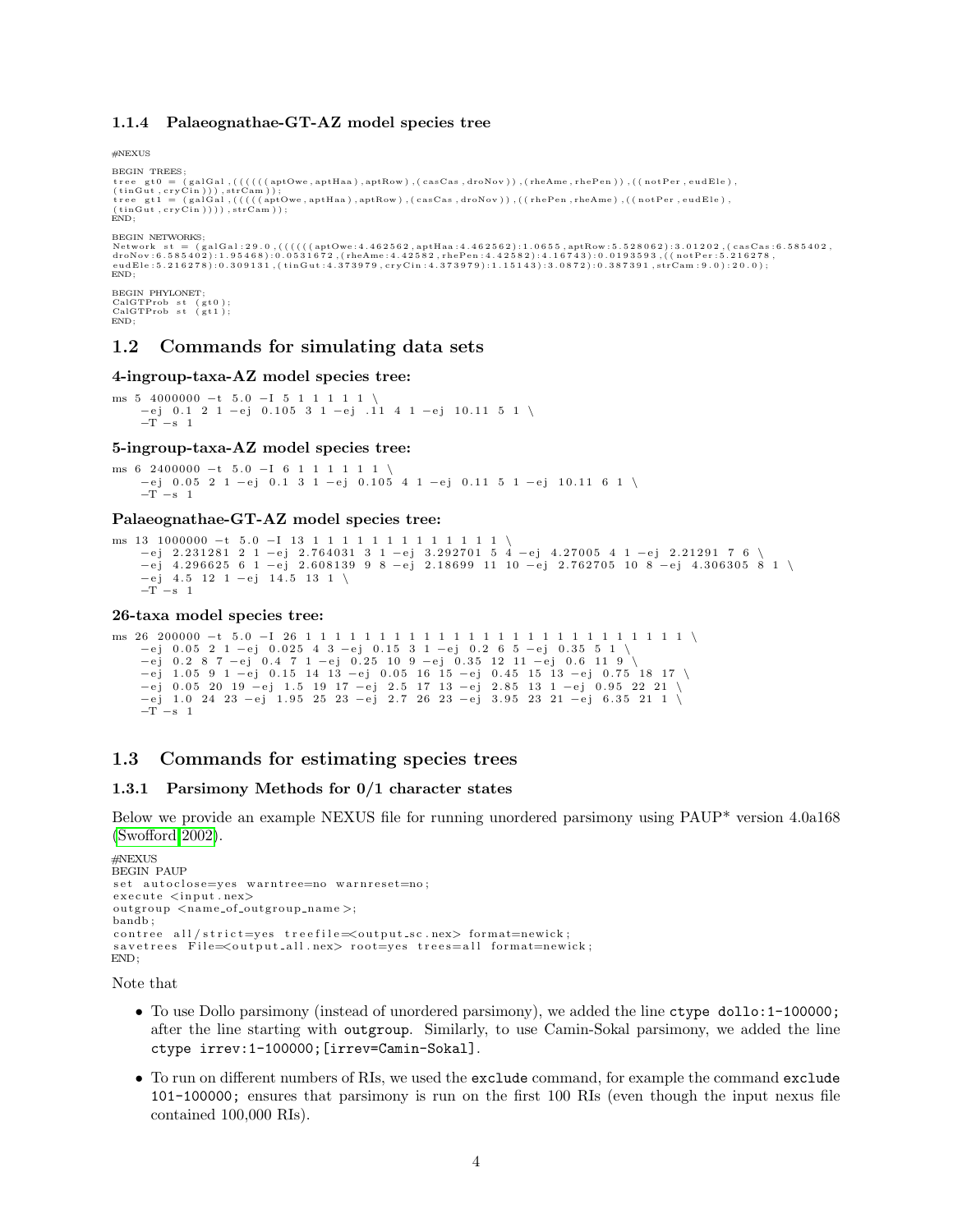#### <span id="page-3-0"></span>1.1.4 Palaeognathae-GT-AZ model species tree

#NEXUS

```
BEGIN TREES;<br>tree gt0 = (galGal,((((((aptOwe,aptHaa),aptRow),(casCas,droNov)),(rheAme,rhePen)),((notPer,eudEle),<br>(tinGut,cryCin))),strCam));<br>(tinGut,cryCin))),strCam));<br>(tinGut,cryCin))),strCam));<br>(HiGut,cryCin)))),strCam)
BEGIN NETWORKS;
Network st = (galGal:29.0,((((((aptOwe:4.462562,aptHaa:4.462562):1.0655,aptRow:5.528062):3.01202,(casCas:6.585402,<br>droNov:6.585402):1.95468):0.0531672,(rheAme:4.42582,rhePen:4.42582):4.16743):0.0193593,((notPer:5.216278,<br>e
END;
BEGIN PHYLONET
CalGTProb st (gt0);<br>CalGTProb st (gt1);
END;
```
### <span id="page-3-1"></span>1.2 Commands for simulating data sets

#### 4-ingroup-taxa-AZ model species tree:

ms  $5 \quad 4000000 - t \quad 5.0 \quad -1 \quad 5 \quad 1 \quad 1 \quad 1 \quad 1$ −e j 0 . 1 2 1 −e j 0 . 1 0 5 3 1 −e j . 1 1 4 1 −e j 1 0 . 1 1 5 1 \  $-T -s 1$ 

#### 5-ingroup-taxa-AZ model species tree:

ms 6 2400000 -t 5.0 -I 6 1 1 1 1 1 1 \ −e j 0 . 0 5 2 1 −e j 0 . 1 3 1 −e j 0 . 1 0 5 4 1 −e j 0 . 1 1 5 1 −e j 1 0 . 1 1 6 1 \  $-T$  –s 1

#### Palaeognathae-GT-AZ model species tree:

```
ms 13 1000000 -t 5.0 -I 13 1 1 1 1 1 1 1 1 1 1 1 1 1 1 1 \rightarrow<br>-ej 2.231281 2 1 -ej 2.764031 3 1 -ej 3.292701 5 4 -ej 4.27005 4 1 -ej 2.21291 7 6 \<br>-ej 4.296625 6 1 -ej 2.608139 9 8 -ej 2.18699 11 10 -ej 2.762705 10 8 -ej 
        -T –s 1
```
#### 26-taxa model species tree:

```
ms 26 200000 −t 5 . 0 −I 26 1 1 1 1 1 1 1 1 1 1 1 1 1 1 1 1 1 1 1 1 1 1 1 1 1 1 \
      −ej 0.05 2 1 −ej 0.025 4 3 −ej 0.15 3 1 −ej 0.2 6 5 −ej 0.35 5 1 \<br>−ej 0.2 8 7 −ej 0.4 7 1 −ej 0.25 10 9 −ej 0.35 12 11 −ej 0.6 11 9 \
      −ej 1.05 9 1 −ej 0.15 14 13 −ej 0.05 16 15 −ej 0.45 15 13 −ej 0.75 18 17 \<br>−ej 0.05 20 19 −ej 1.5 19 17 −ej 2.5 17 13 −ej 2.85 13 1 −ej 0.95 22 21 \
      −e j 1 . 0 24 23 −e j 1 . 9 5 25 23 −e j 2 . 7 26 23 −e j 3 . 9 5 23 21 −e j 6 . 3 5 21 1 \
      -T –s 1
```
#### <span id="page-3-2"></span>1.3 Commands for estimating species trees

#### <span id="page-3-3"></span>1.3.1 Parsimony Methods for 0/1 character states

Below we provide an example NEXUS file for running unordered parsimony using PAUP\* version 4.0a168 [\(Swofford 2002\)](#page-34-6).

```
#NEXUS
BEGIN PAUP
set autoclose=yes warntree=no warnreset=no;
e x e cute \langle input . nex \rangleoutgroup <name_of_outgroup_name >;
bandb ;
\text{counter} all /\text{strict=ves} treefile \leq \text{output} sc . nex > format=newick;
savetrees File=<output_all.nex> root=ves trees=all format=newick;
END;
```
Note that

- To use Dollo parsimony (instead of unordered parsimony), we added the line ctype dollo:1-100000; after the line starting with outgroup. Similarly, to use Camin-Sokal parsimony, we added the line ctype irrev:1-100000;[irrev=Camin-Sokal].
- To run on different numbers of RIs, we used the exclude command, for example the command exclude 101-100000; ensures that parsimony is run on the first 100 RIs (even though the input nexus file contained 100,000 RIs).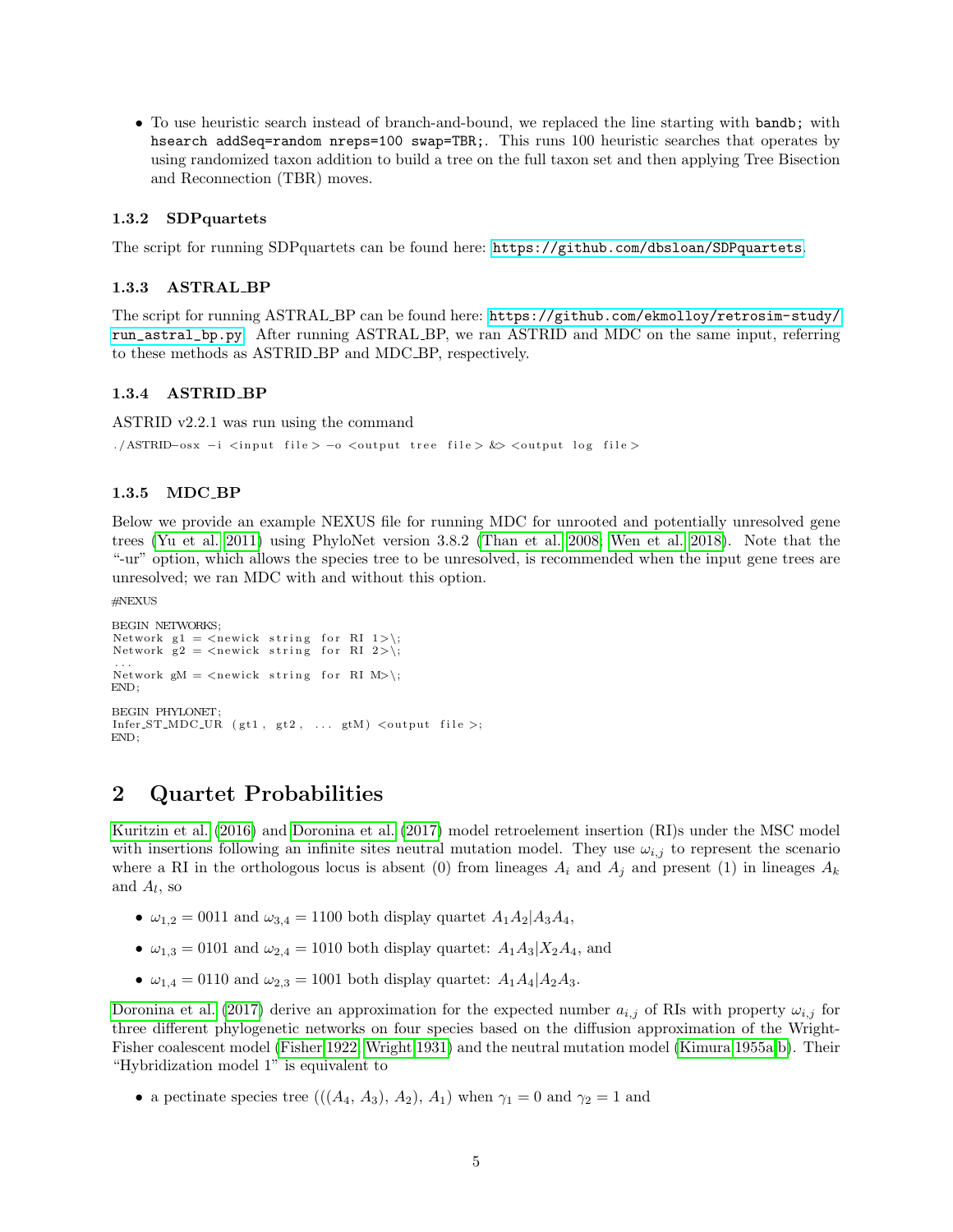• To use heuristic search instead of branch-and-bound, we replaced the line starting with bandb; with hsearch addSeq=random nreps=100 swap=TBR;. This runs 100 heuristic searches that operates by using randomized taxon addition to build a tree on the full taxon set and then applying Tree Bisection and Reconnection (TBR) moves.

### <span id="page-4-0"></span>1.3.2 SDPquartets

The script for running SDPquartets can be found here: <https://github.com/dbsloan/SDPquartets>.

#### <span id="page-4-1"></span>1.3.3 ASTRAL BP

The script for running ASTRAL BP can be found here: [https://github.com/ekmolloy/retrosim-study/](https://github.com/ekmolloy/retrosim-study/run_astral_bp.py) [run\\_astral\\_bp.py](https://github.com/ekmolloy/retrosim-study/run_astral_bp.py). After running ASTRAL BP, we ran ASTRID and MDC on the same input, referring to these methods as ASTRID BP and MDC BP, respectively.

#### <span id="page-4-2"></span>1.3.4 ASTRID BP

ASTRID v2.2.1 was run using the command

./ASTRID-osx -i <input file> -o <output tree file> &> <output log file>

#### <span id="page-4-3"></span>1.3.5 MDC BP

Below we provide an example NEXUS file for running MDC for unrooted and potentially unresolved gene trees [\(Yu et al. 2011\)](#page-34-7) using PhyloNet version 3.8.2 [\(Than et al. 2008;](#page-34-2) [Wen et al. 2018\)](#page-34-4). Note that the "-ur" option, which allows the species tree to be unresolved, is recommended when the input gene trees are unresolved; we ran MDC with and without this option.

#NEXUS

```
BEGIN NETWORKS;
Network g1 = \langle newick \text{ string for RI } 1 \rangle;
Network g2 = \text{<} newick string for RI 2>\;
...<br>Network gM = <newick string for RI M>\;
END;
BEGIN PHYLONET;
Infer\_ST\_MDC_UR (gt1, gt2, ... gtM) \ltoutput file >;
END;
```
### <span id="page-4-4"></span>2 Quartet Probabilities

[Kuritzin et al.](#page-34-8) [\(2016\)](#page-34-8) and [Doronina et al.](#page-34-0) [\(2017\)](#page-34-0) model retroelement insertion (RI)s under the MSC model with insertions following an infinite sites neutral mutation model. They use  $\omega_{i,j}$  to represent the scenario where a RI in the orthologous locus is absent (0) from lineages  $A_i$  and  $A_j$  and present (1) in lineages  $A_k$ and  $A_l$ , so

- $\omega_{1,2} = 0011$  and  $\omega_{3,4} = 1100$  both display quartet  $A_1A_2|A_3A_4$ ,
- $\omega_{1,3} = 0101$  and  $\omega_{2,4} = 1010$  both display quartet:  $A_1A_3|X_2A_4$ , and
- $\omega_{1,4} = 0110$  and  $\omega_{2,3} = 1001$  both display quartet:  $A_1A_4|A_2A_3$ .

[Doronina et al.](#page-34-0) [\(2017\)](#page-34-0) derive an approximation for the expected number  $a_{i,j}$  of RIs with property  $\omega_{i,j}$  for three different phylogenetic networks on four species based on the diffusion approximation of the Wright-Fisher coalescent model [\(Fisher 1922;](#page-34-9) [Wright 1931\)](#page-34-10) and the neutral mutation model [\(Kimura 1955a,](#page-34-11)[b\)](#page-34-12). Their "Hybridization model 1" is equivalent to

• a pectinate species tree  $(((A_4, A_3), A_2), A_1)$  when  $\gamma_1 = 0$  and  $\gamma_2 = 1$  and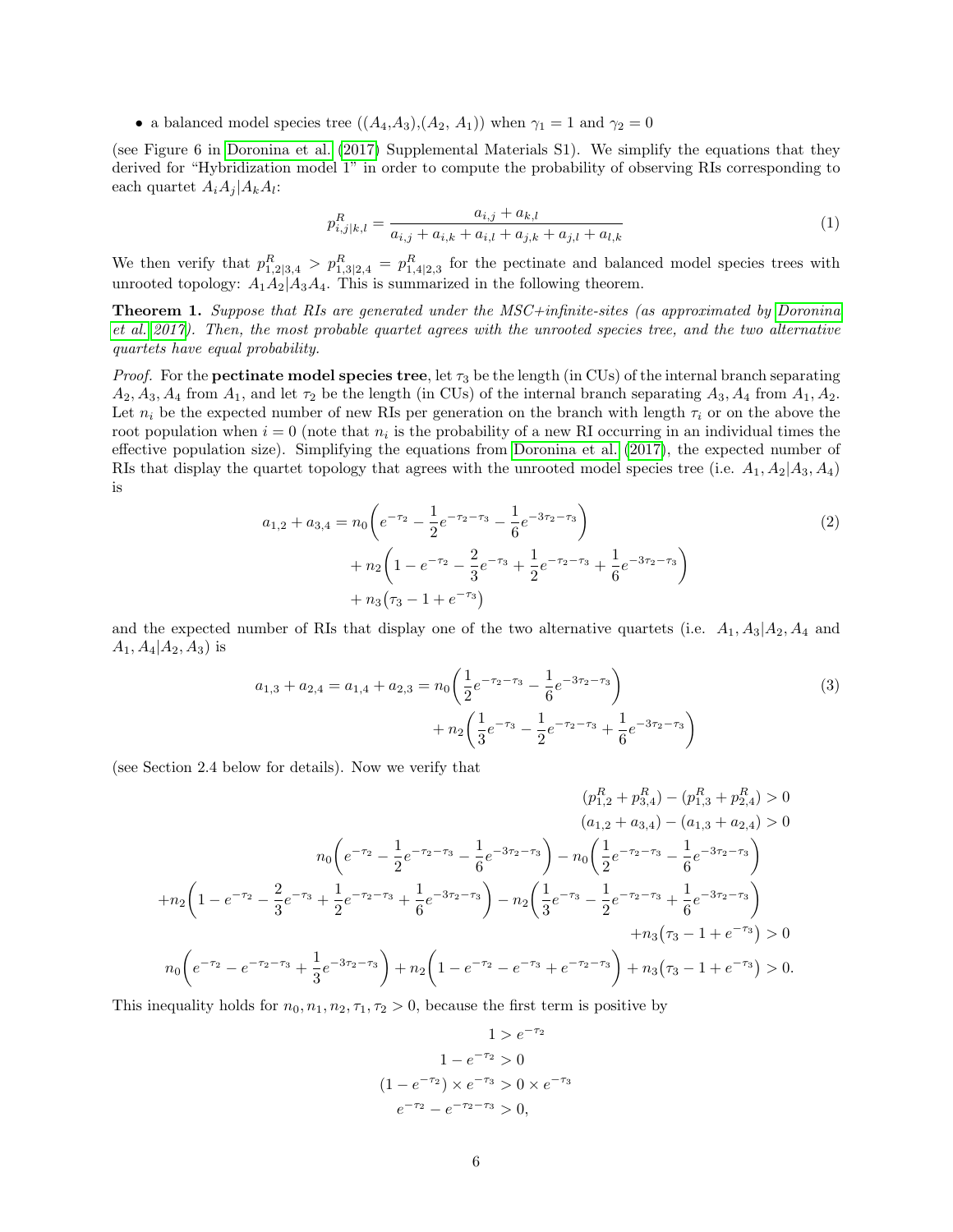• a balanced model species tree  $((A_4, A_3), (A_2, A_1))$  when  $\gamma_1 = 1$  and  $\gamma_2 = 0$ 

(see Figure 6 in [Doronina et al.](#page-34-0) [\(2017\)](#page-34-0) Supplemental Materials S1). We simplify the equations that they derived for "Hybridization model 1" in order to compute the probability of observing RIs corresponding to each quartet  $A_i A_j | A_k A_l$ :

<span id="page-5-2"></span>
$$
p_{i,j|k,l}^R = \frac{a_{i,j} + a_{k,l}}{a_{i,j} + a_{i,k} + a_{i,l} + a_{j,k} + a_{j,l} + a_{l,k}}
$$
(1)

We then verify that  $p_{1,2|3,4}^R > p_{1,3|2,4}^R = p_{1,4|2,3}^R$  for the pectinate and balanced model species trees with unrooted topology:  $A_1A_2|A_3A_4$ . This is summarized in the following theorem.

**Theorem 1.** Suppose that RIs are generated under the MSC+infinite-sites (as approximated by [Doronina](#page-34-0) [et al. 2017\)](#page-34-0). Then, the most probable quartet agrees with the unrooted species tree, and the two alternative quartets have equal probability.

*Proof.* For the **pectinate model species tree**, let  $\tau_3$  be the length (in CUs) of the internal branch separating  $A_2, A_3, A_4$  from  $A_1$ , and let  $\tau_2$  be the length (in CUs) of the internal branch separating  $A_3, A_4$  from  $A_1, A_2$ . Let  $n_i$  be the expected number of new RIs per generation on the branch with length  $\tau_i$  or on the above the root population when  $i = 0$  (note that  $n_i$  is the probability of a new RI occurring in an individual times the effective population size). Simplifying the equations from [Doronina et al.](#page-34-0) [\(2017\)](#page-34-0), the expected number of RIs that display the quartet topology that agrees with the unrooted model species tree (i.e.  $A_1, A_2|A_3, A_4$ ) is

<span id="page-5-0"></span>
$$
a_{1,2} + a_{3,4} = n_0 \left( e^{-\tau_2} - \frac{1}{2} e^{-\tau_2 - \tau_3} - \frac{1}{6} e^{-3\tau_2 - \tau_3} \right) + n_2 \left( 1 - e^{-\tau_2} - \frac{2}{3} e^{-\tau_3} + \frac{1}{2} e^{-\tau_2 - \tau_3} + \frac{1}{6} e^{-3\tau_2 - \tau_3} \right) + n_3 (\tau_3 - 1 + e^{-\tau_3})
$$
(2)

and the expected number of RIs that display one of the two alternative quartets (i.e.  $A_1, A_3|A_2, A_4$  and  $A_1, A_4|A_2, A_3$ ) is

<span id="page-5-1"></span>
$$
a_{1,3} + a_{2,4} = a_{1,4} + a_{2,3} = n_0 \left( \frac{1}{2} e^{-\tau_2 - \tau_3} - \frac{1}{6} e^{-3\tau_2 - \tau_3} \right) + n_2 \left( \frac{1}{3} e^{-\tau_3} - \frac{1}{2} e^{-\tau_2 - \tau_3} + \frac{1}{6} e^{-3\tau_2 - \tau_3} \right)
$$
(3)

(see Section 2.4 below for details). Now we verify that

$$
(p_{1,2}^{R} + p_{3,4}^{R}) - (p_{1,3}^{R} + p_{2,4}^{R}) > 0
$$
\n
$$
(a_{1,2} + a_{3,4}) - (a_{1,3} + a_{2,4}) > 0
$$
\n
$$
n_{0} \left( e^{-\tau_{2}} - \frac{1}{2} e^{-\tau_{2} - \tau_{3}} - \frac{1}{6} e^{-3\tau_{2} - \tau_{3}} \right) - n_{0} \left( \frac{1}{2} e^{-\tau_{2} - \tau_{3}} - \frac{1}{6} e^{-3\tau_{2} - \tau_{3}} \right)
$$
\n
$$
+ n_{2} \left( 1 - e^{-\tau_{2}} - \frac{2}{3} e^{-\tau_{3}} + \frac{1}{2} e^{-\tau_{2} - \tau_{3}} + \frac{1}{6} e^{-3\tau_{2} - \tau_{3}} \right) - n_{2} \left( \frac{1}{3} e^{-\tau_{3}} - \frac{1}{2} e^{-\tau_{2} - \tau_{3}} + \frac{1}{6} e^{-3\tau_{2} - \tau_{3}} \right)
$$
\n
$$
+ n_{3} \left( \tau_{3} - 1 + e^{-\tau_{3}} \right) > 0
$$
\n
$$
n_{0} \left( e^{-\tau_{2}} - e^{-\tau_{2} - \tau_{3}} + \frac{1}{3} e^{-3\tau_{2} - \tau_{3}} \right) + n_{2} \left( 1 - e^{-\tau_{2}} - e^{-\tau_{3}} + e^{-\tau_{2} - \tau_{3}} \right) + n_{3} \left( \tau_{3} - 1 + e^{-\tau_{3}} \right) > 0.
$$

This inequality holds for  $n_0, n_1, n_2, \tau_1, \tau_2 > 0$ , because the first term is positive by

$$
1 > e^{-\tau_2}
$$

$$
1 - e^{-\tau_2} > 0
$$

$$
(1 - e^{-\tau_2}) \times e^{-\tau_3} > 0 \times e^{-\tau_3}
$$

$$
e^{-\tau_2} - e^{-\tau_2 - \tau_3} > 0,
$$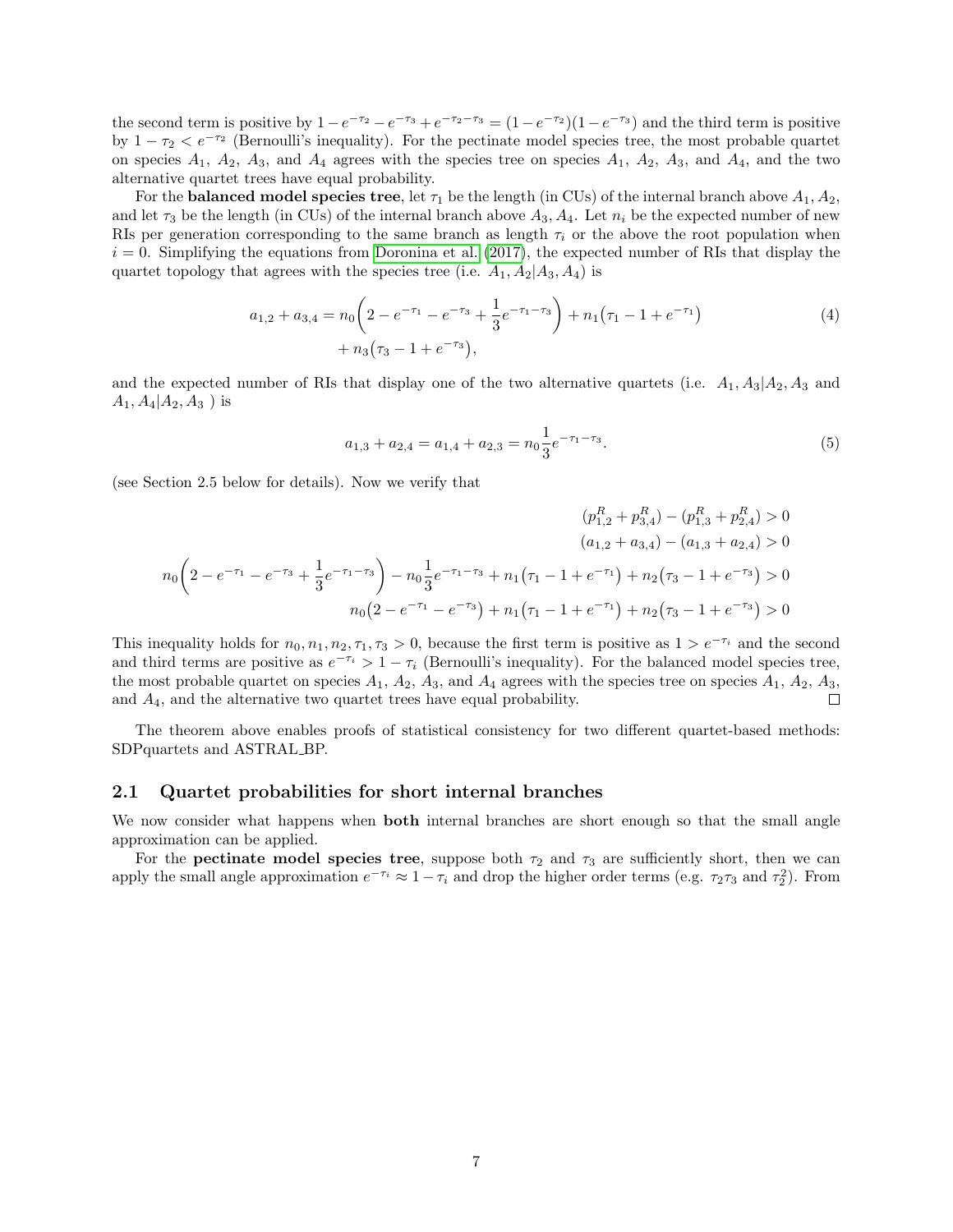the second term is positive by  $1 - e^{-\tau_2} - e^{-\tau_3} + e^{-\tau_2 - \tau_3} = (1 - e^{-\tau_2})(1 - e^{-\tau_3})$  and the third term is positive by  $1 - \tau_2 < e^{-\tau_2}$  (Bernoulli's inequality). For the pectinate model species tree, the most probable quartet on species  $A_1$ ,  $A_2$ ,  $A_3$ , and  $A_4$  agrees with the species tree on species  $A_1$ ,  $A_2$ ,  $A_3$ , and  $A_4$ , and the two alternative quartet trees have equal probability.

For the **balanced model species tree**, let  $\tau_1$  be the length (in CUs) of the internal branch above  $A_1, A_2,$ and let  $\tau_3$  be the length (in CUs) of the internal branch above  $A_3, A_4$ . Let  $n_i$  be the expected number of new RIs per generation corresponding to the same branch as length  $\tau_i$  or the above the root population when  $i = 0$ . Simplifying the equations from [Doronina et al.](#page-34-0) [\(2017\)](#page-34-0), the expected number of RIs that display the quartet topology that agrees with the species tree (i.e.  $A_1, A_2|A_3, A_4$ ) is

$$
a_{1,2} + a_{3,4} = n_0 \left( 2 - e^{-\tau_1} - e^{-\tau_3} + \frac{1}{3} e^{-\tau_1 - \tau_3} \right) + n_1 (\tau_1 - 1 + e^{-\tau_1})
$$
  
+ 
$$
n_3 (\tau_3 - 1 + e^{-\tau_3}),
$$
 (4)

and the expected number of RIs that display one of the two alternative quartets (i.e.  $A_1, A_3|A_2, A_3$  and  $A_1, A_4 | A_2, A_3$ ) is

<span id="page-6-2"></span><span id="page-6-1"></span>
$$
a_{1,3} + a_{2,4} = a_{1,4} + a_{2,3} = n_0 \frac{1}{3} e^{-\tau_1 - \tau_3}.
$$
\n<sup>(5)</sup>

(see Section 2.5 below for details). Now we verify that

$$
(p_{1,2}^R + p_{3,4}^R) - (p_{1,3}^R + p_{2,4}^R) > 0
$$

$$
(a_{1,2} + a_{3,4}) - (a_{1,3} + a_{2,4}) > 0
$$

$$
n_0 \left(2 - e^{-\tau_1} - e^{-\tau_3} + \frac{1}{3}e^{-\tau_1 - \tau_3}\right) - n_0 \frac{1}{3}e^{-\tau_1 - \tau_3} + n_1(\tau_1 - 1 + e^{-\tau_1}) + n_2(\tau_3 - 1 + e^{-\tau_3}) > 0
$$

$$
n_0(2 - e^{-\tau_1} - e^{-\tau_3}) + n_1(\tau_1 - 1 + e^{-\tau_1}) + n_2(\tau_3 - 1 + e^{-\tau_3}) > 0
$$

This inequality holds for  $n_0, n_1, n_2, \tau_1, \tau_3 > 0$ , because the first term is positive as  $1 > e^{-\tau_i}$  and the second and third terms are positive as  $e^{-\tau_i} > 1 - \tau_i$  (Bernoulli's inequality). For the balanced model species tree, the most probable quartet on species  $A_1$ ,  $A_2$ ,  $A_3$ , and  $A_4$  agrees with the species tree on species  $A_1$ ,  $A_2$ ,  $A_3$ , and  $A_4$ , and the alternative two quartet trees have equal probability.  $\Box$ 

The theorem above enables proofs of statistical consistency for two different quartet-based methods: SDPquartets and ASTRAL BP.

#### <span id="page-6-0"></span>2.1 Quartet probabilities for short internal branches

We now consider what happens when **both** internal branches are short enough so that the small angle approximation can be applied.

For the **pectinate model species tree**, suppose both  $\tau_2$  and  $\tau_3$  are sufficiently short, then we can apply the small angle approximation  $e^{-\tau_i} \approx 1 - \tau_i$  and drop the higher order terms (e.g.  $\tau_2 \tau_3$  and  $\tau_2^2$ ). From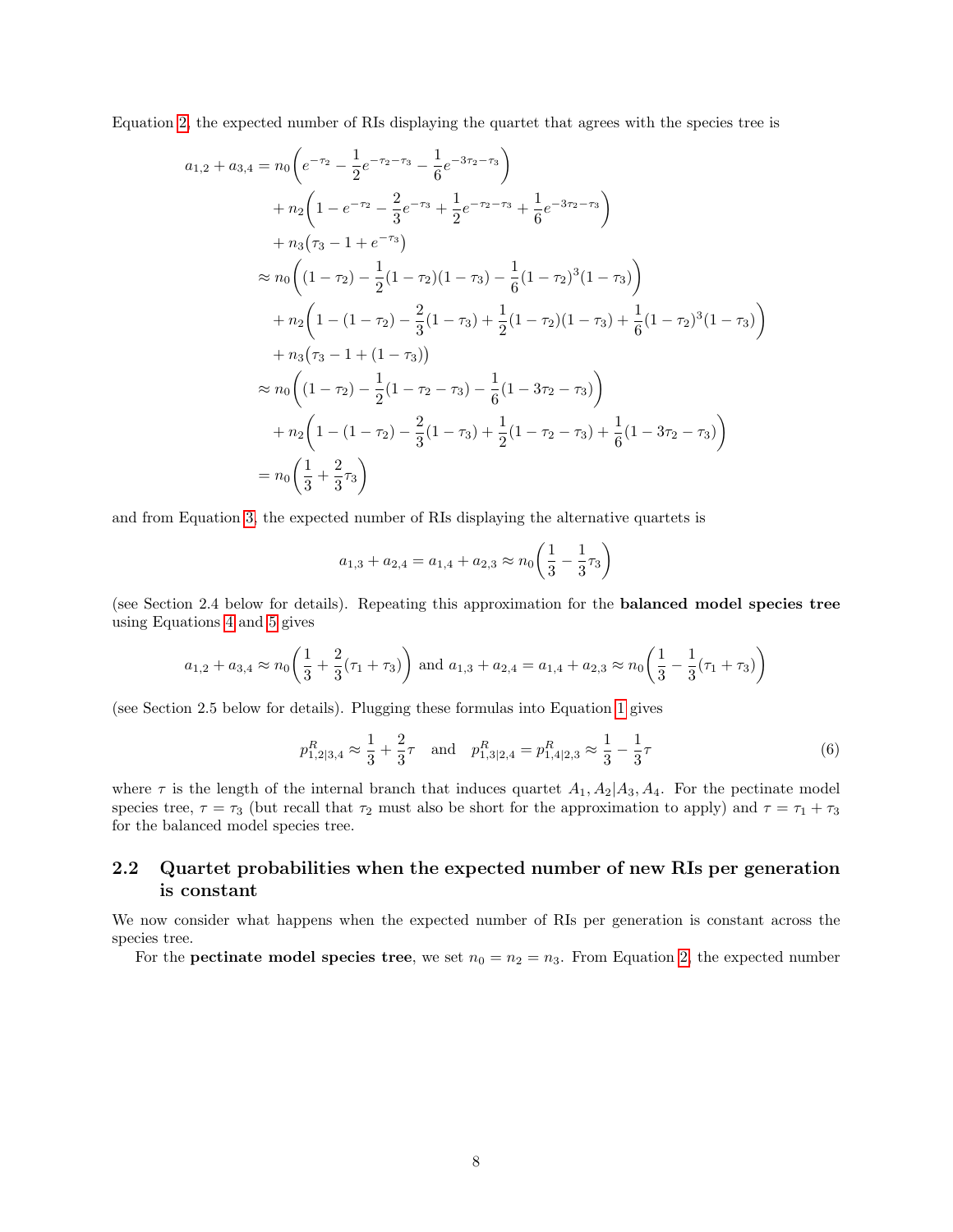Equation [2,](#page-5-0) the expected number of RIs displaying the quartet that agrees with the species tree is

$$
a_{1,2} + a_{3,4} = n_0 \left( e^{-\tau_2} - \frac{1}{2} e^{-\tau_2 - \tau_3} - \frac{1}{6} e^{-3\tau_2 - \tau_3} \right)
$$
  
+  $n_2 \left( 1 - e^{-\tau_2} - \frac{2}{3} e^{-\tau_3} + \frac{1}{2} e^{-\tau_2 - \tau_3} + \frac{1}{6} e^{-3\tau_2 - \tau_3} \right)$   
+  $n_3 (\tau_3 - 1 + e^{-\tau_3})$   

$$
\approx n_0 \left( (1 - \tau_2) - \frac{1}{2} (1 - \tau_2) (1 - \tau_3) - \frac{1}{6} (1 - \tau_2)^3 (1 - \tau_3) \right)
$$
  
+  $n_2 \left( 1 - (1 - \tau_2) - \frac{2}{3} (1 - \tau_3) + \frac{1}{2} (1 - \tau_2) (1 - \tau_3) + \frac{1}{6} (1 - \tau_2)^3 (1 - \tau_3) \right)$   
+  $n_3 (\tau_3 - 1 + (1 - \tau_3))$   

$$
\approx n_0 \left( (1 - \tau_2) - \frac{1}{2} (1 - \tau_2 - \tau_3) - \frac{1}{6} (1 - 3\tau_2 - \tau_3) \right)
$$
  
+  $n_2 \left( 1 - (1 - \tau_2) - \frac{2}{3} (1 - \tau_3) + \frac{1}{2} (1 - \tau_2 - \tau_3) + \frac{1}{6} (1 - 3\tau_2 - \tau_3) \right)$   
=  $n_0 \left( \frac{1}{3} + \frac{2}{3} \tau_3 \right)$ 

and from Equation [3,](#page-5-1) the expected number of RIs displaying the alternative quartets is

$$
a_{1,3} + a_{2,4} = a_{1,4} + a_{2,3} \approx n_0 \left(\frac{1}{3} - \frac{1}{3}\tau_3\right)
$$

(see Section 2.4 below for details). Repeating this approximation for the balanced model species tree using Equations [4](#page-6-1) and [5](#page-6-2) gives

$$
a_{1,2} + a_{3,4} \approx n_0 \left(\frac{1}{3} + \frac{2}{3}(\tau_1 + \tau_3)\right)
$$
 and  $a_{1,3} + a_{2,4} = a_{1,4} + a_{2,3} \approx n_0 \left(\frac{1}{3} - \frac{1}{3}(\tau_1 + \tau_3)\right)$ 

(see Section 2.5 below for details). Plugging these formulas into Equation [1](#page-5-2) gives

$$
p_{1,2|3,4}^R \approx \frac{1}{3} + \frac{2}{3}\tau \quad \text{and} \quad p_{1,3|2,4}^R = p_{1,4|2,3}^R \approx \frac{1}{3} - \frac{1}{3}\tau \tag{6}
$$

where  $\tau$  is the length of the internal branch that induces quartet  $A_1, A_2|A_3, A_4$ . For the pectinate model species tree,  $\tau = \tau_3$  (but recall that  $\tau_2$  must also be short for the approximation to apply) and  $\tau = \tau_1 + \tau_3$ for the balanced model species tree.

### <span id="page-7-0"></span>2.2 Quartet probabilities when the expected number of new RIs per generation is constant

We now consider what happens when the expected number of RIs per generation is constant across the species tree.

For the **pectinate model species tree**, we set  $n_0 = n_2 = n_3$ . From Equation [2,](#page-5-0) the expected number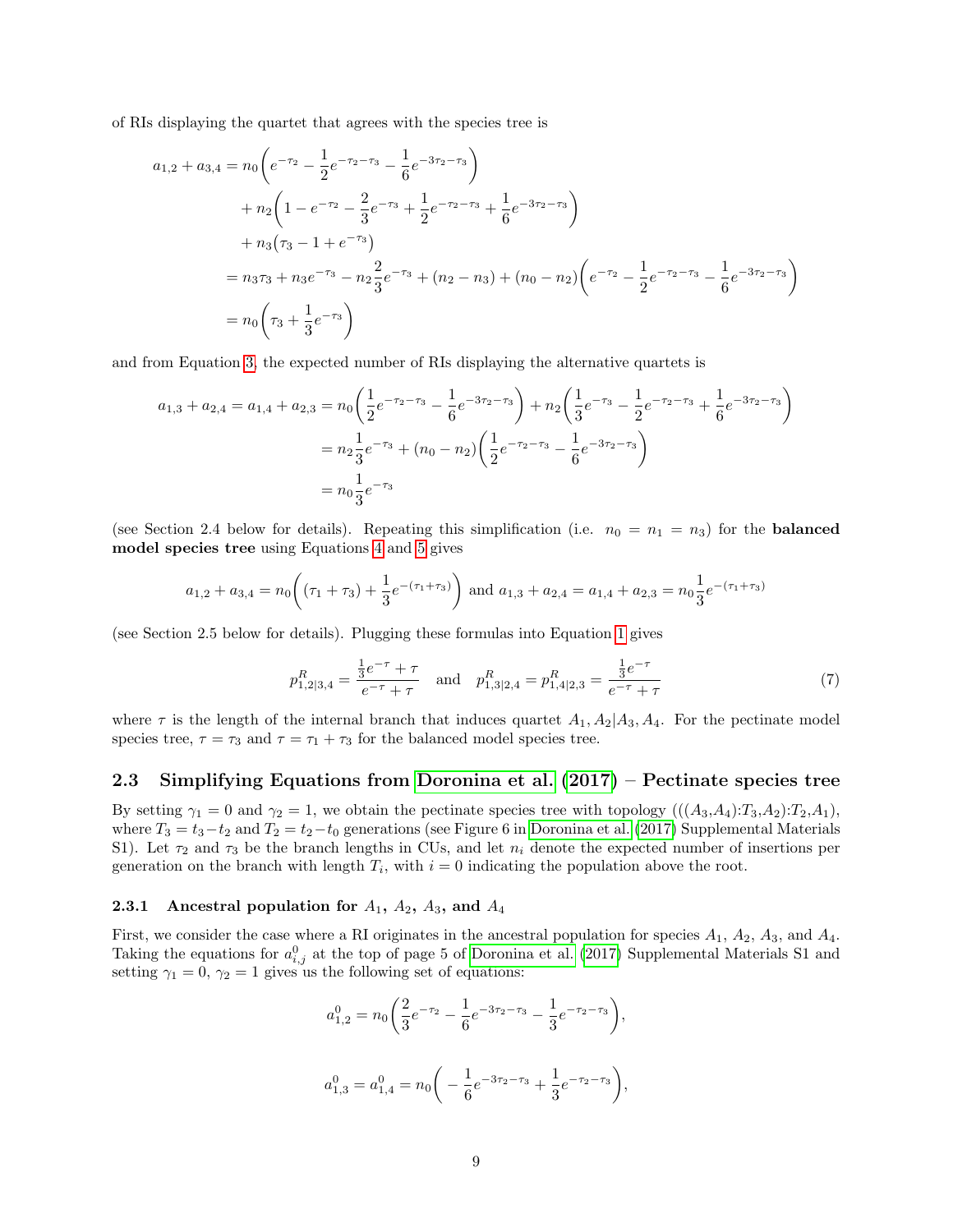of RIs displaying the quartet that agrees with the species tree is

$$
a_{1,2} + a_{3,4} = n_0 \left( e^{-\tau_2} - \frac{1}{2} e^{-\tau_2 - \tau_3} - \frac{1}{6} e^{-3\tau_2 - \tau_3} \right)
$$
  
+  $n_2 \left( 1 - e^{-\tau_2} - \frac{2}{3} e^{-\tau_3} + \frac{1}{2} e^{-\tau_2 - \tau_3} + \frac{1}{6} e^{-3\tau_2 - \tau_3} \right)$   
+  $n_3 (\tau_3 - 1 + e^{-\tau_3})$   
=  $n_3 \tau_3 + n_3 e^{-\tau_3} - n_2 \frac{2}{3} e^{-\tau_3} + (n_2 - n_3) + (n_0 - n_2) \left( e^{-\tau_2} - \frac{1}{2} e^{-\tau_2 - \tau_3} - \frac{1}{6} e^{-3\tau_2 - \tau_3} \right)$   
=  $n_0 \left( \tau_3 + \frac{1}{3} e^{-\tau_3} \right)$ 

and from Equation [3,](#page-5-1) the expected number of RIs displaying the alternative quartets is

$$
a_{1,3} + a_{2,4} = a_{1,4} + a_{2,3} = n_0 \left( \frac{1}{2} e^{-\tau_2 - \tau_3} - \frac{1}{6} e^{-3\tau_2 - \tau_3} \right) + n_2 \left( \frac{1}{3} e^{-\tau_3} - \frac{1}{2} e^{-\tau_2 - \tau_3} + \frac{1}{6} e^{-3\tau_2 - \tau_3} \right)
$$
  
=  $n_2 \frac{1}{3} e^{-\tau_3} + (n_0 - n_2) \left( \frac{1}{2} e^{-\tau_2 - \tau_3} - \frac{1}{6} e^{-3\tau_2 - \tau_3} \right)$   
=  $n_0 \frac{1}{3} e^{-\tau_3}$ 

(see Section 2.4 below for details). Repeating this simplification (i.e.  $n_0 = n_1 = n_3$ ) for the **balanced** model species tree using Equations [4](#page-6-1) and [5](#page-6-2) gives

$$
a_{1,2} + a_{3,4} = n_0 \left( (\tau_1 + \tau_3) + \frac{1}{3} e^{-(\tau_1 + \tau_3)} \right)
$$
 and  $a_{1,3} + a_{2,4} = a_{1,4} + a_{2,3} = n_0 \frac{1}{3} e^{-(\tau_1 + \tau_3)}$ 

(see Section 2.5 below for details). Plugging these formulas into Equation [1](#page-5-2) gives

$$
p_{1,2|3,4}^R = \frac{\frac{1}{3}e^{-\tau} + \tau}{e^{-\tau} + \tau} \quad \text{and} \quad p_{1,3|2,4}^R = p_{1,4|2,3}^R = \frac{\frac{1}{3}e^{-\tau}}{e^{-\tau} + \tau}
$$
(7)

where  $\tau$  is the length of the internal branch that induces quartet  $A_1, A_2|A_3, A_4$ . For the pectinate model species tree,  $\tau = \tau_3$  and  $\tau = \tau_1 + \tau_3$  for the balanced model species tree.

### <span id="page-8-0"></span>2.3 Simplifying Equations from [Doronina et al.](#page-34-0) [\(2017\)](#page-34-0) – Pectinate species tree

By setting  $\gamma_1 = 0$  and  $\gamma_2 = 1$ , we obtain the pectinate species tree with topology  $(((A_3, A_4):T_3, A_2):T_2, A_1)$ , where  $T_3 = t_3 - t_2$  and  $T_2 = t_2 - t_0$  generations (see Figure 6 in [Doronina et al.](#page-34-0) [\(2017\)](#page-34-0) Supplemental Materials S1). Let  $\tau_2$  and  $\tau_3$  be the branch lengths in CUs, and let  $n_i$  denote the expected number of insertions per generation on the branch with length  $T_i$ , with  $i = 0$  indicating the population above the root.

#### <span id="page-8-1"></span>2.3.1 Ancestral population for  $A_1$ ,  $A_2$ ,  $A_3$ , and  $A_4$

First, we consider the case where a RI originates in the ancestral population for species  $A_1$ ,  $A_2$ ,  $A_3$ , and  $A_4$ . Taking the equations for  $a_{i,j}^0$  at the top of page 5 of [Doronina et al.](#page-34-0) [\(2017\)](#page-34-0) Supplemental Materials S1 and setting  $\gamma_1 = 0$ ,  $\gamma_2 = 1$  gives us the following set of equations:

$$
a_{1,2}^0 = n_0 \left( \frac{2}{3} e^{-\tau_2} - \frac{1}{6} e^{-3\tau_2 - \tau_3} - \frac{1}{3} e^{-\tau_2 - \tau_3} \right),
$$
  

$$
a_{1,3}^0 = a_{1,4}^0 = n_0 \left( -\frac{1}{6} e^{-3\tau_2 - \tau_3} + \frac{1}{3} e^{-\tau_2 - \tau_3} \right),
$$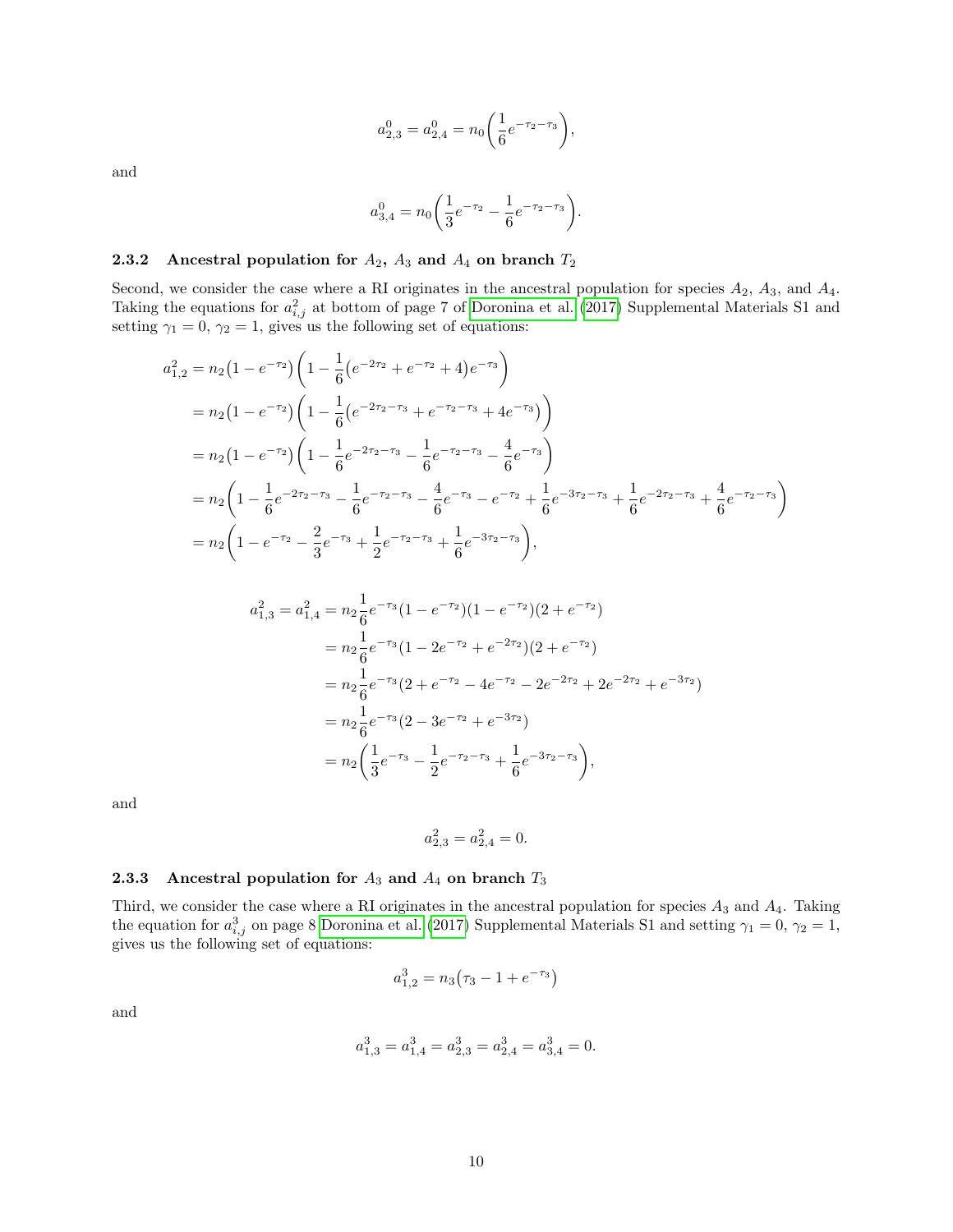$$
a_{2,3}^0 = a_{2,4}^0 = n_0 \left(\frac{1}{6}e^{-\tau_2 - \tau_3}\right),
$$

and

$$
a_{3,4}^0 = n_0 \bigg( \frac{1}{3} e^{-\tau_2} - \frac{1}{6} e^{-\tau_2 - \tau_3} \bigg).
$$

### <span id="page-9-0"></span>2.3.2 Ancestral population for  $A_2$ ,  $A_3$  and  $A_4$  on branch  $T_2$

Second, we consider the case where a RI originates in the ancestral population for species  $A_2$ ,  $A_3$ , and  $A_4$ . Taking the equations for  $a_{i,j}^2$  at bottom of page 7 of [Doronina et al.](#page-34-0) [\(2017\)](#page-34-0) Supplemental Materials S1 and setting  $\gamma_1 = 0$ ,  $\gamma_2 = 1$ , gives us the following set of equations:

$$
a_{1,2}^2 = n_2 (1 - e^{-\tau_2}) \left( 1 - \frac{1}{6} \left( e^{-2\tau_2} + e^{-\tau_2} + 4 \right) e^{-\tau_3} \right)
$$
  
\n
$$
= n_2 (1 - e^{-\tau_2}) \left( 1 - \frac{1}{6} \left( e^{-2\tau_2 - \tau_3} + e^{-\tau_2 - \tau_3} + 4 e^{-\tau_3} \right) \right)
$$
  
\n
$$
= n_2 (1 - e^{-\tau_2}) \left( 1 - \frac{1}{6} e^{-2\tau_2 - \tau_3} - \frac{1}{6} e^{-\tau_2 - \tau_3} - \frac{4}{6} e^{-\tau_3} \right)
$$
  
\n
$$
= n_2 \left( 1 - \frac{1}{6} e^{-2\tau_2 - \tau_3} - \frac{1}{6} e^{-\tau_2 - \tau_3} - \frac{4}{6} e^{-\tau_3} - e^{-\tau_2} + \frac{1}{6} e^{-3\tau_2 - \tau_3} + \frac{1}{6} e^{-2\tau_2 - \tau_3} + \frac{4}{6} e^{-\tau_2 - \tau_3} \right)
$$
  
\n
$$
= n_2 \left( 1 - e^{-\tau_2} - \frac{2}{3} e^{-\tau_3} + \frac{1}{2} e^{-\tau_2 - \tau_3} + \frac{1}{6} e^{-3\tau_2 - \tau_3} \right),
$$

$$
a_{1,3}^2 = a_{1,4}^2 = n_2 \frac{1}{6} e^{-\tau_3} (1 - e^{-\tau_2}) (1 - e^{-\tau_2}) (2 + e^{-\tau_2})
$$
  
\n
$$
= n_2 \frac{1}{6} e^{-\tau_3} (1 - 2e^{-\tau_2} + e^{-2\tau_2}) (2 + e^{-\tau_2})
$$
  
\n
$$
= n_2 \frac{1}{6} e^{-\tau_3} (2 + e^{-\tau_2} - 4e^{-\tau_2} - 2e^{-2\tau_2} + 2e^{-2\tau_2} + e^{-3\tau_2})
$$
  
\n
$$
= n_2 \frac{1}{6} e^{-\tau_3} (2 - 3e^{-\tau_2} + e^{-3\tau_2})
$$
  
\n
$$
= n_2 \left( \frac{1}{3} e^{-\tau_3} - \frac{1}{2} e^{-\tau_2 - \tau_3} + \frac{1}{6} e^{-3\tau_2 - \tau_3} \right),
$$

and

$$
a_{2,3}^2 = a_{2,4}^2 = 0.
$$

### <span id="page-9-1"></span>**2.3.3** Ancestral population for  $A_3$  and  $A_4$  on branch  $T_3$

Third, we consider the case where a RI originates in the ancestral population for species  $A_3$  and  $A_4$ . Taking the equation for  $a_{i,j}^3$  on page 8 [Doronina et al.](#page-34-0) [\(2017\)](#page-34-0) Supplemental Materials S1 and setting  $\gamma_1 = 0$ ,  $\gamma_2 = 1$ , gives us the following set of equations:

$$
a_{1,2}^3=n_3\bigl(\tau_3-1+e^{-\tau_3}\bigr)
$$

and

$$
a_{1,3}^3 = a_{1,4}^3 = a_{2,3}^3 = a_{2,4}^3 = a_{3,4}^3 = 0.
$$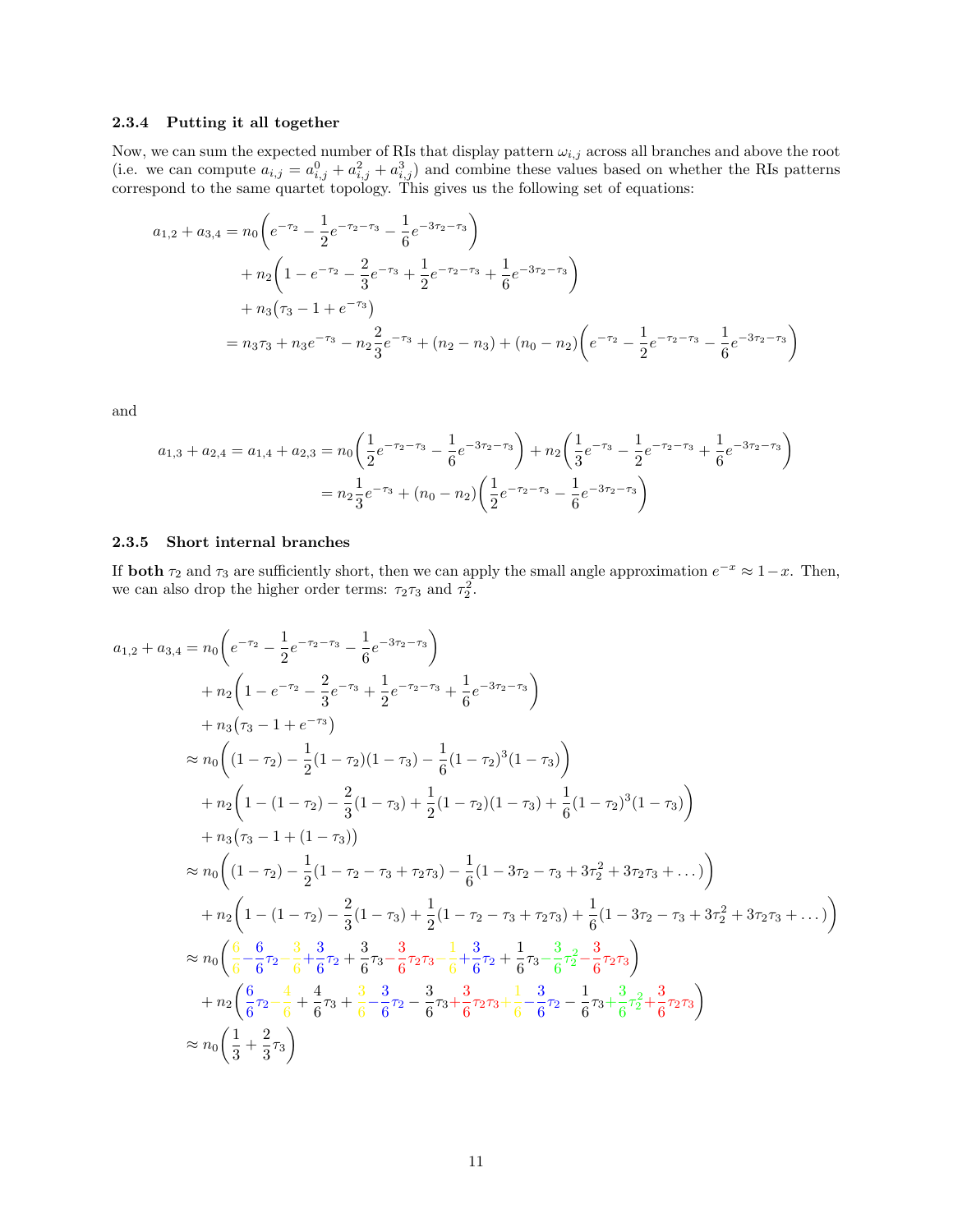#### <span id="page-10-0"></span>2.3.4 Putting it all together

Now, we can sum the expected number of RIs that display pattern  $\omega_{i,j}$  across all branches and above the root (i.e. we can compute  $a_{i,j} = a_{i,j}^0 + a_{i,j}^2 + a_{i,j}^3$ ) and combine these values based on whether the RIs patterns correspond to the same quartet topology. This gives us the following set of equations:

$$
a_{1,2} + a_{3,4} = n_0 \left( e^{-\tau_2} - \frac{1}{2} e^{-\tau_2 - \tau_3} - \frac{1}{6} e^{-3\tau_2 - \tau_3} \right)
$$
  
+ 
$$
n_2 \left( 1 - e^{-\tau_2} - \frac{2}{3} e^{-\tau_3} + \frac{1}{2} e^{-\tau_2 - \tau_3} + \frac{1}{6} e^{-3\tau_2 - \tau_3} \right)
$$
  
+ 
$$
n_3 (\tau_3 - 1 + e^{-\tau_3})
$$
  
= 
$$
n_3 \tau_3 + n_3 e^{-\tau_3} - n_2 \frac{2}{3} e^{-\tau_3} + (n_2 - n_3) + (n_0 - n_2) \left( e^{-\tau_2} - \frac{1}{2} e^{-\tau_2 - \tau_3} - \frac{1}{6} e^{-3\tau_2 - \tau_3} \right)
$$

and

$$
a_{1,3} + a_{2,4} = a_{1,4} + a_{2,3} = n_0 \left( \frac{1}{2} e^{-\tau_2 - \tau_3} - \frac{1}{6} e^{-3\tau_2 - \tau_3} \right) + n_2 \left( \frac{1}{3} e^{-\tau_3} - \frac{1}{2} e^{-\tau_2 - \tau_3} + \frac{1}{6} e^{-3\tau_2 - \tau_3} \right)
$$

$$
= n_2 \frac{1}{3} e^{-\tau_3} + (n_0 - n_2) \left( \frac{1}{2} e^{-\tau_2 - \tau_3} - \frac{1}{6} e^{-3\tau_2 - \tau_3} \right)
$$

#### <span id="page-10-1"></span>2.3.5 Short internal branches

If **both**  $\tau_2$  and  $\tau_3$  are sufficiently short, then we can apply the small angle approximation  $e^{-x} \approx 1-x$ . Then, we can also drop the higher order terms:  $\tau_2 \tau_3$  and  $\tau_2^2$ .

$$
a_{1,2} + a_{3,4} = n_0 \left( e^{-\tau_2} - \frac{1}{2} e^{-\tau_2 - \tau_3} - \frac{1}{6} e^{-3\tau_2 - \tau_3} \right)
$$
  
\n
$$
+ n_2 \left( 1 - e^{-\tau_2} - \frac{2}{3} e^{-\tau_3} + \frac{1}{2} e^{-\tau_2 - \tau_3} + \frac{1}{6} e^{-3\tau_2 - \tau_3} \right)
$$
  
\n
$$
+ n_3 (\tau_3 - 1 + e^{-\tau_3})
$$
  
\n
$$
\approx n_0 \left( (1 - \tau_2) - \frac{1}{2} (1 - \tau_2) (1 - \tau_3) - \frac{1}{6} (1 - \tau_2)^3 (1 - \tau_3) \right)
$$
  
\n
$$
+ n_2 \left( 1 - (1 - \tau_2) - \frac{2}{3} (1 - \tau_3) + \frac{1}{2} (1 - \tau_2) (1 - \tau_3) + \frac{1}{6} (1 - \tau_2)^3 (1 - \tau_3) \right)
$$
  
\n
$$
+ n_3 (\tau_3 - 1 + (1 - \tau_3))
$$
  
\n
$$
\approx n_0 \left( (1 - \tau_2) - \frac{1}{2} (1 - \tau_2 - \tau_3 + \tau_2 \tau_3) - \frac{1}{6} (1 - 3\tau_2 - \tau_3 + 3\tau_2^2 + 3\tau_2 \tau_3 + \dots) \right)
$$
  
\n
$$
+ n_2 \left( 1 - (1 - \tau_2) - \frac{2}{3} (1 - \tau_3) + \frac{1}{2} (1 - \tau_2 - \tau_3 + \tau_2 \tau_3) + \frac{1}{6} (1 - 3\tau_2 - \tau_3 + 3\tau_2^2 + 3\tau_2 \tau_3 + \dots) \right)
$$
  
\n
$$
\approx n_0 \left( \frac{6}{6} - \frac{6}{6} \tau_2 - \frac{3}{6} + \frac{3}{6} \tau_2 + \frac{3}{6} \tau_3 - \frac{3}{6} \tau_2 \tau_3 - \frac{1}{6} + \frac{3}{6} \tau_2 + \frac{1}{6} \tau_3 - \frac{3}{6} \tau_2^2 - \frac
$$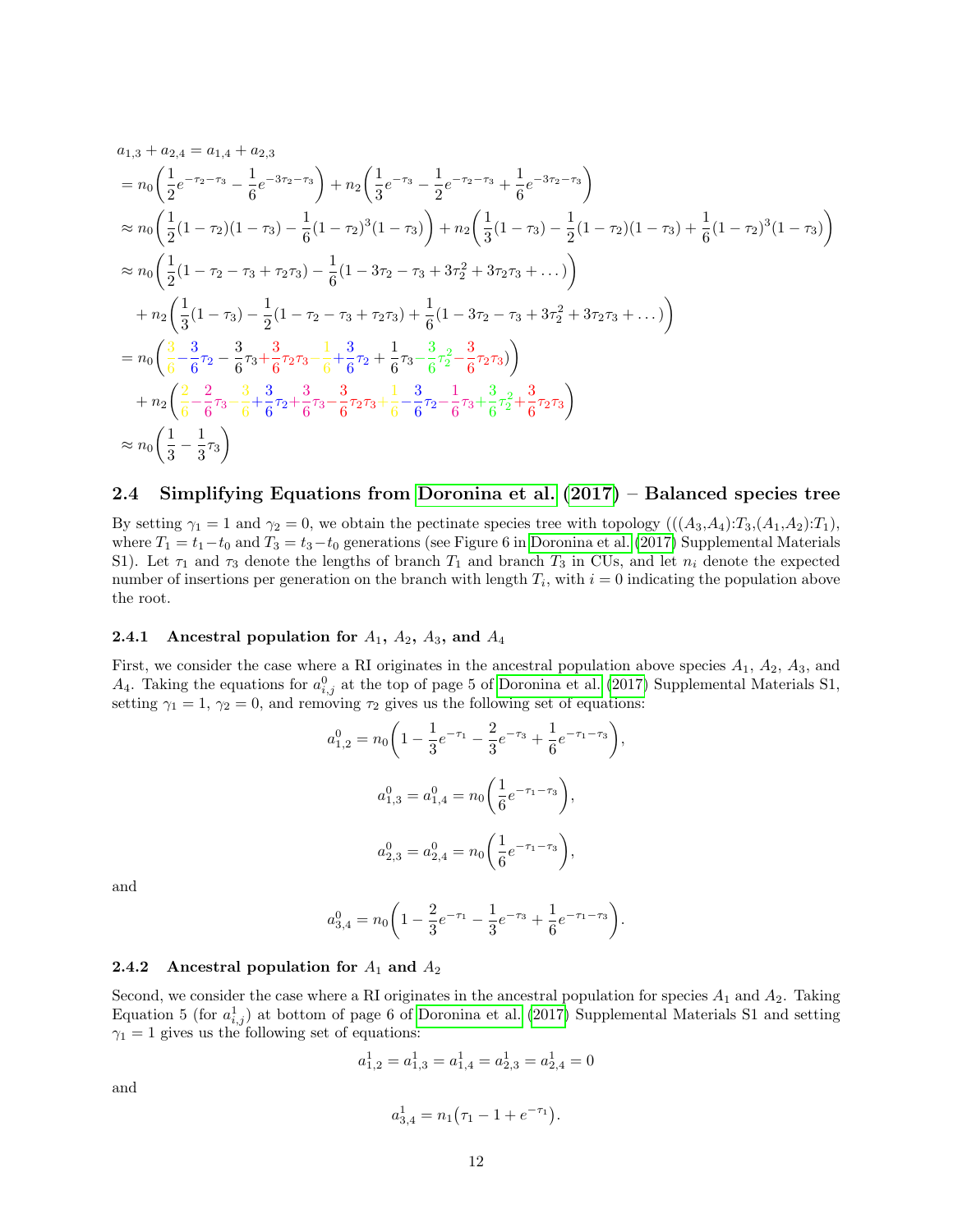$$
a_{1,3} + a_{2,4} = a_{1,4} + a_{2,3}
$$
  
\n
$$
= n_0 \left( \frac{1}{2} e^{-\tau_2 - \tau_3} - \frac{1}{6} e^{-3\tau_2 - \tau_3} \right) + n_2 \left( \frac{1}{3} e^{-\tau_3} - \frac{1}{2} e^{-\tau_2 - \tau_3} + \frac{1}{6} e^{-3\tau_2 - \tau_3} \right)
$$
  
\n
$$
\approx n_0 \left( \frac{1}{2} (1 - \tau_2)(1 - \tau_3) - \frac{1}{6} (1 - \tau_2)^3 (1 - \tau_3) \right) + n_2 \left( \frac{1}{3} (1 - \tau_3) - \frac{1}{2} (1 - \tau_2)(1 - \tau_3) + \frac{1}{6} (1 - \tau_2)^3 (1 - \tau_3) \right)
$$
  
\n
$$
\approx n_0 \left( \frac{1}{2} (1 - \tau_2 - \tau_3 + \tau_2 \tau_3) - \frac{1}{6} (1 - 3\tau_2 - \tau_3 + 3\tau_2^2 + 3\tau_2 \tau_3 + \dots) \right)
$$
  
\n
$$
+ n_2 \left( \frac{1}{3} (1 - \tau_3) - \frac{1}{2} (1 - \tau_2 - \tau_3 + \tau_2 \tau_3) + \frac{1}{6} (1 - 3\tau_2 - \tau_3 + 3\tau_2^2 + 3\tau_2 \tau_3 + \dots) \right)
$$
  
\n
$$
= n_0 \left( \frac{3}{6} - \frac{3}{6} \tau_2 - \frac{3}{6} \tau_3 + \frac{3}{6} \tau_2 \tau_3 - \frac{1}{6} + \frac{3}{6} \tau_2 + \frac{1}{6} \tau_3 - \frac{3}{6} \tau_2^2 - \frac{3}{6} \tau_2 \tau_3 \right)
$$
  
\n
$$
+ n_2 \left( \frac{2}{6} - \frac{2}{6} \tau_3 - \frac{3}{6} + \frac{3}{6} \tau_2 + \frac{3}{6} \tau_3 - \frac{3}{6} \tau_2 \tau_3 + \frac{1}{6} - \frac{3}{6} \tau_2 - \frac{1}{6} \tau_3 + \frac{3}{6} \tau
$$

### <span id="page-11-0"></span>2.4 Simplifying Equations from [Doronina et al.](#page-34-0) [\(2017\)](#page-34-0) – Balanced species tree

By setting  $\gamma_1 = 1$  and  $\gamma_2 = 0$ , we obtain the pectinate species tree with topology  $(((A_3, A_4):T_3,(A_1,A_2):T_1),$ where  $T_1 = t_1 - t_0$  and  $T_3 = t_3 - t_0$  generations (see Figure 6 in [Doronina et al.](#page-34-0) [\(2017\)](#page-34-0) Supplemental Materials S1). Let  $\tau_1$  and  $\tau_3$  denote the lengths of branch  $T_1$  and branch  $T_3$  in CUs, and let  $n_i$  denote the expected number of insertions per generation on the branch with length  $T_i$ , with  $i = 0$  indicating the population above the root.

#### <span id="page-11-1"></span>**2.4.1** Ancestral population for  $A_1$ ,  $A_2$ ,  $A_3$ , and  $A_4$

First, we consider the case where a RI originates in the ancestral population above species  $A_1$ ,  $A_2$ ,  $A_3$ , and  $A_4$ . Taking the equations for  $a_{i,j}^0$  at the top of page 5 of [Doronina et al.](#page-34-0) [\(2017\)](#page-34-0) Supplemental Materials S1, setting  $\gamma_1 = 1$ ,  $\gamma_2 = 0$ , and removing  $\tau_2$  gives us the following set of equations:

$$
a_{1,2}^{0} = n_0 \left( 1 - \frac{1}{3} e^{-\tau_1} - \frac{2}{3} e^{-\tau_3} + \frac{1}{6} e^{-\tau_1 - \tau_3} \right),
$$
  

$$
a_{1,3}^{0} = a_{1,4}^{0} = n_0 \left( \frac{1}{6} e^{-\tau_1 - \tau_3} \right),
$$
  

$$
a_{2,3}^{0} = a_{2,4}^{0} = n_0 \left( \frac{1}{6} e^{-\tau_1 - \tau_3} \right),
$$

and

$$
a_{3,4}^0=n_0\bigg(1-\frac{2}{3}e^{-\tau_1}-\frac{1}{3}e^{-\tau_3}+\frac{1}{6}e^{-\tau_1-\tau_3}\bigg).
$$

#### <span id="page-11-2"></span>2.4.2 Ancestral population for  $A_1$  and  $A_2$

Second, we consider the case where a RI originates in the ancestral population for species  $A_1$  and  $A_2$ . Taking Equation 5 (for  $a_{i,j}^1$ ) at bottom of page 6 of [Doronina et al.](#page-34-0) [\(2017\)](#page-34-0) Supplemental Materials S1 and setting  $\gamma_1 = 1$  gives us the following set of equations:

$$
a_{1,2}^1 = a_{1,3}^1 = a_{1,4}^1 = a_{2,3}^1 = a_{2,4}^1 = 0
$$

and

$$
a_{3,4}^1 = n_1(\tau_1 - 1 + e^{-\tau_1}).
$$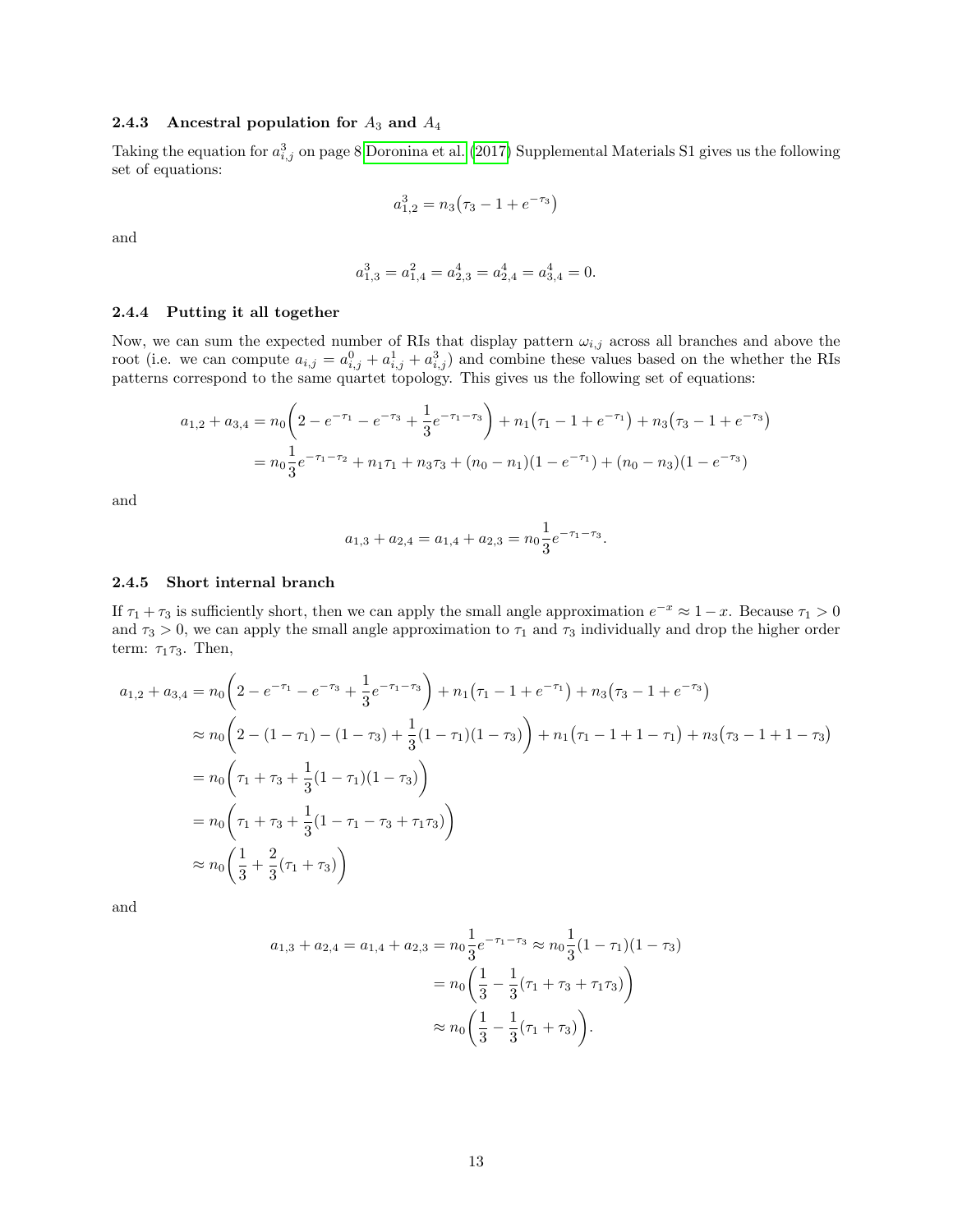#### <span id="page-12-0"></span>2.4.3 Ancestral population for  $A_3$  and  $A_4$

Taking the equation for  $a_{i,j}^3$  on page 8 [Doronina et al.](#page-34-0) [\(2017\)](#page-34-0) Supplemental Materials S1 gives us the following set of equations:

$$
a_{1,2}^3=n_3\bigl(\tau_3-1+e^{-\tau_3}\bigr)
$$

and

$$
a_{1,3}^3 = a_{1,4}^2 = a_{2,3}^4 = a_{2,4}^4 = a_{3,4}^4 = 0.
$$

#### <span id="page-12-1"></span>2.4.4 Putting it all together

Now, we can sum the expected number of RIs that display pattern  $\omega_{i,j}$  across all branches and above the root (i.e. we can compute  $a_{i,j} = a_{i,j}^0 + a_{i,j}^1 + a_{i,j}^3$ ) and combine these values based on the whether the RIs patterns correspond to the same quartet topology. This gives us the following set of equations:

$$
a_{1,2} + a_{3,4} = n_0 \left( 2 - e^{-\tau_1} - e^{-\tau_3} + \frac{1}{3} e^{-\tau_1 - \tau_3} \right) + n_1 (\tau_1 - 1 + e^{-\tau_1}) + n_3 (\tau_3 - 1 + e^{-\tau_3})
$$
  
= 
$$
n_0 \frac{1}{3} e^{-\tau_1 - \tau_2} + n_1 \tau_1 + n_3 \tau_3 + (n_0 - n_1)(1 - e^{-\tau_1}) + (n_0 - n_3)(1 - e^{-\tau_3})
$$

and

$$
a_{1,3} + a_{2,4} = a_{1,4} + a_{2,3} = n_0 \frac{1}{3} e^{-\tau_1 - \tau_3}.
$$

#### <span id="page-12-2"></span>2.4.5 Short internal branch

If  $\tau_1 + \tau_3$  is sufficiently short, then we can apply the small angle approximation  $e^{-x} \approx 1 - x$ . Because  $\tau_1 > 0$ and  $\tau_3 > 0$ , we can apply the small angle approximation to  $\tau_1$  and  $\tau_3$  individually and drop the higher order term:  $\tau_1 \tau_3$ . Then,

$$
a_{1,2} + a_{3,4} = n_0 \left( 2 - e^{-\tau_1} - e^{-\tau_3} + \frac{1}{3} e^{-\tau_1 - \tau_3} \right) + n_1 (\tau_1 - 1 + e^{-\tau_1}) + n_3 (\tau_3 - 1 + e^{-\tau_3})
$$
  
\n
$$
\approx n_0 \left( 2 - (1 - \tau_1) - (1 - \tau_3) + \frac{1}{3} (1 - \tau_1) (1 - \tau_3) \right) + n_1 (\tau_1 - 1 + 1 - \tau_1) + n_3 (\tau_3 - 1 + 1 - \tau_3)
$$
  
\n
$$
= n_0 \left( \tau_1 + \tau_3 + \frac{1}{3} (1 - \tau_1) (1 - \tau_3) \right)
$$
  
\n
$$
= n_0 \left( \tau_1 + \tau_3 + \frac{1}{3} (1 - \tau_1 - \tau_3 + \tau_1 \tau_3) \right)
$$
  
\n
$$
\approx n_0 \left( \frac{1}{3} + \frac{2}{3} (\tau_1 + \tau_3) \right)
$$

and

$$
a_{1,3} + a_{2,4} = a_{1,4} + a_{2,3} = n_0 \frac{1}{3} e^{-\tau_1 - \tau_3} \approx n_0 \frac{1}{3} (1 - \tau_1)(1 - \tau_3)
$$
  
=  $n_0 \left( \frac{1}{3} - \frac{1}{3} (\tau_1 + \tau_3 + \tau_1 \tau_3) \right)$   

$$
\approx n_0 \left( \frac{1}{3} - \frac{1}{3} (\tau_1 + \tau_3) \right).
$$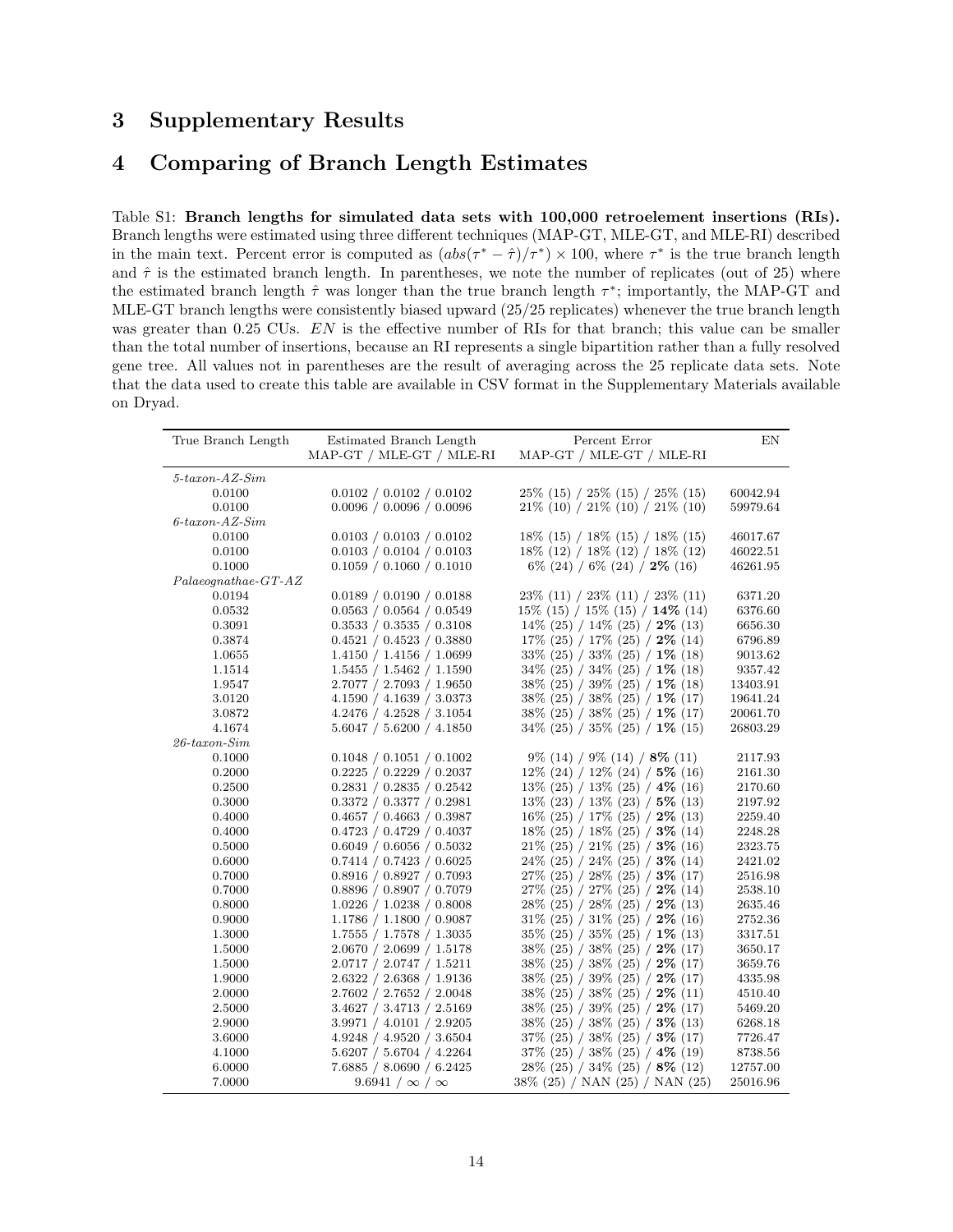# <span id="page-13-0"></span>3 Supplementary Results

# <span id="page-13-1"></span>4 Comparing of Branch Length Estimates

<span id="page-13-2"></span>Table S1: Branch lengths for simulated data sets with 100,000 retroelement insertions (RIs). Branch lengths were estimated using three different techniques (MAP-GT, MLE-GT, and MLE-RI) described in the main text. Percent error is computed as  $(abs(\tau^* - \hat{\tau})/\tau^*) \times 100$ , where  $\tau^*$  is the true branch length and  $\hat{\tau}$  is the estimated branch length. In parentheses, we note the number of replicates (out of 25) where the estimated branch length  $\hat{\tau}$  was longer than the true branch length  $\tau^*$ ; importantly, the MAP-GT and MLE-GT branch lengths were consistently biased upward (25/25 replicates) whenever the true branch length was greater than 0.25 CUs. EN is the effective number of RIs for that branch; this value can be smaller than the total number of insertions, because an RI represents a single bipartition rather than a fully resolved gene tree. All values not in parentheses are the result of averaging across the 25 replicate data sets. Note that the data used to create this table are available in CSV format in the Supplementary Materials available on Dryad.

| True Branch Length    | Estimated Branch Length<br>MAP-GT / MLE-GT / MLE-RI | Percent Error<br>MAP-GT / MLE-GT / MLE-RI   | ΕN       |
|-----------------------|-----------------------------------------------------|---------------------------------------------|----------|
|                       |                                                     |                                             |          |
| $5$ -taxon-AZ-Sim     |                                                     |                                             |          |
| 0.0100                | 0.0102 / 0.0102 / 0.0102                            | $25\%$ (15) / $25\%$ (15) / $25\%$ (15)     | 60042.94 |
| 0.0100                | $0.0096$ / $0.0096$ / $0.0096$                      | $21\%$ (10) / $21\%$ (10) / $21\%$ (10)     | 59979.64 |
| $6$ -taxon-AZ-Sim     |                                                     |                                             |          |
| 0.0100                | 0.0103 / 0.0103 / 0.0102                            | $18\%$ (15) / $18\%$ (15) / $18\%$ (15)     | 46017.67 |
| 0.0100                | 0.0103 / 0.0104 / 0.0103                            | $18\%$ (12) / $18\%$ (12) / $18\%$ (12)     | 46022.51 |
| 0.1000                | 0.1059 / 0.1060 / 0.1010                            | $6\%$ (24) / $6\%$ (24) / <b>2%</b> (16)    | 46261.95 |
| $Palaeognathae-GT-AZ$ |                                                     |                                             |          |
| 0.0194                | 0.0189 / 0.0190 / 0.0188                            | $23\%$ (11) / $23\%$ (11) / $23\%$ (11)     | 6371.20  |
| 0.0532                | 0.0563 / 0.0564 / 0.0549                            | $15\%$ (15) / $15\%$ (15) / $14\%$ (14)     | 6376.60  |
| 0.3091                | 0.3533 / 0.3535 / 0.3108                            | $14\%$ (25) / $14\%$ (25) / <b>2%</b> (13)  | 6656.30  |
| 0.3874                | 0.4521 / 0.4523 / 0.3880                            | $17\%$ (25) / $17\%$ (25) / $2\%$ (14)      | 6796.89  |
| 1.0655                | 1.4150 / 1.4156 / 1.0699                            | 33% (25) / 33% (25) / 1% (18)               | 9013.62  |
| 1.1514                | 1.5455 / 1.5462 / 1.1590                            | $34\%$ (25) / $34\%$ (25) / $1\%$ (18)      | 9357.42  |
| 1.9547                | 2.7077 / 2.7093 / 1.9650                            | $38\%$ (25) / $39\%$ (25) / $1\%$ (18)      | 13403.91 |
| 3.0120                | 4.1590 / 4.1639 / 3.0373                            | $38\%$ (25) / $38\%$ (25) / $1\%$ (17)      | 19641.24 |
| 3.0872                | 4.2476 / 4.2528 / 3.1054                            | $38\%$ (25) / $38\%$ (25) / $1\%$ (17)      | 20061.70 |
| 4.1674                | 5.6047 / 5.6200 / 4.1850                            | $34\%$ (25) / $35\%$ (25) / $1\%$ (15)      | 26803.29 |
| $26$ -taxon-Sim       |                                                     |                                             |          |
| 0.1000                | 0.1048 / 0.1051 / 0.1002                            | $9\%$ (14) / $9\%$ (14) / $8\%$ (11)        | 2117.93  |
| 0.2000                | 0.2225 / 0.2229 / 0.2037                            | $12\%$ (24) / $12\%$ (24) / 5% (16)         | 2161.30  |
| 0.2500                | 0.2831 / 0.2835 / 0.2542                            | $13\%$ (25) / $13\%$ (25) / $4\%$ (16)      | 2170.60  |
| 0.3000                | 0.3372 / 0.3377 / 0.2981                            | $13\%$ (23) / $13\%$ (23) / $5\%$ (13)      | 2197.92  |
| 0.4000                | 0.4657 / 0.4663 / 0.3987                            | $16\%$ (25) / 17\% (25) / 2\% (13)          | 2259.40  |
| 0.4000                | 0.4723 / 0.4729 / 0.4037                            | $18\%$ (25) / $18\%$ (25) / <b>3\%</b> (14) | 2248.28  |
| 0.5000                | 0.6049 / 0.6056 / 0.5032                            | $21\%$ (25) / $21\%$ (25) / <b>3</b> % (16) | 2323.75  |
| 0.6000                | 0.7414 / 0.7423 / 0.6025                            | $24\%$ (25) / $24\%$ (25) / $3\%$ (14)      | 2421.02  |
| 0.7000                | 0.8916 / 0.8927 / 0.7093                            | $27\%$ (25) / $28\%$ (25) / $3\%$ (17)      | 2516.98  |
| 0.7000                | 0.8896 / 0.8907 / 0.7079                            | $27\%$ (25) / $27\%$ (25) / $2\%$ (14)      | 2538.10  |
| 0.8000                | 1.0226 / 1.0238 / 0.8008                            | $28\%$ (25) / $28\%$ (25) / $2\%$ (13)      | 2635.46  |
| 0.9000                | 1.1786 / 1.1800 / 0.9087                            | $31\%$ (25) / $31\%$ (25) / <b>2\%</b> (16) | 2752.36  |
| 1.3000                | $1.7555$ / $1.7578$ / $1.3035$                      | $35\%$ (25) / $35\%$ (25) / $1\%$ (13)      | 3317.51  |
| 1.5000                | 2.0670 / 2.0699 / 1.5178                            | $38\%$ (25) / $38\%$ (25) / $2\%$ (17)      | 3650.17  |
| 1.5000                | 2.0717 / 2.0747 / 1.5211                            | $38\%$ (25) / $38\%$ (25) / $2\%$ (17)      | 3659.76  |
| 1.9000                | 2.6322 / 2.6368 / 1.9136                            | $38\%$ (25) / $39\%$ (25) / $2\%$ (17)      | 4335.98  |
| 2.0000                | 2.7602 / 2.7652 / 2.0048                            | $38\%$ (25) / $38\%$ (25) / $2\%$ (11)      | 4510.40  |
| 2.5000                | 3.4627 / 3.4713 / 2.5169                            | $38\%$ (25) / $39\%$ (25) / $2\%$ (17)      | 5469.20  |
| 2.9000                | 3.9971 / 4.0101 / 2.9205                            | $38\%$ (25) / $38\%$ (25) / $3\%$ (13)      | 6268.18  |
| 3.6000                | 4.9248 / 4.9520 / 3.6504                            | $37\%$ (25) / $38\%$ (25) / $3\%$ (17)      | 7726.47  |
| 4.1000                | 5.6207 / 5.6704 / 4.2264                            | $37\%$ (25) / $38\%$ (25) / $4\%$ (19)      | 8738.56  |
| 6.0000                | 7.6885 / 8.0690 / 6.2425                            | $28\%$ (25) / $34\%$ (25) / $8\%$ (12)      | 12757.00 |
| 7.0000                | $9.6941 / \infty / \infty$                          | 38% (25) / NAN (25) / NAN (25)              | 25016.96 |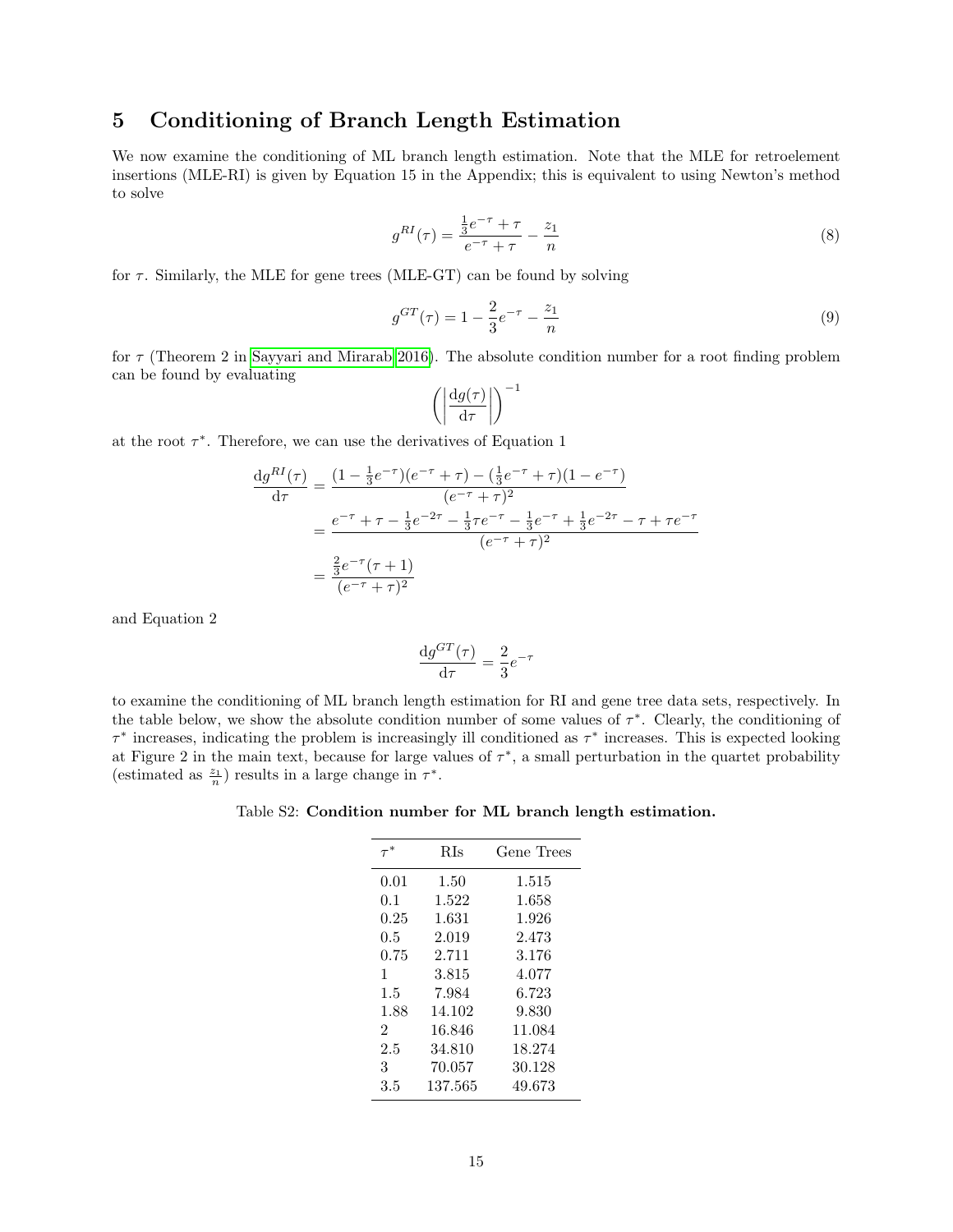# <span id="page-14-0"></span>5 Conditioning of Branch Length Estimation

We now examine the conditioning of ML branch length estimation. Note that the MLE for retroelement insertions (MLE-RI) is given by Equation 15 in the Appendix; this is equivalent to using Newton's method to solve

$$
g^{RI}(\tau) = \frac{\frac{1}{3}e^{-\tau} + \tau}{e^{-\tau} + \tau} - \frac{z_1}{n}
$$
\n(8)

for  $\tau$ . Similarly, the MLE for gene trees (MLE-GT) can be found by solving

$$
g^{GT}(\tau) = 1 - \frac{2}{3}e^{-\tau} - \frac{z_1}{n}
$$
\n(9)

for  $\tau$  (Theorem 2 in [Sayyari and Mirarab 2016\)](#page-34-13). The absolute condition number for a root finding problem can be found by evaluating

$$
\left( \left| \frac{\mathrm{d} g(\tau)}{\mathrm{d} \tau} \right| \right)^{-1}
$$

at the root  $\tau^*$ . Therefore, we can use the derivatives of Equation 1

$$
\frac{dg^{RI}(\tau)}{d\tau} = \frac{(1 - \frac{1}{3}e^{-\tau})(e^{-\tau} + \tau) - (\frac{1}{3}e^{-\tau} + \tau)(1 - e^{-\tau})}{(e^{-\tau} + \tau)^2}
$$

$$
= \frac{e^{-\tau} + \tau - \frac{1}{3}e^{-2\tau} - \frac{1}{3}\tau e^{-\tau} - \frac{1}{3}e^{-\tau} + \frac{1}{3}e^{-2\tau} - \tau + \tau e^{-\tau}}{(e^{-\tau} + \tau)^2}
$$

$$
= \frac{\frac{2}{3}e^{-\tau}(\tau + 1)}{(e^{-\tau} + \tau)^2}
$$

and Equation 2

$$
\frac{\mathrm{d}g^{GT}(\tau)}{\mathrm{d}\tau} = \frac{2}{3}e^{-\tau}
$$

<span id="page-14-1"></span>to examine the conditioning of ML branch length estimation for RI and gene tree data sets, respectively. In the table below, we show the absolute condition number of some values of  $\tau^*$ . Clearly, the conditioning of  $\tau^*$  increases, indicating the problem is increasingly ill conditioned as  $\tau^*$  increases. This is expected looking at Figure 2 in the main text, because for large values of  $\tau^*$ , a small perturbation in the quartet probability (estimated as  $\frac{z_1}{n}$ ) results in a large change in  $\tau^*$ .

Table S2: Condition number for ML branch length estimation.

|                | <b>RIs</b> | Gene Trees |
|----------------|------------|------------|
| 0.01           | 1.50       | 1.515      |
| 0.1            | 1.522      | 1.658      |
| 0.25           | 1.631      | 1.926      |
| $0.5\,$        | 2.019      | 2.473      |
| 0.75           | 2.711      | 3.176      |
| 1              | 3.815      | 4.077      |
| $1.5\,$        | 7.984      | 6.723      |
| 1.88           | 14.102     | 9.830      |
| $\overline{2}$ | 16.846     | 11.084     |
| 2.5            | 34.810     | 18.274     |
| 3              | 70.057     | 30.128     |
| 3.5            | 137.565    | 49.673     |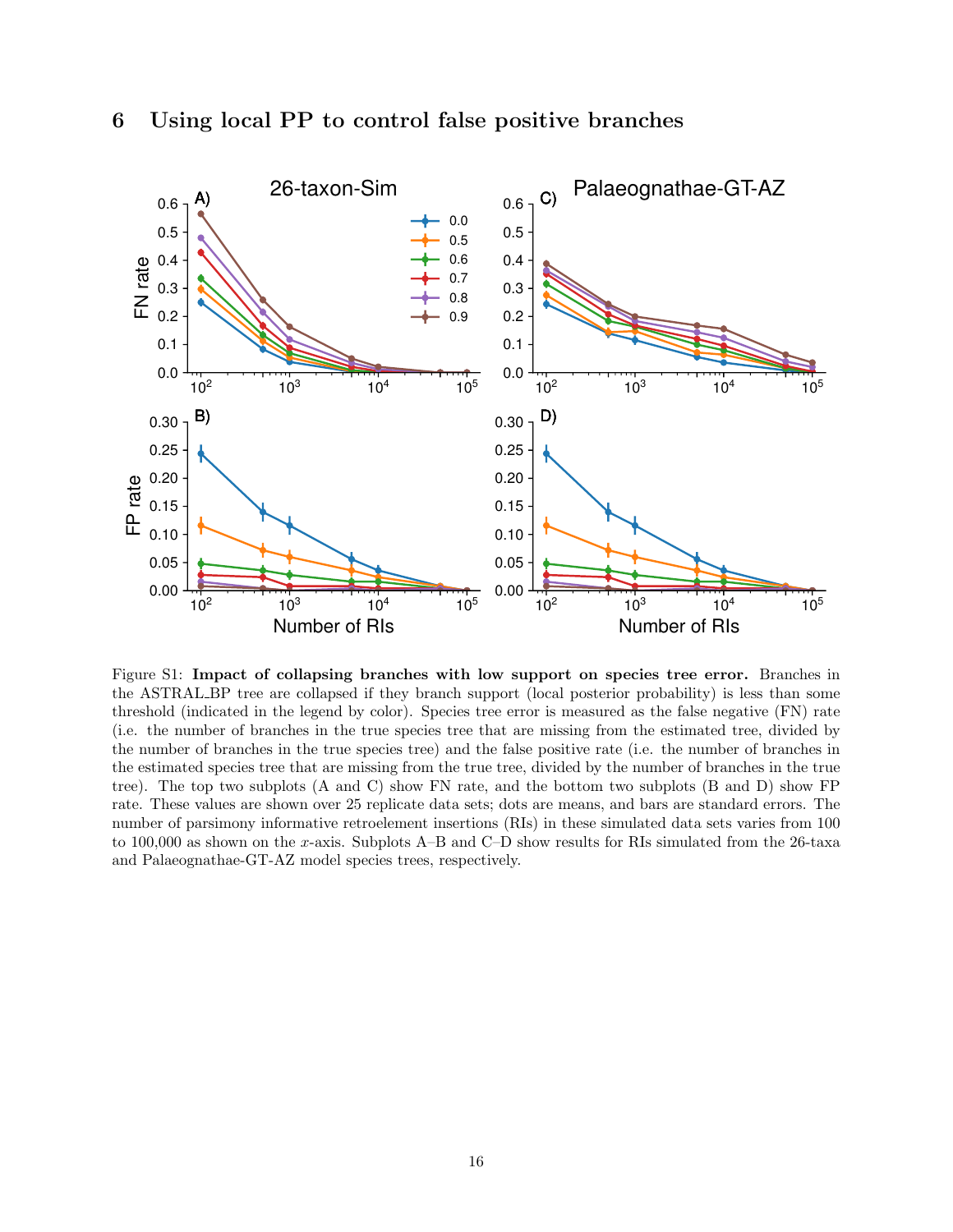<span id="page-15-1"></span>

<span id="page-15-0"></span>6 Using local PP to control false positive branches

Figure S1: Impact of collapsing branches with low support on species tree error. Branches in the ASTRAL BP tree are collapsed if they branch support (local posterior probability) is less than some threshold (indicated in the legend by color). Species tree error is measured as the false negative (FN) rate (i.e. the number of branches in the true species tree that are missing from the estimated tree, divided by the number of branches in the true species tree) and the false positive rate (i.e. the number of branches in the estimated species tree that are missing from the true tree, divided by the number of branches in the true tree). The top two subplots (A and C) show FN rate, and the bottom two subplots (B and D) show FP rate. These values are shown over 25 replicate data sets; dots are means, and bars are standard errors. The number of parsimony informative retroelement insertions (RIs) in these simulated data sets varies from 100 to 100,000 as shown on the x-axis. Subplots A–B and C–D show results for RIs simulated from the 26-taxa and Palaeognathae-GT-AZ model species trees, respectively.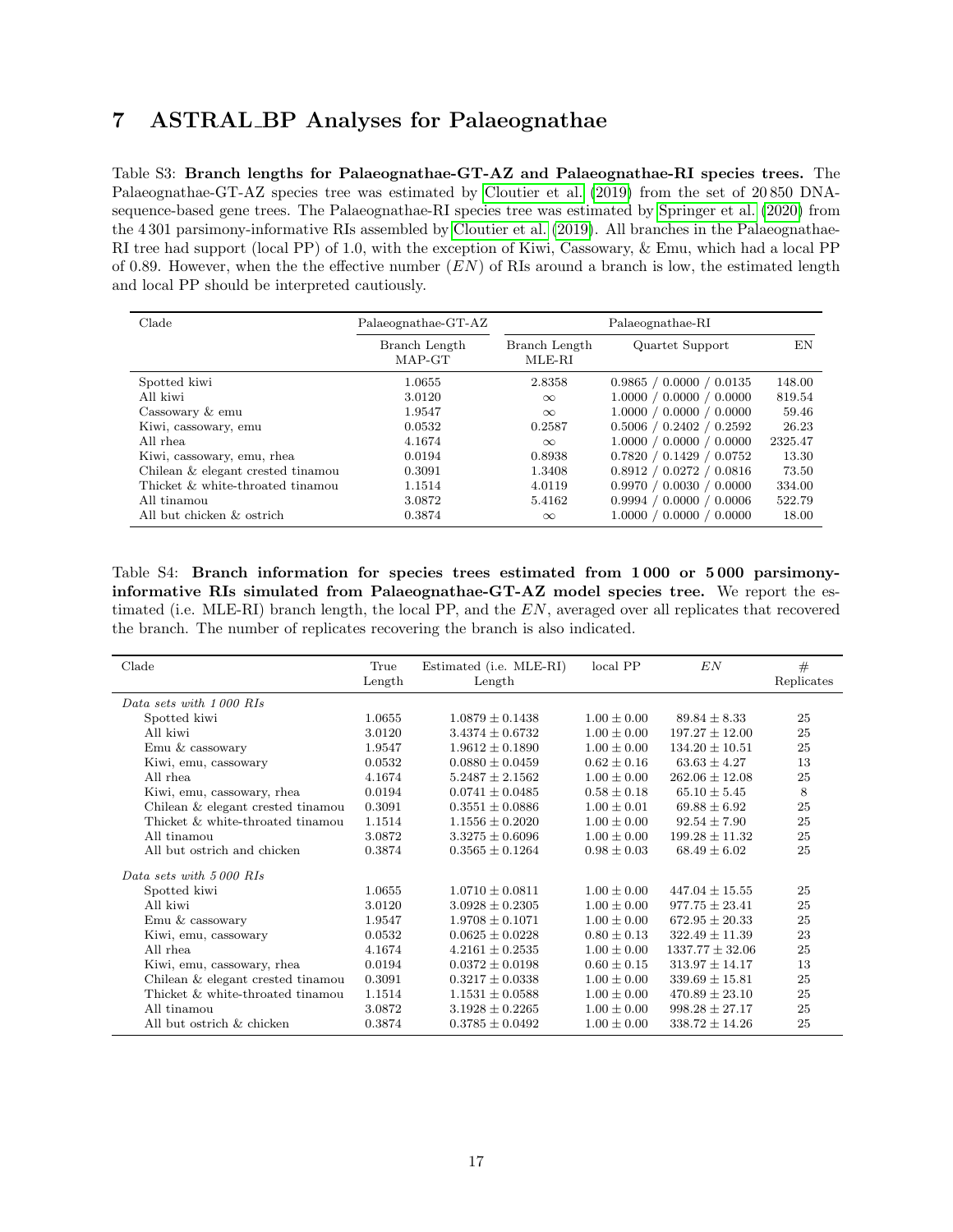# <span id="page-16-0"></span>7 ASTRAL BP Analyses for Palaeognathae

<span id="page-16-1"></span>Table S3: Branch lengths for Palaeognathae-GT-AZ and Palaeognathae-RI species trees. The Palaeognathae-GT-AZ species tree was estimated by [Cloutier et al.](#page-34-14) [\(2019\)](#page-34-14) from the set of 20 850 DNAsequence-based gene trees. The Palaeognathae-RI species tree was estimated by [Springer et al.](#page-34-15) [\(2020\)](#page-34-15) from the 4 301 parsimony-informative RIs assembled by [Cloutier et al.](#page-34-14) [\(2019\)](#page-34-14). All branches in the Palaeognathae-RI tree had support (local PP) of 1.0, with the exception of Kiwi, Cassowary, & Emu, which had a local PP of 0.89. However, when the the effective number  $(EN)$  of RIs around a branch is low, the estimated length and local PP should be interpreted cautiously.

| Clade                             | Palaeognathae-GT-AZ     | Palaeognathae-RI        |                          |         |  |
|-----------------------------------|-------------------------|-------------------------|--------------------------|---------|--|
|                                   | Branch Length<br>MAP-GT | Branch Length<br>MLE-RI | Quartet Support          | EN      |  |
| Spotted kiwi                      | 1.0655                  | 2.8358                  | 0.9865 / 0.0000 / 0.0135 | 148.00  |  |
| All kiwi                          | 3.0120                  | $\infty$                | 1.0000 / 0.0000 / 0.0000 | 819.54  |  |
| Cassowary & emu                   | 1.9547                  | $\infty$                | 1.0000 / 0.0000 / 0.0000 | 59.46   |  |
| Kiwi, cassowary, emu              | 0.0532                  | 0.2587                  | 0.5006 / 0.2402 / 0.2592 | 26.23   |  |
| All rhea                          | 4.1674                  | $\infty$                | 1.0000 / 0.0000 / 0.0000 | 2325.47 |  |
| Kiwi, cassowary, emu, rhea        | 0.0194                  | 0.8938                  | 0.7820 / 0.1429 / 0.0752 | 13.30   |  |
| Chilean & elegant crested tinamou | 0.3091                  | 1.3408                  | 0.8912 / 0.0272 / 0.0816 | 73.50   |  |
| Thicket & white-throated tinamou  | 1.1514                  | 4.0119                  | 0.9970 / 0.0030 / 0.0000 | 334.00  |  |
| All tinamou                       | 3.0872                  | 5.4162                  | 0.9994 / 0.0000 / 0.0006 | 522.79  |  |
| All but chicken & ostrich         | 0.3874                  | $\infty$                | 1.0000 / 0.0000 / 0.0000 | 18.00   |  |

<span id="page-16-2"></span>Table S4: Branch information for species trees estimated from 1 000 or 5 000 parsimonyinformative RIs simulated from Palaeognathae-GT-AZ model species tree. We report the estimated (i.e. MLE-RI) branch length, the local PP, and the EN, averaged over all replicates that recovered the branch. The number of replicates recovering the branch is also indicated.

| Clade                             | True   | Estimated (i.e. MLE-RI) | local PP        | EN                  | #          |
|-----------------------------------|--------|-------------------------|-----------------|---------------------|------------|
|                                   | Length | Length                  |                 |                     | Replicates |
| Data sets with 1000 RIs           |        |                         |                 |                     |            |
| Spotted kiwi                      | 1.0655 | $1.0879 + 0.1438$       | $1.00 + 0.00$   | $89.84 \pm 8.33$    | 25         |
| All kiwi                          | 3.0120 | $3.4374 \pm 0.6732$     | $1.00 \pm 0.00$ | $197.27 \pm 12.00$  | 25         |
| $\hbox{Emu}$ & cassowary          | 1.9547 | $1.9612 \pm 0.1890$     | $1.00 \pm 0.00$ | $134.20 \pm 10.51$  | 25         |
| Kiwi, emu, cassowary              | 0.0532 | $0.0880 \pm 0.0459$     | $0.62 \pm 0.16$ | $63.63 + 4.27$      | 13         |
| All rhea                          | 4.1674 | $5.2487 \pm 2.1562$     | $1.00 \pm 0.00$ | $262.06 \pm 12.08$  | 25         |
| Kiwi, emu, cassowary, rhea        | 0.0194 | $0.0741 \pm 0.0485$     | $0.58 \pm 0.18$ | $65.10 \pm 5.45$    | 8          |
| Chilean & elegant crested tinamou | 0.3091 | $0.3551 \pm 0.0886$     | $1.00 \pm 0.01$ | $69.88 \pm 6.92$    | 25         |
| Thicket & white-throated tinamou  | 1.1514 | $1.1556 \pm 0.2020$     | $1.00 \pm 0.00$ | $92.54 \pm 7.90$    | 25         |
| All tinamou                       | 3.0872 | $3.3275 \pm 0.6096$     | $1.00 \pm 0.00$ | $199.28 \pm 11.32$  | 25         |
| All but ostrich and chicken       | 0.3874 | $0.3565 \pm 0.1264$     | $0.98 \pm 0.03$ | $68.49 \pm 6.02$    | 25         |
| Data sets with 5000 RIs           |        |                         |                 |                     |            |
| Spotted kiwi                      | 1.0655 | $1.0710 \pm 0.0811$     | $1.00 \pm 0.00$ | $447.04 + 15.55$    | 25         |
| All kiwi                          | 3.0120 | $3.0928 \pm 0.2305$     | $1.00 \pm 0.00$ | $977.75 \pm 23.41$  | 25         |
| $\operatorname{Emu}$ & cassowary  | 1.9547 | $1.9708 \pm 0.1071$     | $1.00 \pm 0.00$ | $672.95 \pm 20.33$  | 25         |
| Kiwi, emu, cassowary              | 0.0532 | $0.0625 \pm 0.0228$     | $0.80 \pm 0.13$ | $322.49 \pm 11.39$  | 23         |
| All rhea                          | 4.1674 | $4.2161 \pm 0.2535$     | $1.00 \pm 0.00$ | $1337.77 \pm 32.06$ | 25         |
| Kiwi, emu, cassowary, rhea        | 0.0194 | $0.0372 \pm 0.0198$     | $0.60 \pm 0.15$ | $313.97 \pm 14.17$  | 13         |
| Chilean & elegant crested tinamou | 0.3091 | $0.3217 \pm 0.0338$     | $1.00 \pm 0.00$ | $339.69 \pm 15.81$  | 25         |
| Thicket & white-throated tinamou  | 1.1514 | $1.1531 \pm 0.0588$     | $1.00 \pm 0.00$ | $470.89 \pm 23.10$  | 25         |
| All tinamou                       | 3.0872 | $3.1928 \pm 0.2265$     | $1.00 \pm 0.00$ | $998.28 \pm 27.17$  | 25         |
| All but ostrich & chicken         | 0.3874 | $0.3785 \pm 0.0492$     | $1.00 \pm 0.00$ | $338.72 \pm 14.26$  | 25         |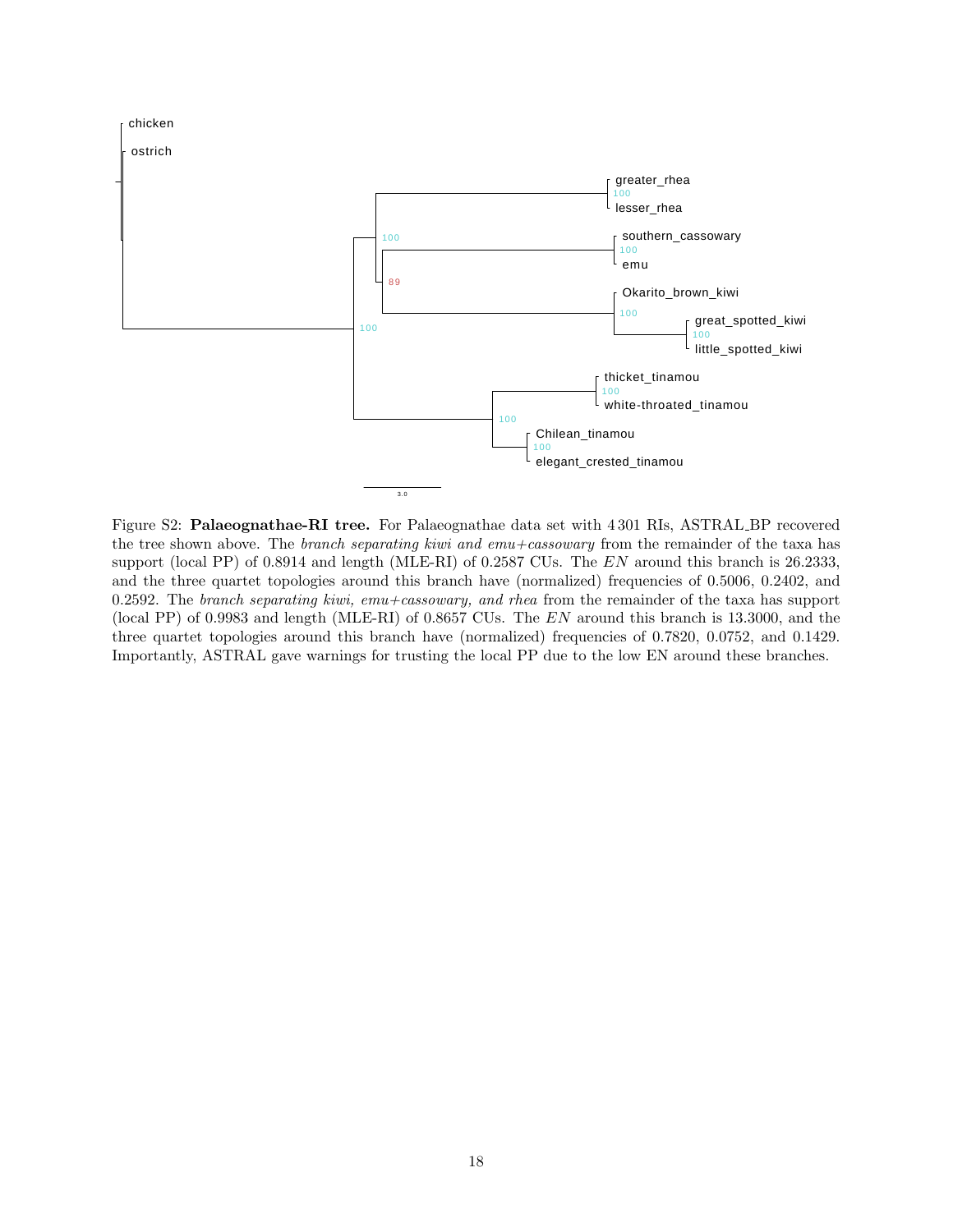<span id="page-17-0"></span>

Figure S2: Palaeognathae-RI tree. For Palaeognathae data set with 4 301 RIs, ASTRAL BP recovered the tree shown above. The *branch separating kiwi and emu+cassowary* from the remainder of the taxa has support (local PP) of 0.8914 and length (MLE-RI) of 0.2587 CUs. The EN around this branch is 26.2333, and the three quartet topologies around this branch have (normalized) frequencies of 0.5006, 0.2402, and 0.2592. The branch separating kiwi,  $emu + cassowany$ , and rhea from the remainder of the taxa has support (local PP) of 0.9983 and length (MLE-RI) of 0.8657 CUs. The EN around this branch is 13.3000, and the three quartet topologies around this branch have (normalized) frequencies of 0.7820, 0.0752, and 0.1429. Importantly, ASTRAL gave warnings for trusting the local PP due to the low EN around these branches.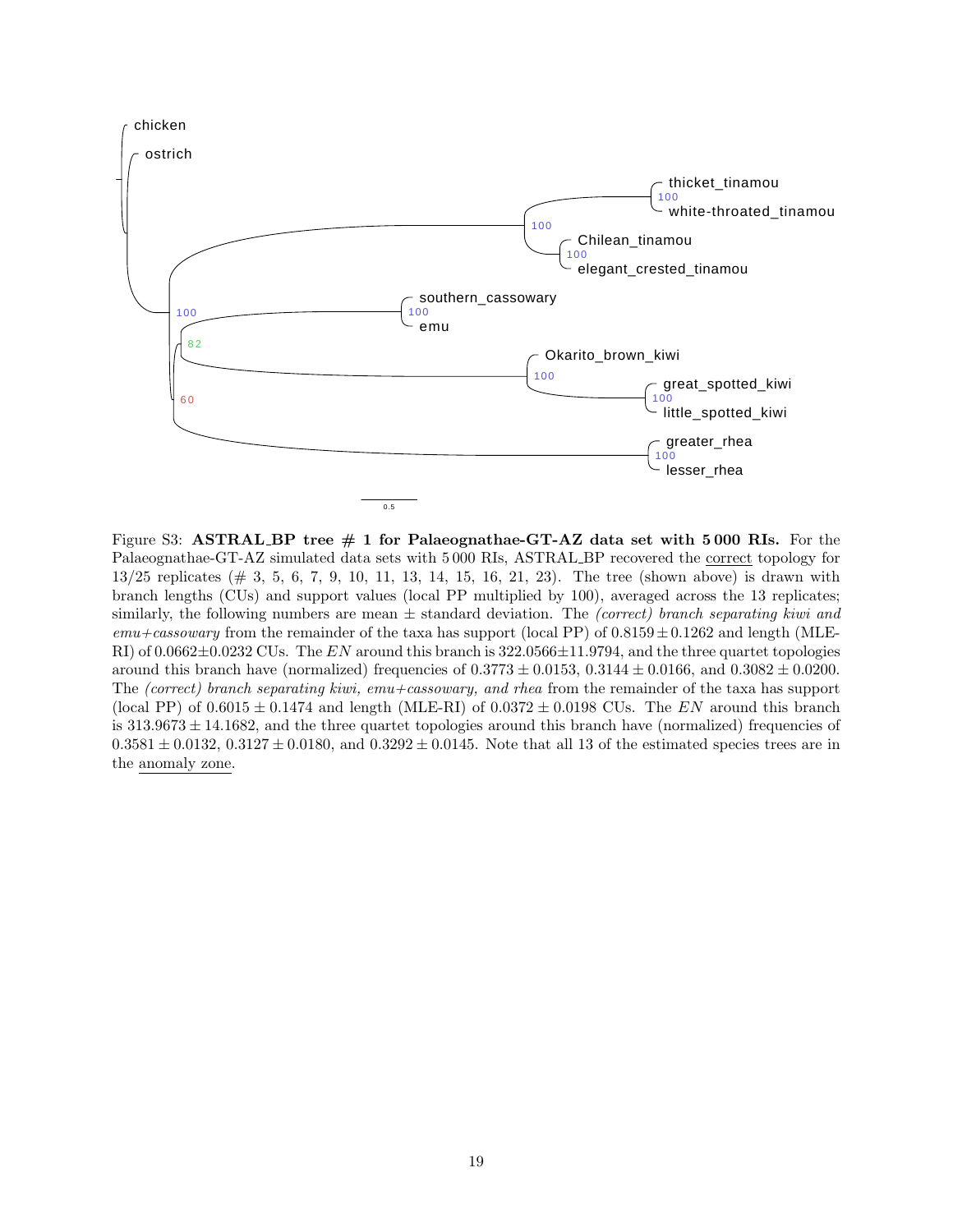<span id="page-18-0"></span>

Figure S3: ASTRAL BP tree  $\#$  1 for Palaeognathae-GT-AZ data set with 5000 RIs. For the Palaeognathae-GT-AZ simulated data sets with 5 000 RIs, ASTRAL BP recovered the correct topology for  $13/25$  replicates ( $\#$  3, 5, 6, 7, 9, 10, 11, 13, 14, 15, 16, 21, 23). The tree (shown above) is drawn with branch lengths (CUs) and support values (local PP multiplied by 100), averaged across the 13 replicates; similarly, the following numbers are mean  $\pm$  standard deviation. The *(correct)* branch separating kiwi and  $emu +casosowany$  from the remainder of the taxa has support (local PP) of  $0.8159 \pm 0.1262$  and length (MLE-RI) of  $0.0662 \pm 0.0232$  CUs. The EN around this branch is  $322.0566 \pm 11.9794$ , and the three quartet topologies around this branch have (normalized) frequencies of  $0.3773 \pm 0.0153$ ,  $0.3144 \pm 0.0166$ , and  $0.3082 \pm 0.0200$ . The (correct) branch separating kiwi, emu+cassowary, and rhea from the remainder of the taxa has support (local PP) of  $0.6015 \pm 0.1474$  and length (MLE-RI) of  $0.0372 \pm 0.0198$  CUs. The EN around this branch is  $313.9673 \pm 14.1682$ , and the three quartet topologies around this branch have (normalized) frequencies of  $0.3581 \pm 0.0132$ ,  $0.3127 \pm 0.0180$ , and  $0.3292 \pm 0.0145$ . Note that all 13 of the estimated species trees are in the anomaly zone.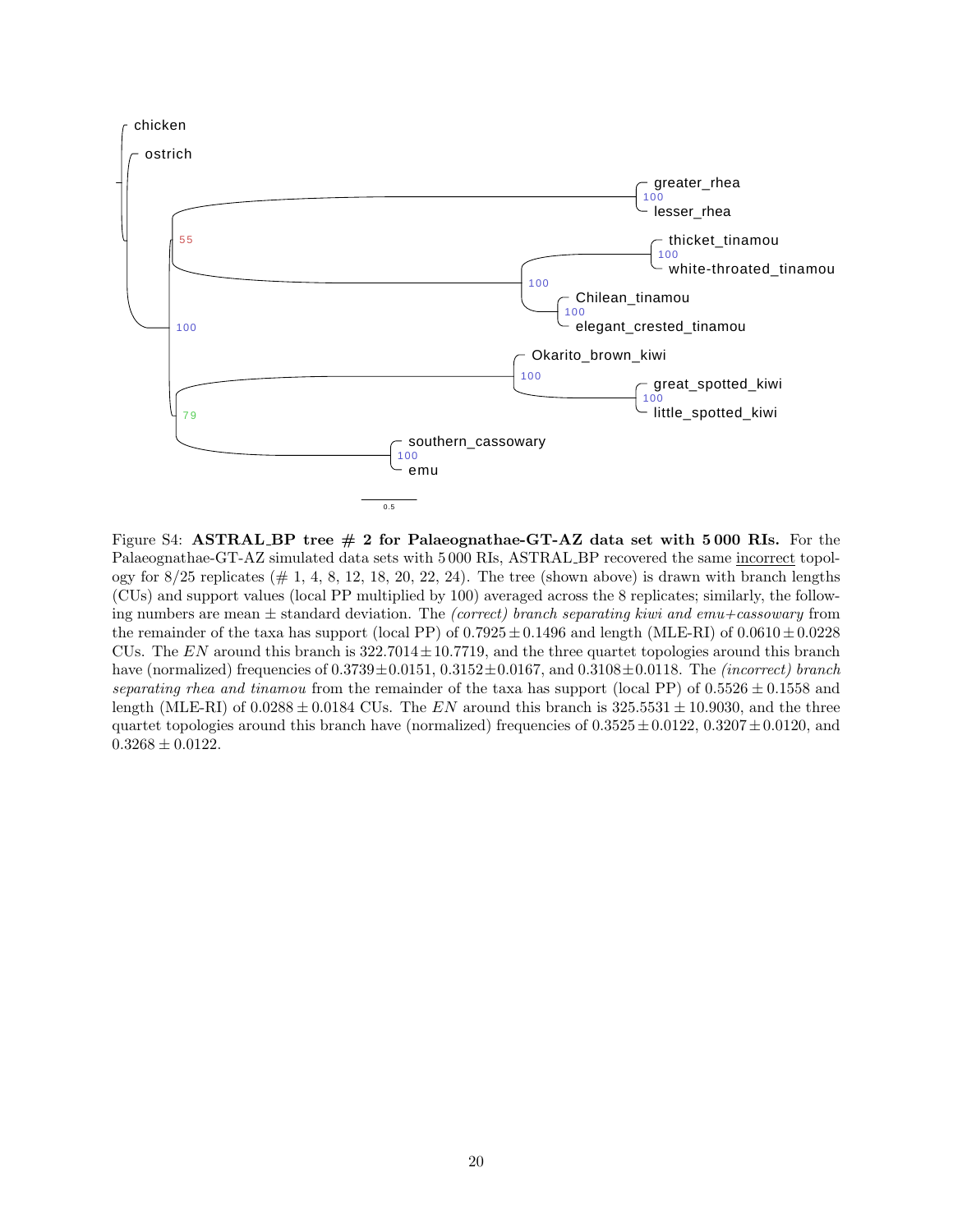<span id="page-19-0"></span>

Figure S4: ASTRAL BP tree  $\#$  2 for Palaeognathae-GT-AZ data set with 5 000 RIs. For the Palaeognathae-GT-AZ simulated data sets with 5 000 RIs, ASTRAL BP recovered the same incorrect topology for  $8/25$  replicates  $(\# 1, 4, 8, 12, 18, 20, 22, 24)$ . The tree (shown above) is drawn with branch lengths (CUs) and support values (local PP multiplied by 100) averaged across the 8 replicates; similarly, the following numbers are mean  $\pm$  standard deviation. The *(correct)* branch separating kiwi and emu+cassowary from the remainder of the taxa has support (local PP) of  $0.7925 \pm 0.1496$  and length (MLE-RI) of  $0.0610 \pm 0.0228$ CUs. The  $EN$  around this branch is  $322.7014 \pm 10.7719$ , and the three quartet topologies around this branch have (normalized) frequencies of  $0.3739 \pm 0.0151$ ,  $0.3152 \pm 0.0167$ , and  $0.3108 \pm 0.0118$ . The *(incorrect) branch* separating rhea and tinamou from the remainder of the taxa has support (local PP) of  $0.5526 \pm 0.1558$  and length (MLE-RI) of  $0.0288 \pm 0.0184$  CUs. The EN around this branch is  $325.5531 \pm 10.9030$ , and the three quartet topologies around this branch have (normalized) frequencies of  $0.3525 \pm 0.0122$ ,  $0.3207 \pm 0.0120$ , and  $0.3268 \pm 0.0122$ .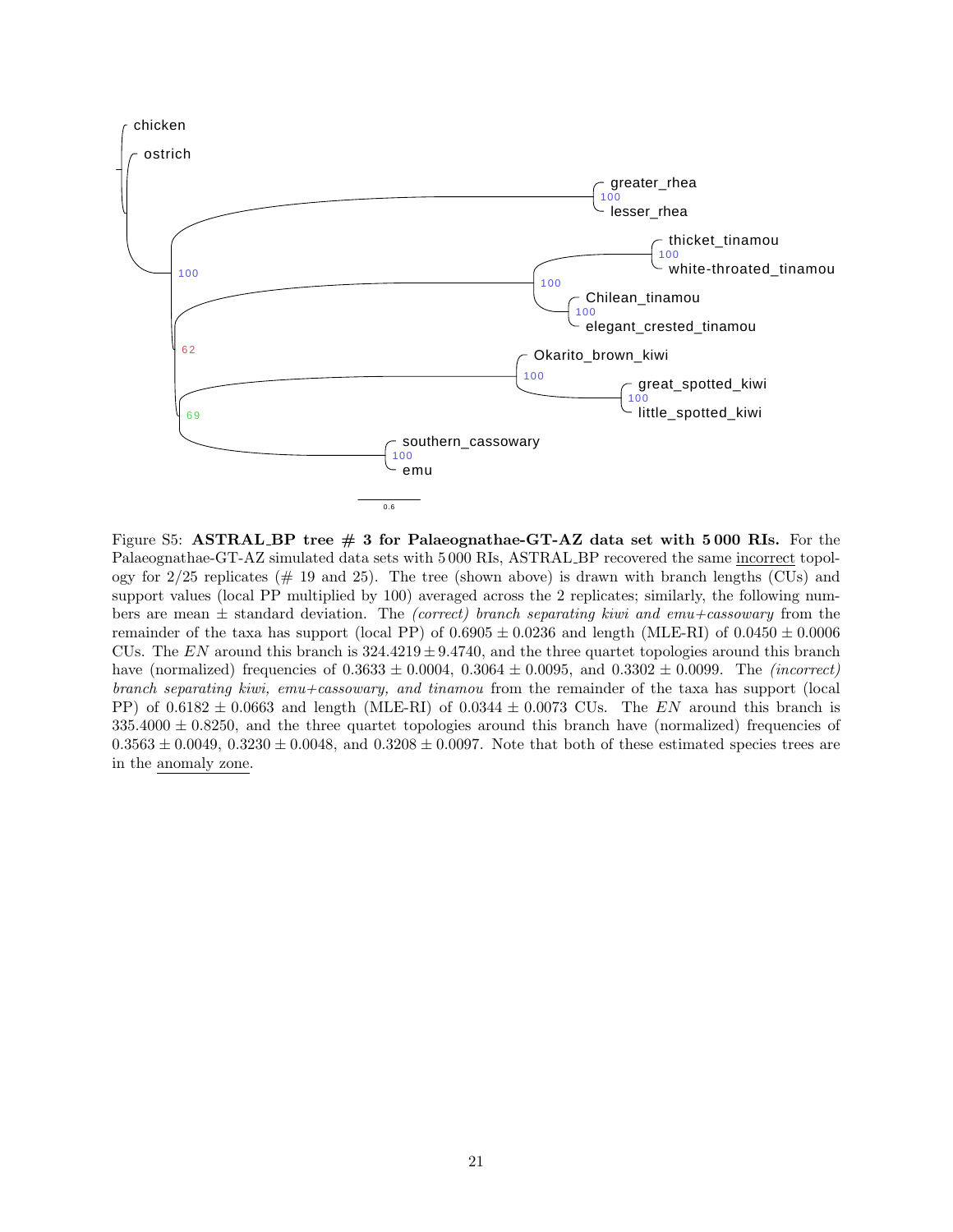<span id="page-20-0"></span>

Figure S5: ASTRAL BP tree  $\#$  3 for Palaeognathae-GT-AZ data set with 5000 RIs. For the Palaeognathae-GT-AZ simulated data sets with 5 000 RIs, ASTRAL BP recovered the same incorrect topology for  $2/25$  replicates ( $\#$  19 and 25). The tree (shown above) is drawn with branch lengths (CUs) and support values (local PP multiplied by 100) averaged across the 2 replicates; similarly, the following numbers are mean  $\pm$  standard deviation. The *(correct)* branch separating kiwi and emu+cassowary from the remainder of the taxa has support (local PP) of  $0.6905 \pm 0.0236$  and length (MLE-RI) of  $0.0450 \pm 0.0006$ CUs. The EN around this branch is  $324.4219 \pm 9.4740$ , and the three quartet topologies around this branch have (normalized) frequencies of  $0.3633 \pm 0.0004$ ,  $0.3064 \pm 0.0095$ , and  $0.3302 \pm 0.0099$ . The *(incorrect)* branch separating kiwi, emu+cassowary, and tinamou from the remainder of the taxa has support (local PP) of  $0.6182 \pm 0.0663$  and length (MLE-RI) of  $0.0344 \pm 0.0073$  CUs. The EN around this branch is  $335.4000 \pm 0.8250$ , and the three quartet topologies around this branch have (normalized) frequencies of  $0.3563 \pm 0.0049$ ,  $0.3230 \pm 0.0048$ , and  $0.3208 \pm 0.0097$ . Note that both of these estimated species trees are in the anomaly zone.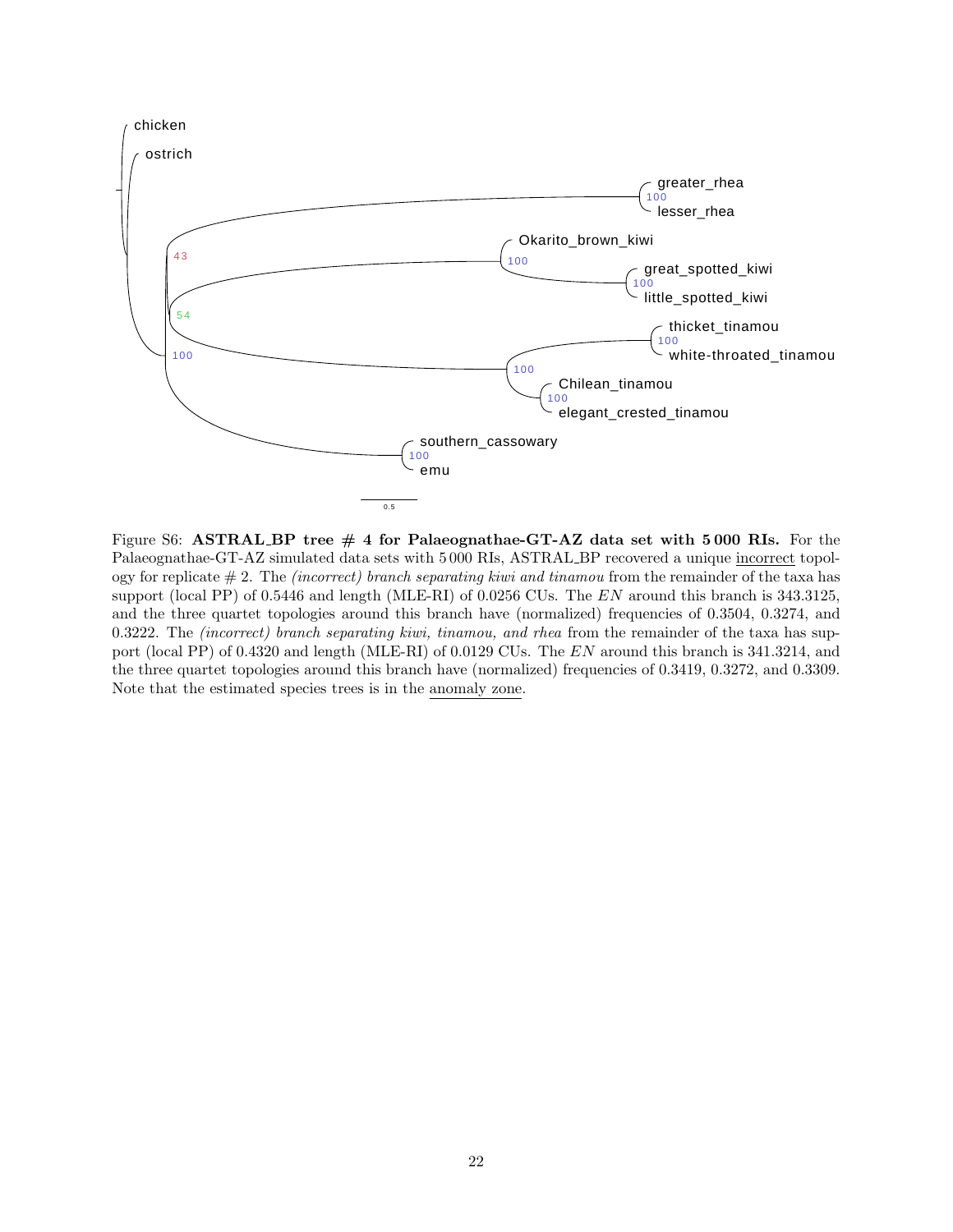<span id="page-21-0"></span>

Figure S6: ASTRAL BP tree  $#$  4 for Palaeognathae-GT-AZ data set with 5000 RIs. For the Palaeognathae-GT-AZ simulated data sets with 5 000 RIs, ASTRAL BP recovered a unique incorrect topology for replicate  $# 2$ . The *(incorrect)* branch separating kiwi and tinamou from the remainder of the taxa has support (local PP) of 0.5446 and length (MLE-RI) of 0.0256 CUs. The EN around this branch is 343.3125, and the three quartet topologies around this branch have (normalized) frequencies of 0.3504, 0.3274, and 0.3222. The (incorrect) branch separating kiwi, tinamou, and rhea from the remainder of the taxa has support (local PP) of 0.4320 and length (MLE-RI) of 0.0129 CUs. The EN around this branch is 341.3214, and the three quartet topologies around this branch have (normalized) frequencies of 0.3419, 0.3272, and 0.3309. Note that the estimated species trees is in the anomaly zone.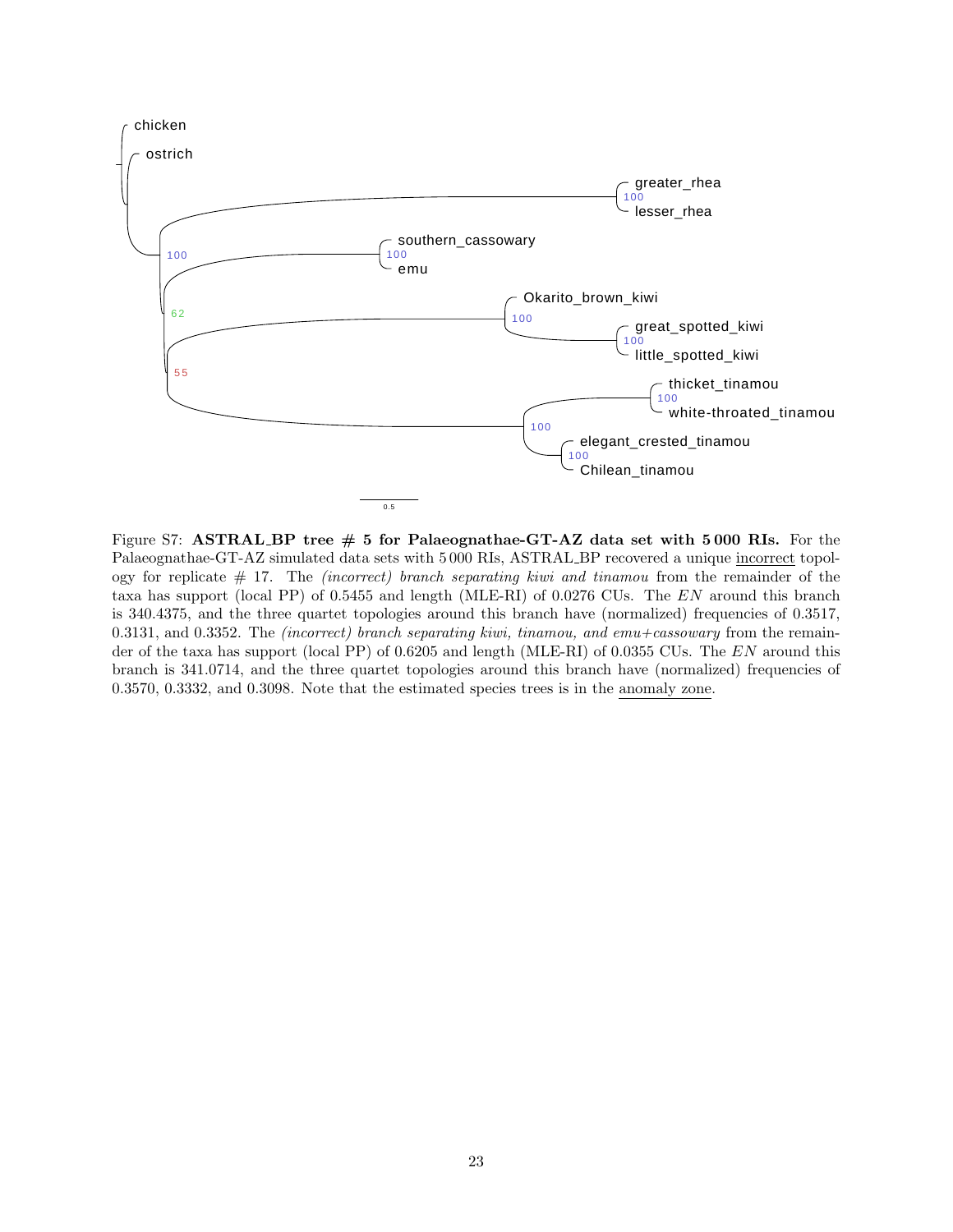<span id="page-22-0"></span>

Figure S7: ASTRAL BP tree  $# 5$  for Palaeognathae-GT-AZ data set with 5000 RIs. For the Palaeognathae-GT-AZ simulated data sets with 5 000 RIs, ASTRAL BP recovered a unique incorrect topology for replicate  $\#$  17. The *(incorrect)* branch separating kiwi and tinamou from the remainder of the taxa has support (local PP) of 0.5455 and length (MLE-RI) of 0.0276 CUs. The EN around this branch is 340.4375, and the three quartet topologies around this branch have (normalized) frequencies of 0.3517, 0.3131, and 0.3352. The *(incorrect)* branch separating kiwi, tinamou, and  $emu + c$ assowary from the remainder of the taxa has support (local PP) of 0.6205 and length (MLE-RI) of 0.0355 CUs. The EN around this branch is 341.0714, and the three quartet topologies around this branch have (normalized) frequencies of 0.3570, 0.3332, and 0.3098. Note that the estimated species trees is in the anomaly zone.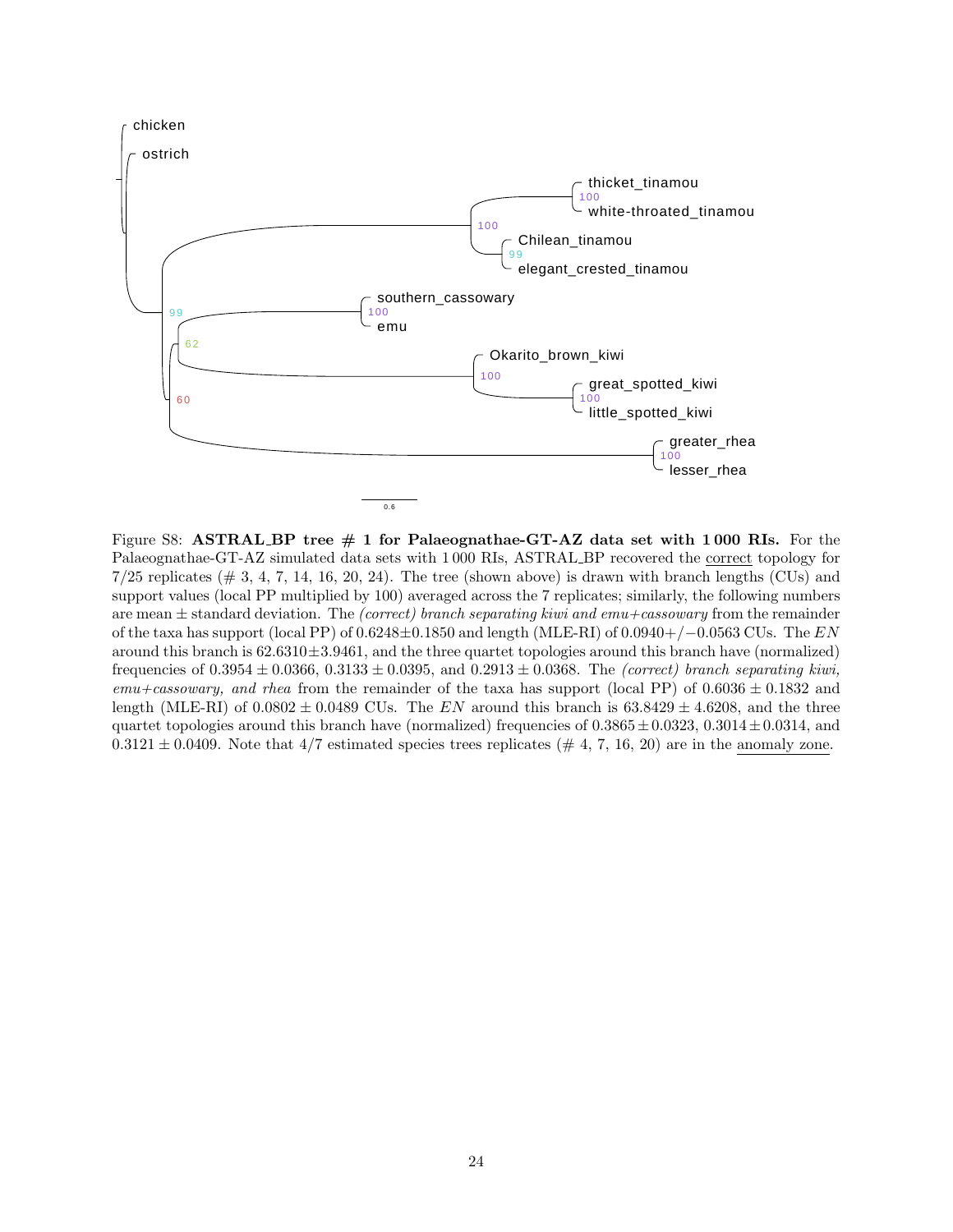<span id="page-23-0"></span>

Figure S8: ASTRAL BP tree  $# 1$  for Palaeognathae-GT-AZ data set with 1000 RIs. For the Palaeognathae-GT-AZ simulated data sets with 1 000 RIs, ASTRAL BP recovered the correct topology for  $7/25$  replicates ( $\#$  3, 4, 7, 14, 16, 20, 24). The tree (shown above) is drawn with branch lengths (CUs) and support values (local PP multiplied by 100) averaged across the 7 replicates; similarly, the following numbers are mean  $\pm$  standard deviation. The *(correct) branch separating kiwi and emu+cassowary* from the remainder of the taxa has support (local PP) of  $0.6248\pm0.1850$  and length (MLE-RI) of  $0.0940+/-0.0563$  CUs. The EN around this branch is  $62.6310 \pm 3.9461$ , and the three quartet topologies around this branch have (normalized) frequencies of  $0.3954 \pm 0.0366$ ,  $0.3133 \pm 0.0395$ , and  $0.2913 \pm 0.0368$ . The *(correct) branch separating kiwi*,  $emu +casosowany$ , and rhea from the remainder of the taxa has support (local PP) of  $0.6036 \pm 0.1832$  and length (MLE-RI) of 0.0802  $\pm$  0.0489 CUs. The EN around this branch is 63.8429  $\pm$  4.6208, and the three quartet topologies around this branch have (normalized) frequencies of  $0.3865 \pm 0.0323$ ,  $0.3014 \pm 0.0314$ , and  $0.3121 \pm 0.0409$ . Note that  $4/7$  estimated species trees replicates (# 4, 7, 16, 20) are in the anomaly zone.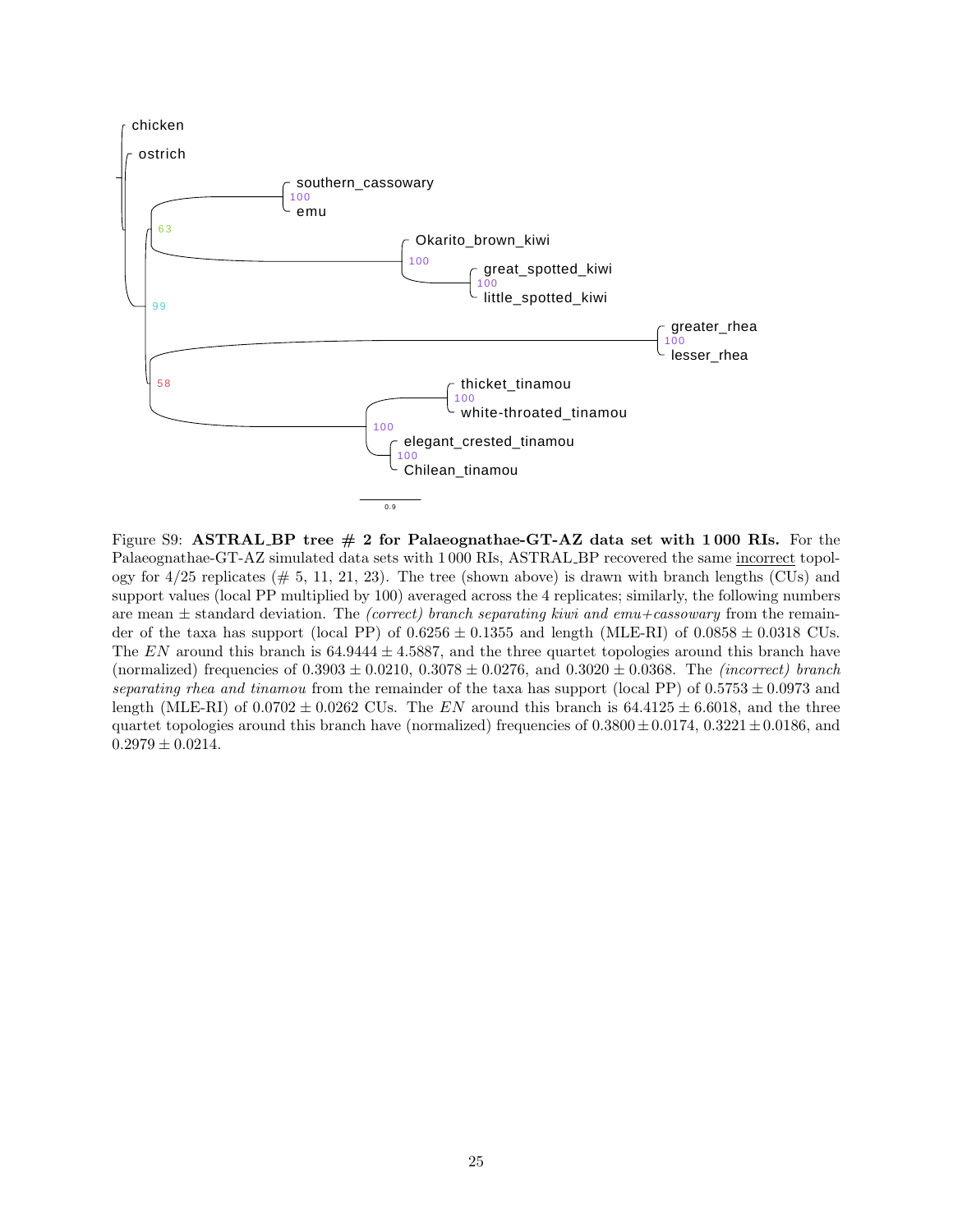<span id="page-24-0"></span>

Figure S9: ASTRAL BP tree  $# 2$  for Palaeognathae-GT-AZ data set with 1000 RIs. For the Palaeognathae-GT-AZ simulated data sets with 1 000 RIs, ASTRAL BP recovered the same incorrect topology for  $4/25$  replicates ( $\# 5, 11, 21, 23$ ). The tree (shown above) is drawn with branch lengths (CUs) and support values (local PP multiplied by 100) averaged across the 4 replicates; similarly, the following numbers are mean  $\pm$  standard deviation. The *(correct)* branch separating kiwi and emu+cassowary from the remainder of the taxa has support (local PP) of  $0.6256 \pm 0.1355$  and length (MLE-RI) of  $0.0858 \pm 0.0318$  CUs. The EN around this branch is  $64.9444 \pm 4.5887$ , and the three quartet topologies around this branch have (normalized) frequencies of  $0.3903 \pm 0.0210$ ,  $0.3078 \pm 0.0276$ , and  $0.3020 \pm 0.0368$ . The *(incorrect) branch* separating rhea and tinamou from the remainder of the taxa has support (local PP) of  $0.5753 \pm 0.0973$  and length (MLE-RI) of  $0.0702 \pm 0.0262$  CUs. The EN around this branch is  $64.4125 \pm 6.6018$ , and the three quartet topologies around this branch have (normalized) frequencies of  $0.3800 \pm 0.0174$ ,  $0.3221 \pm 0.0186$ , and  $0.2979 \pm 0.0214$ .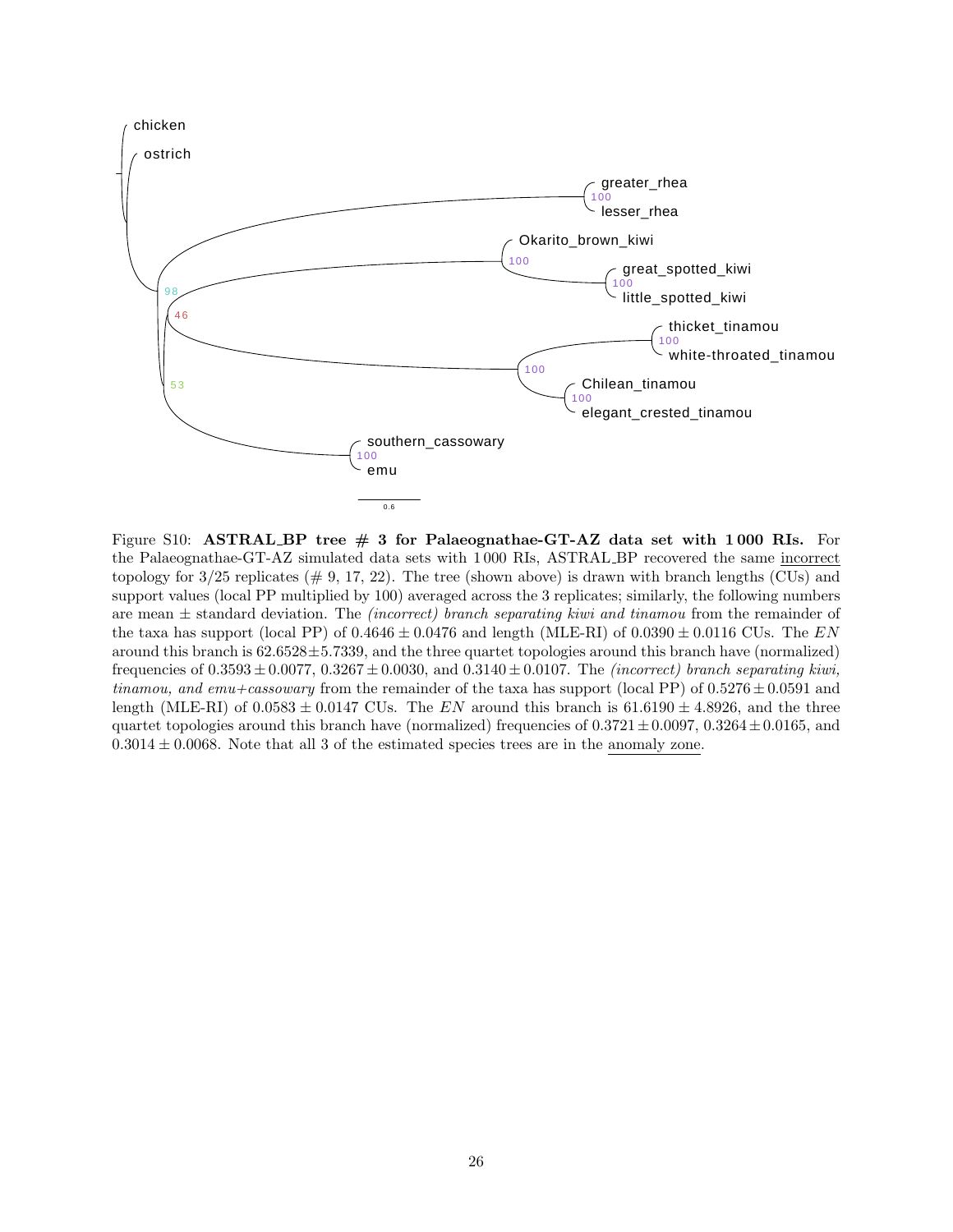<span id="page-25-0"></span>

Figure S10: ASTRAL BP tree  $\#$  3 for Palaeognathae-GT-AZ data set with 1000 RIs. For the Palaeognathae-GT-AZ simulated data sets with 1 000 RIs, ASTRAL BP recovered the same incorrect topology for  $3/25$  replicates ( $\#$  9, 17, 22). The tree (shown above) is drawn with branch lengths (CUs) and support values (local PP multiplied by 100) averaged across the 3 replicates; similarly, the following numbers are mean  $\pm$  standard deviation. The *(incorrect)* branch separating kiwi and tinamou from the remainder of the taxa has support (local PP) of  $0.4646 \pm 0.0476$  and length (MLE-RI) of  $0.0390 \pm 0.0116$  CUs. The EN around this branch is  $62.6528 \pm 5.7339$ , and the three quartet topologies around this branch have (normalized) frequencies of  $0.3593 \pm 0.0077$ ,  $0.3267 \pm 0.0030$ , and  $0.3140 \pm 0.0107$ . The *(incorrect)* branch separating kiwi, tinamou, and emu+cassowary from the remainder of the taxa has support (local PP) of  $0.5276 \pm 0.0591$  and length (MLE-RI) of 0.0583  $\pm$  0.0147 CUs. The EN around this branch is 61.6190  $\pm$  4.8926, and the three quartet topologies around this branch have (normalized) frequencies of  $0.3721 \pm 0.0097$ ,  $0.3264 \pm 0.0165$ , and  $0.3014 \pm 0.0068$ . Note that all 3 of the estimated species trees are in the anomaly zone.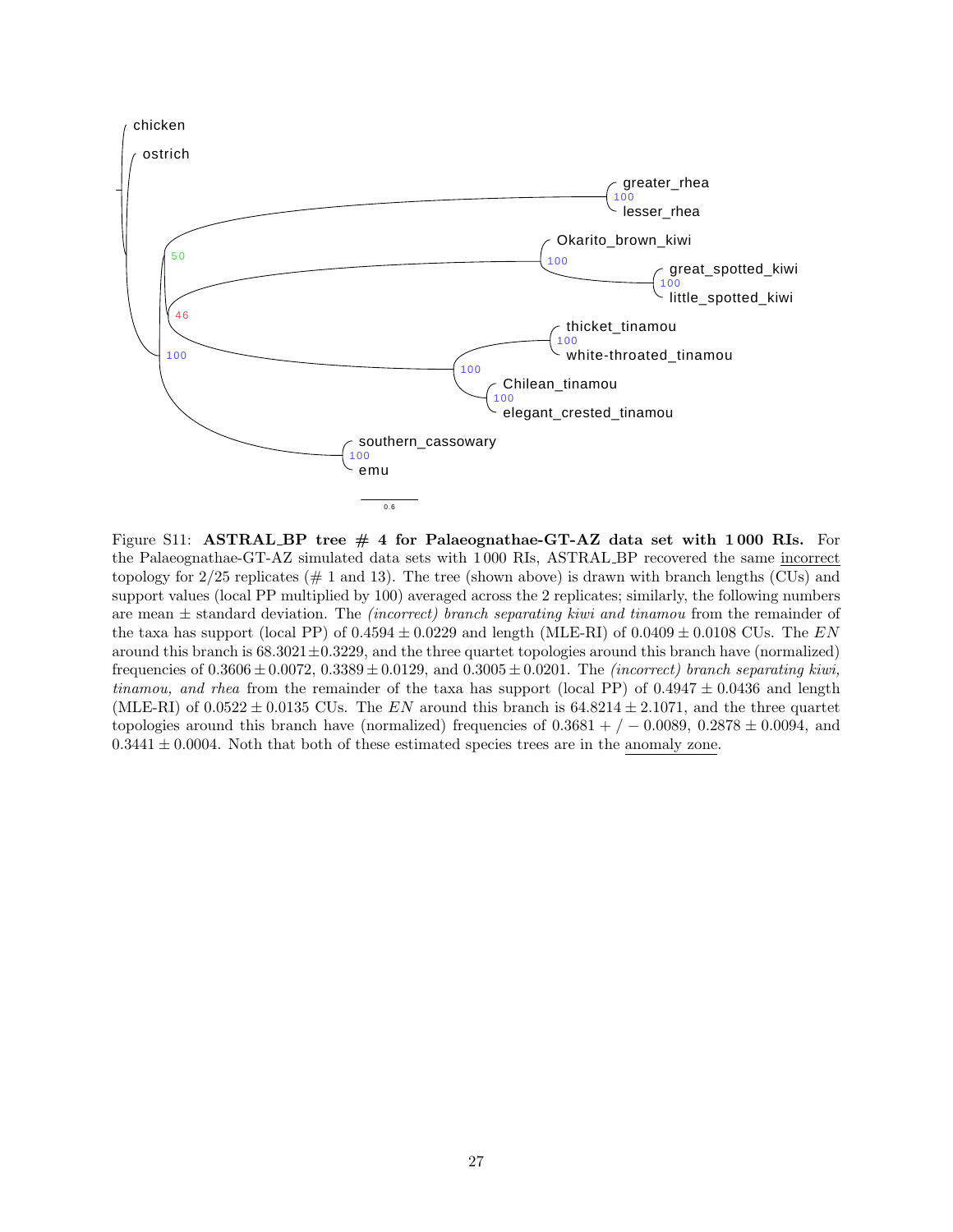<span id="page-26-0"></span>

Figure S11: ASTRAL BP tree  $\#$  4 for Palaeognathae-GT-AZ data set with 1000 RIs. For the Palaeognathae-GT-AZ simulated data sets with 1 000 RIs, ASTRAL BP recovered the same incorrect topology for  $2/25$  replicates ( $\#$  1 and 13). The tree (shown above) is drawn with branch lengths (CUs) and support values (local PP multiplied by 100) averaged across the 2 replicates; similarly, the following numbers are mean  $\pm$  standard deviation. The *(incorrect)* branch separating kiwi and tinamou from the remainder of the taxa has support (local PP) of  $0.4594 \pm 0.0229$  and length (MLE-RI) of  $0.0409 \pm 0.0108$  CUs. The EN around this branch is  $68.3021 \pm 0.3229$ , and the three quartet topologies around this branch have (normalized) frequencies of  $0.3606 \pm 0.0072$ ,  $0.3389 \pm 0.0129$ , and  $0.3005 \pm 0.0201$ . The *(incorrect)* branch separating kiwi, *tinamou, and rhea* from the remainder of the taxa has support (local PP) of  $0.4947 \pm 0.0436$  and length (MLE-RI) of 0.0522  $\pm$  0.0135 CUs. The EN around this branch is 64.8214  $\pm$  2.1071, and the three quartet topologies around this branch have (normalized) frequencies of  $0.3681 + / -0.0089$ ,  $0.2878 \pm 0.0094$ , and  $0.3441 \pm 0.0004$ . Noth that both of these estimated species trees are in the anomaly zone.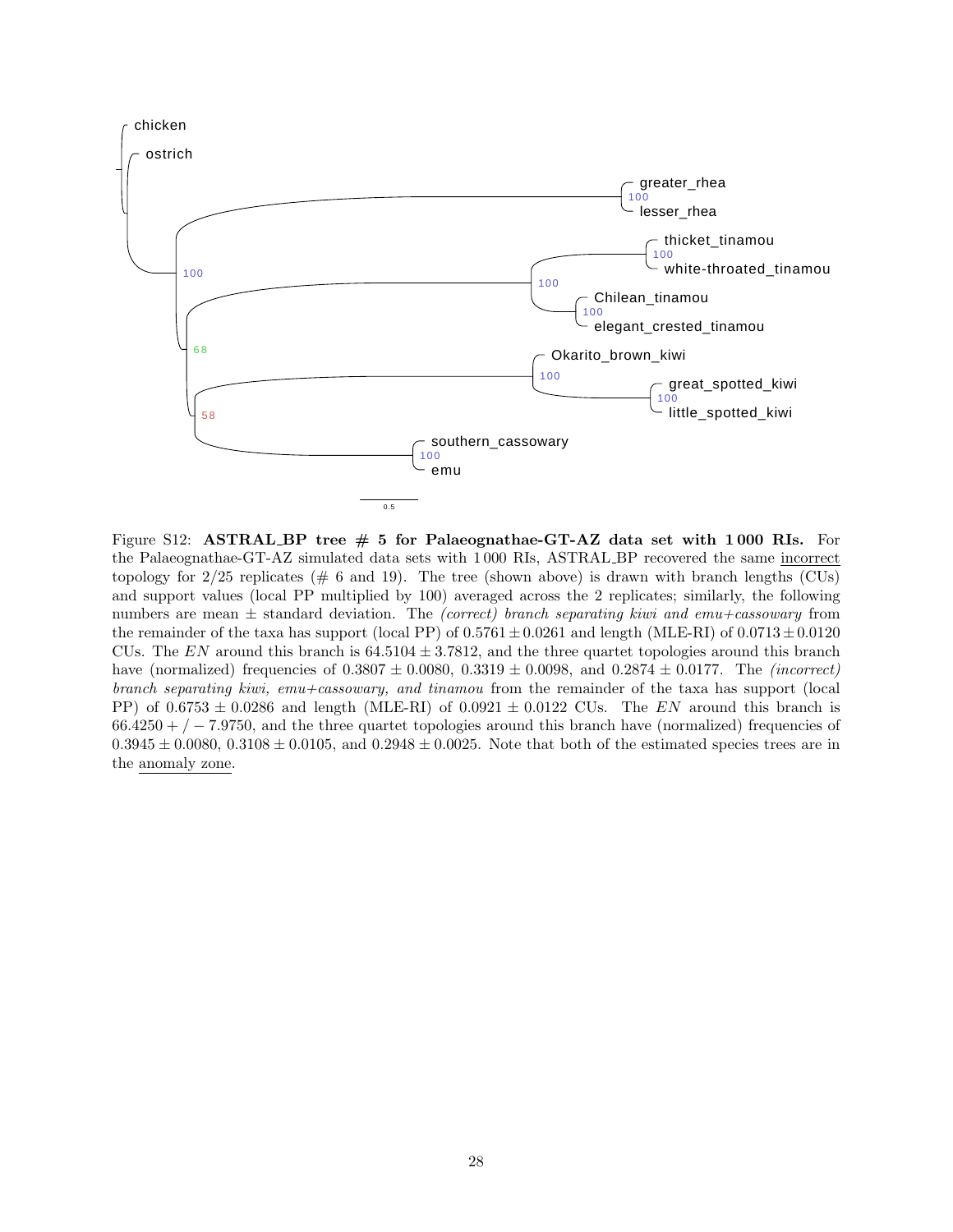<span id="page-27-0"></span>

Figure S12: ASTRAL BP tree  $# 5$  for Palaeognathae-GT-AZ data set with 1000 RIs. For the Palaeognathae-GT-AZ simulated data sets with 1 000 RIs, ASTRAL BP recovered the same incorrect topology for  $2/25$  replicates (# 6 and 19). The tree (shown above) is drawn with branch lengths (CUs) and support values (local PP multiplied by 100) averaged across the 2 replicates; similarly, the following numbers are mean  $\pm$  standard deviation. The *(correct) branch separating kiwi and emu+cassowary* from the remainder of the taxa has support (local PP) of  $0.5761 \pm 0.0261$  and length (MLE-RI) of  $0.0713 \pm 0.0120$ CUs. The EN around this branch is  $64.5104 \pm 3.7812$ , and the three quartet topologies around this branch have (normalized) frequencies of  $0.3807 \pm 0.0080$ ,  $0.3319 \pm 0.0098$ , and  $0.2874 \pm 0.0177$ . The *(incorrect)* branch separating kiwi, emu+cassowary, and tinamou from the remainder of the taxa has support (local PP) of  $0.6753 \pm 0.0286$  and length (MLE-RI) of  $0.0921 \pm 0.0122$  CUs. The EN around this branch is  $66.4250 + / -7.9750$ , and the three quartet topologies around this branch have (normalized) frequencies of  $0.3945 \pm 0.0080, 0.3108 \pm 0.0105,$  and  $0.2948 \pm 0.0025$ . Note that both of the estimated species trees are in the anomaly zone.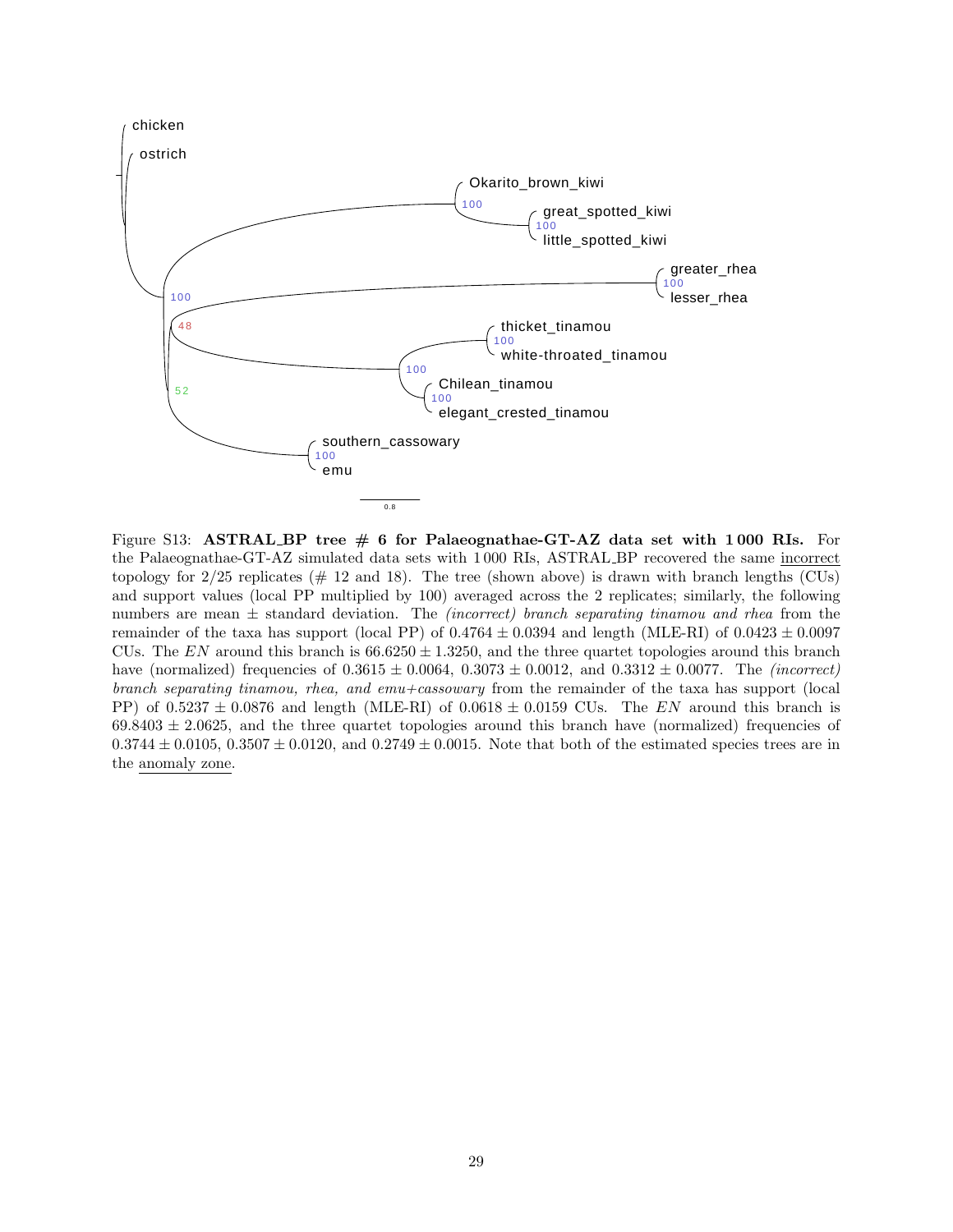<span id="page-28-0"></span>

Figure S13: ASTRAL BP tree  $\#$  6 for Palaeognathae-GT-AZ data set with 1000 RIs. For the Palaeognathae-GT-AZ simulated data sets with 1 000 RIs, ASTRAL BP recovered the same incorrect topology for  $2/25$  replicates ( $\#$  12 and 18). The tree (shown above) is drawn with branch lengths (CUs) and support values (local PP multiplied by 100) averaged across the 2 replicates; similarly, the following numbers are mean  $\pm$  standard deviation. The *(incorrect)* branch separating tinamou and rhea from the remainder of the taxa has support (local PP) of  $0.4764 \pm 0.0394$  and length (MLE-RI) of  $0.0423 \pm 0.0097$ CUs. The EN around this branch is  $66.6250 \pm 1.3250$ , and the three quartet topologies around this branch have (normalized) frequencies of  $0.3615 \pm 0.0064$ ,  $0.3073 \pm 0.0012$ , and  $0.3312 \pm 0.0077$ . The *(incorrect)* branch separating tinamou, rhea, and emu+cassowary from the remainder of the taxa has support (local PP) of  $0.5237 \pm 0.0876$  and length (MLE-RI) of  $0.0618 \pm 0.0159$  CUs. The EN around this branch is  $69.8403 \pm 2.0625$ , and the three quartet topologies around this branch have (normalized) frequencies of  $0.3744 \pm 0.0105$ ,  $0.3507 \pm 0.0120$ , and  $0.2749 \pm 0.0015$ . Note that both of the estimated species trees are in the anomaly zone.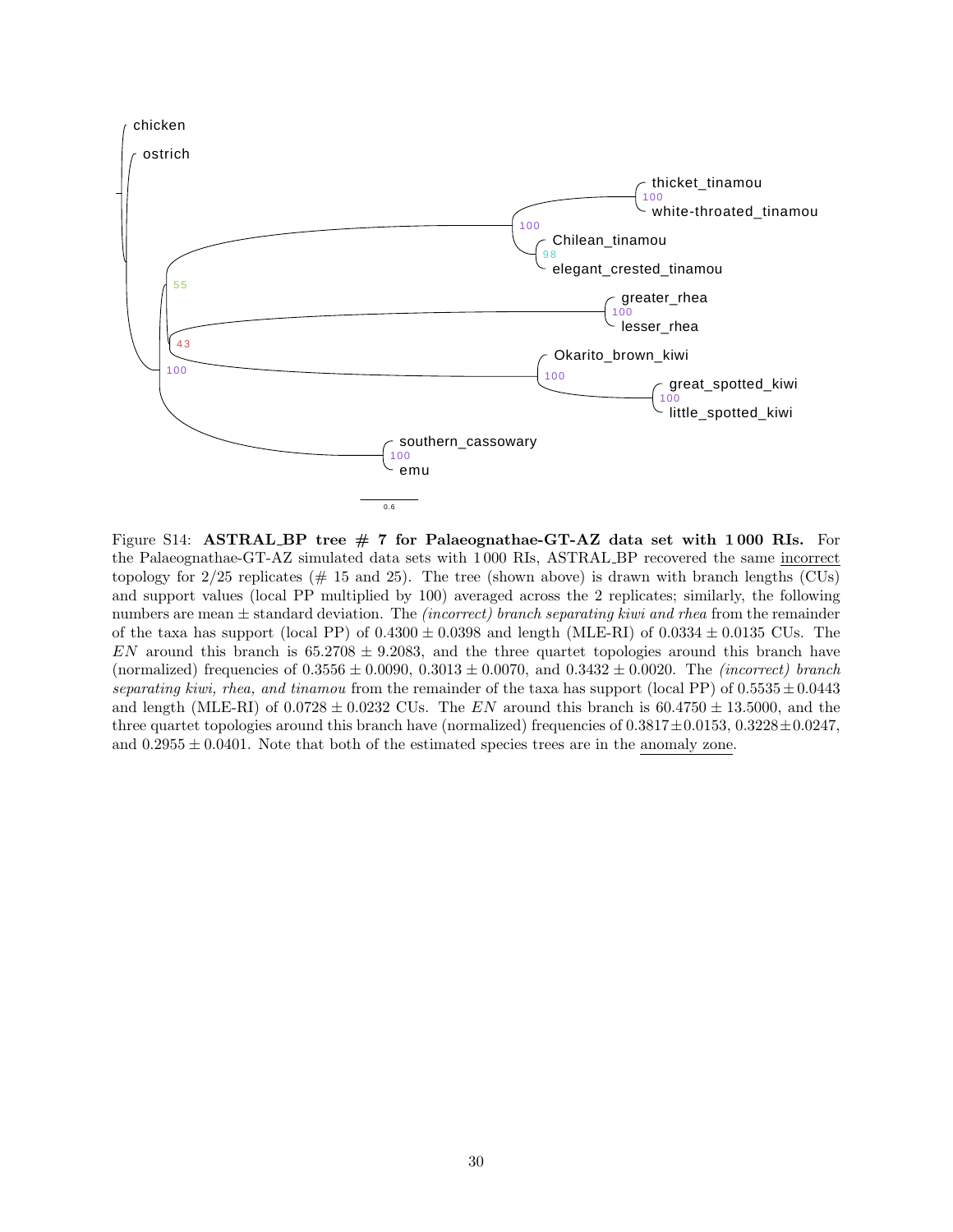<span id="page-29-0"></span>

Figure S14: ASTRAL BP tree  $# 7$  for Palaeognathae-GT-AZ data set with 1000 RIs. For the Palaeognathae-GT-AZ simulated data sets with 1 000 RIs, ASTRAL BP recovered the same incorrect topology for  $2/25$  replicates ( $\#$  15 and 25). The tree (shown above) is drawn with branch lengths (CUs) and support values (local PP multiplied by 100) averaged across the 2 replicates; similarly, the following numbers are mean  $\pm$  standard deviation. The *(incorrect)* branch separating kiwi and rhea from the remainder of the taxa has support (local PP) of  $0.4300 \pm 0.0398$  and length (MLE-RI) of  $0.0334 \pm 0.0135$  CUs. The EN around this branch is  $65.2708 \pm 9.2083$ , and the three quartet topologies around this branch have (normalized) frequencies of  $0.3556 \pm 0.0090$ ,  $0.3013 \pm 0.0070$ , and  $0.3432 \pm 0.0020$ . The *(incorrect) branch* separating kiwi, rhea, and tinamou from the remainder of the taxa has support (local PP) of  $0.5535 \pm 0.0443$ and length (MLE-RI) of  $0.0728 \pm 0.0232$  CUs. The EN around this branch is  $60.4750 \pm 13.5000$ , and the three quartet topologies around this branch have (normalized) frequencies of  $0.3817 \pm 0.0153$ ,  $0.3228 \pm 0.0247$ , and  $0.2955 \pm 0.0401$ . Note that both of the estimated species trees are in the anomaly zone.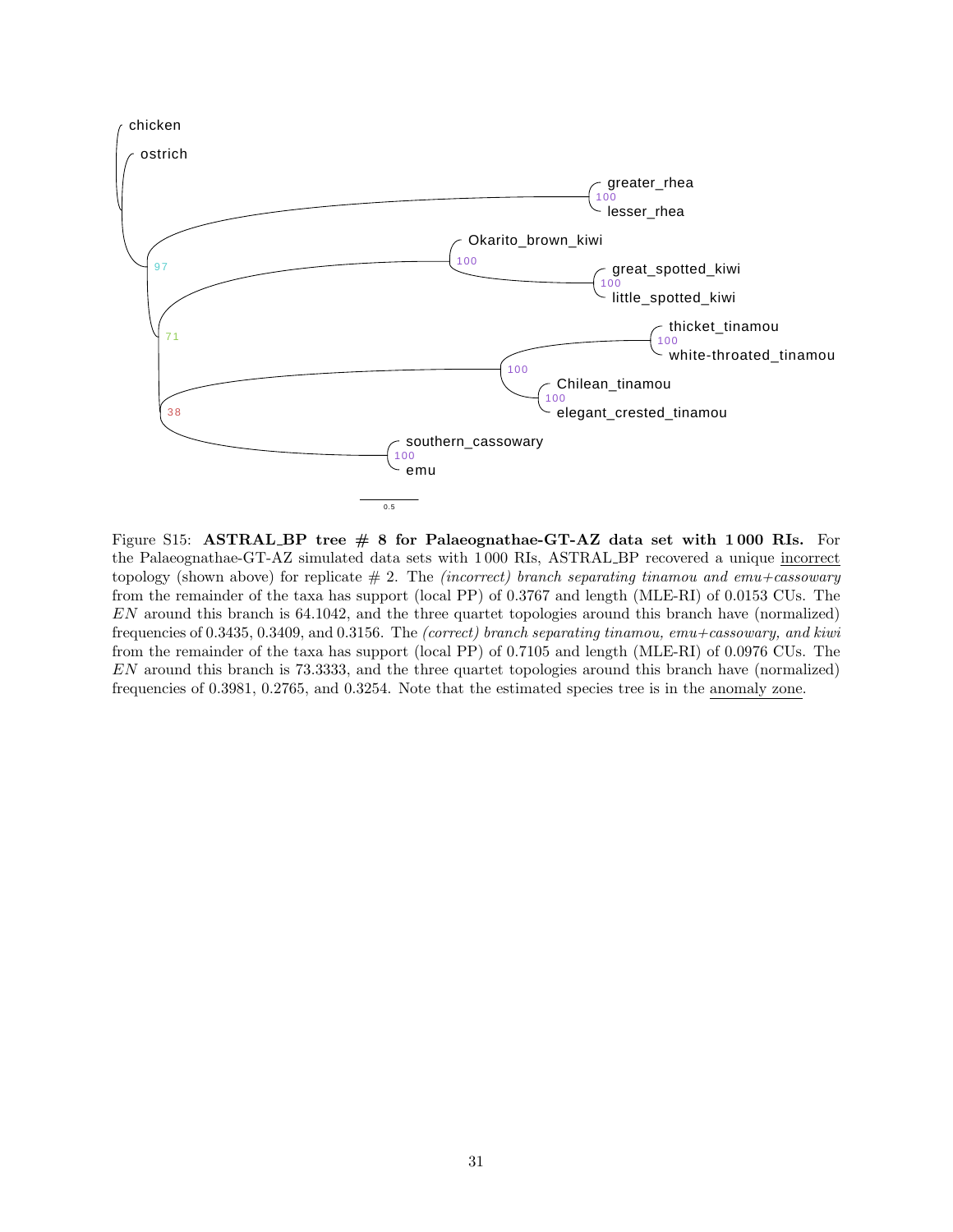<span id="page-30-0"></span>

Figure S15: ASTRAL BP tree  $\# 8$  for Palaeognathae-GT-AZ data set with 1000 RIs. For the Palaeognathae-GT-AZ simulated data sets with 1 000 RIs, ASTRAL BP recovered a unique incorrect topology (shown above) for replicate  $# 2$ . The *(incorrect)* branch separating tinamou and emu+cassowary from the remainder of the taxa has support (local PP) of 0.3767 and length (MLE-RI) of 0.0153 CUs. The EN around this branch is 64.1042, and the three quartet topologies around this branch have (normalized) frequencies of 0.3435, 0.3409, and 0.3156. The (correct) branch separating tinamou, emu+cassowary, and kiwi from the remainder of the taxa has support (local PP) of 0.7105 and length (MLE-RI) of 0.0976 CUs. The EN around this branch is 73.3333, and the three quartet topologies around this branch have (normalized) frequencies of 0.3981, 0.2765, and 0.3254. Note that the estimated species tree is in the anomaly zone.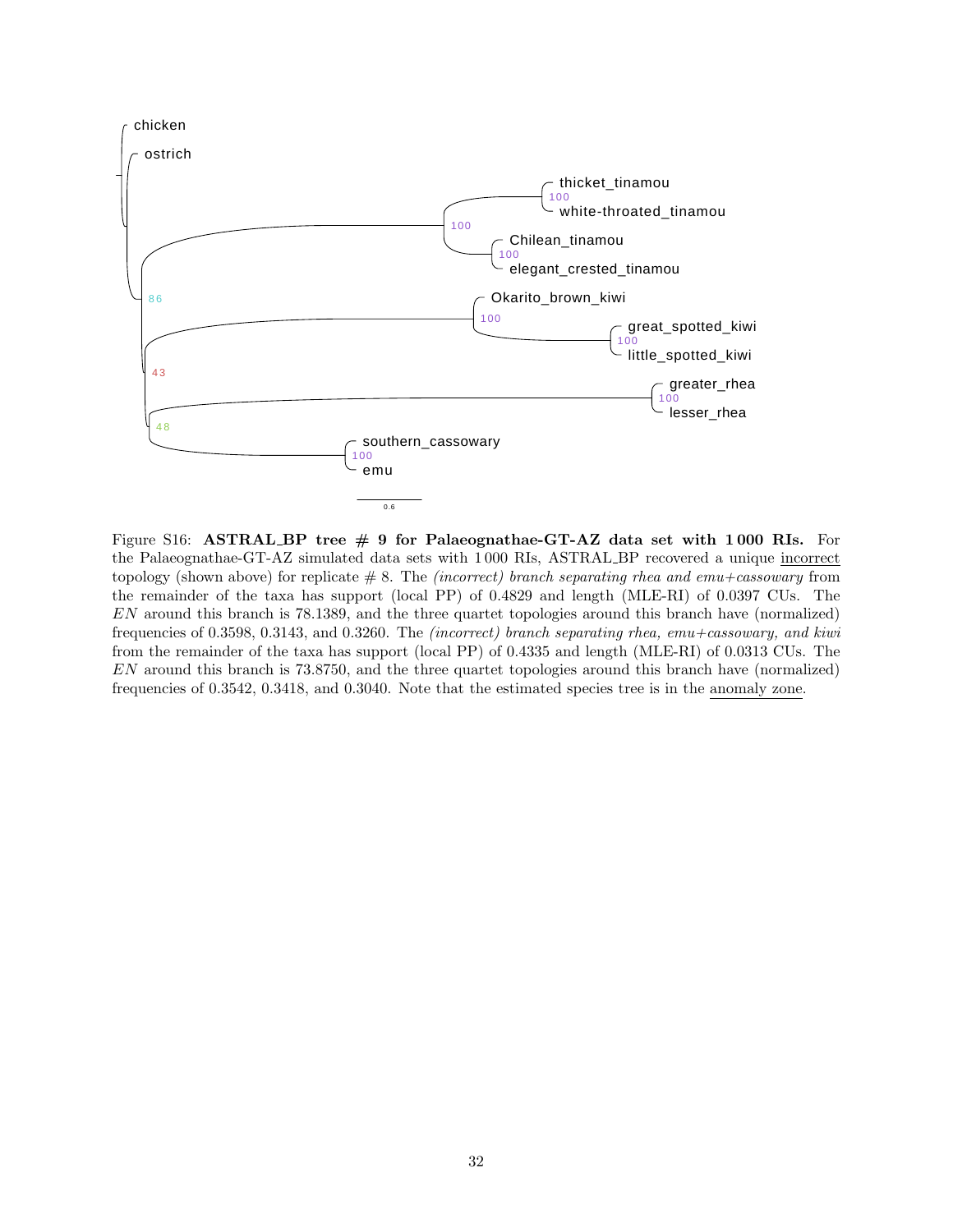<span id="page-31-0"></span>

Figure S16: ASTRAL BP tree  $\#$  9 for Palaeognathae-GT-AZ data set with 1000 RIs. For the Palaeognathae-GT-AZ simulated data sets with 1 000 RIs, ASTRAL BP recovered a unique incorrect topology (shown above) for replicate  $\# 8$ . The *(incorrect)* branch separating rhea and emu+cassowary from the remainder of the taxa has support (local PP) of 0.4829 and length (MLE-RI) of 0.0397 CUs. The EN around this branch is 78.1389, and the three quartet topologies around this branch have (normalized) frequencies of 0.3598, 0.3143, and 0.3260. The (incorrect) branch separating rhea, emu+cassowary, and kiwi from the remainder of the taxa has support (local PP) of 0.4335 and length (MLE-RI) of 0.0313 CUs. The EN around this branch is 73.8750, and the three quartet topologies around this branch have (normalized) frequencies of 0.3542, 0.3418, and 0.3040. Note that the estimated species tree is in the anomaly zone.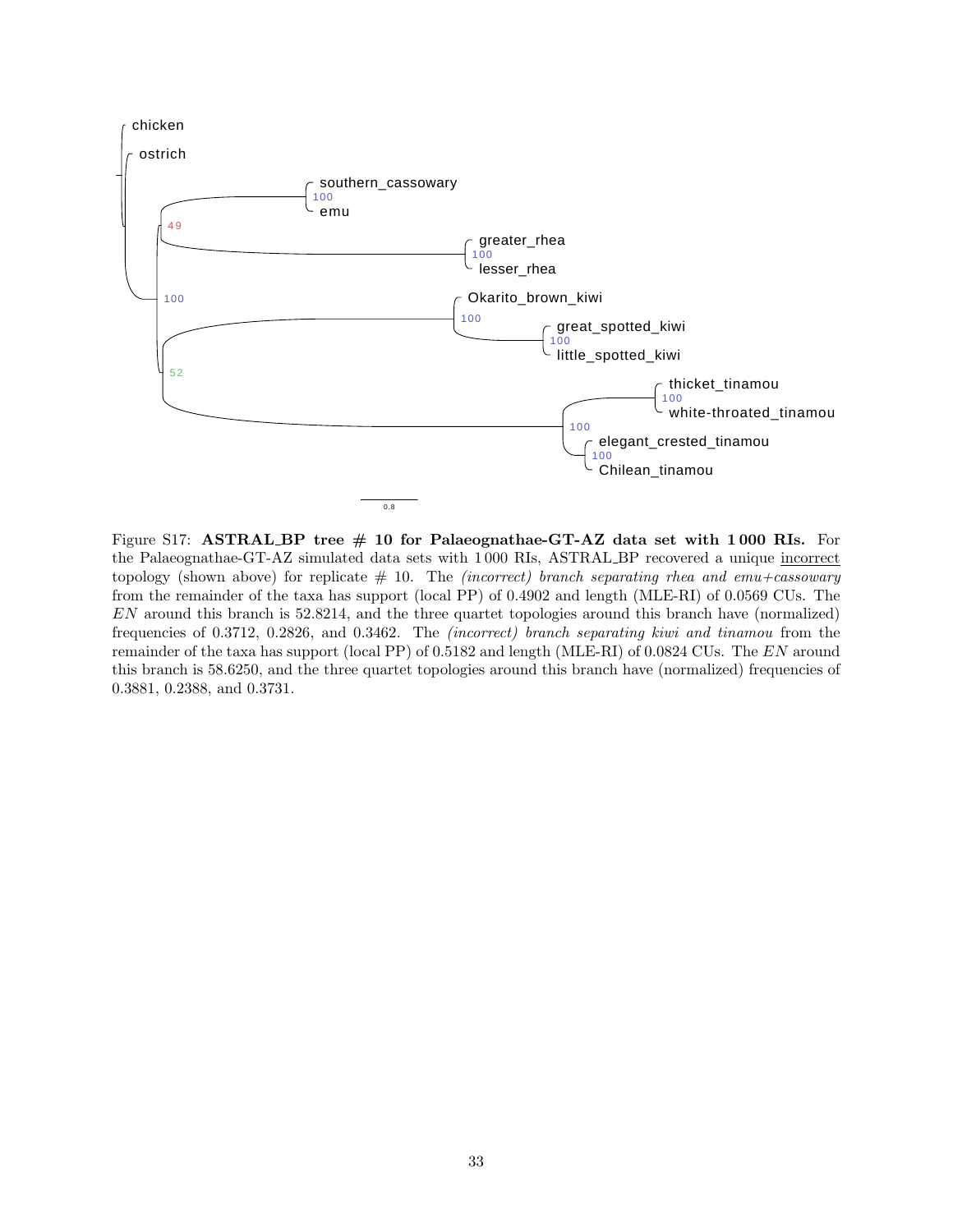<span id="page-32-0"></span>

Figure S17: ASTRAL BP tree  $# 10$  for Palaeognathae-GT-AZ data set with 1000 RIs. For the Palaeognathae-GT-AZ simulated data sets with 1 000 RIs, ASTRAL BP recovered a unique incorrect topology (shown above) for replicate  $# 10$ . The *(incorrect)* branch separating rhea and emu+cassowary from the remainder of the taxa has support (local PP) of 0.4902 and length (MLE-RI) of 0.0569 CUs. The EN around this branch is 52.8214, and the three quartet topologies around this branch have (normalized) frequencies of 0.3712, 0.2826, and 0.3462. The (incorrect) branch separating kiwi and tinamou from the remainder of the taxa has support (local PP) of 0.5182 and length (MLE-RI) of 0.0824 CUs. The EN around this branch is 58.6250, and the three quartet topologies around this branch have (normalized) frequencies of 0.3881, 0.2388, and 0.3731.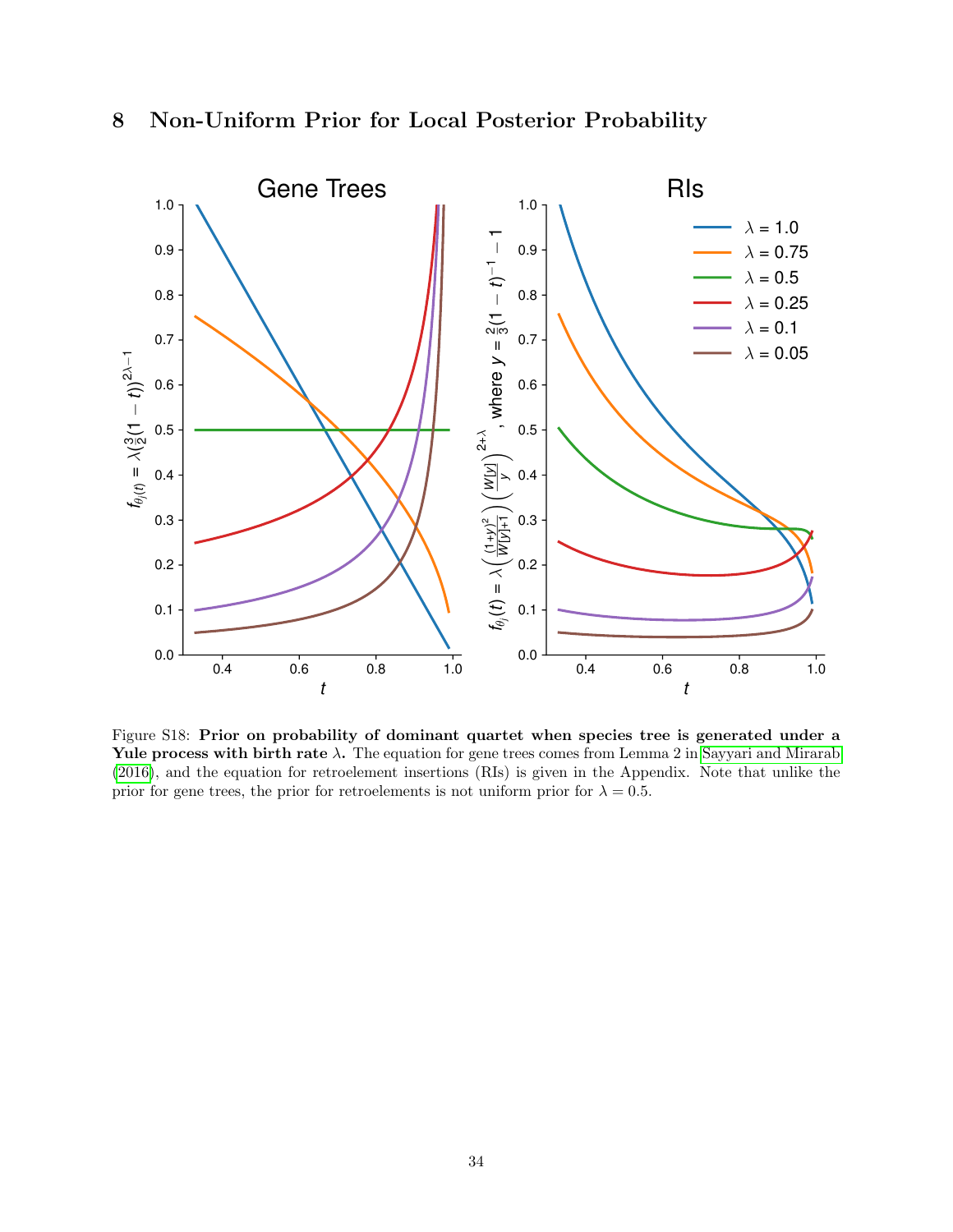<span id="page-33-0"></span>

<span id="page-33-1"></span>

Figure S18: Prior on probability of dominant quartet when species tree is generated under a Yule process with birth rate  $\lambda$ . The equation for gene trees comes from Lemma 2 in [Sayyari and Mirarab](#page-34-13) [\(2016\)](#page-34-13), and the equation for retroelement insertions (RIs) is given in the Appendix. Note that unlike the prior for gene trees, the prior for retroelements is not uniform prior for  $\lambda = 0.5$ .